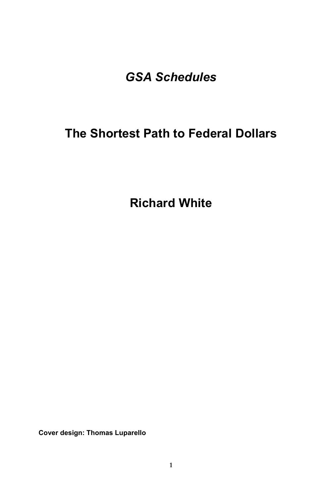## *GSA Schedules*

## **The Shortest Path to Federal Dollars**

**Richard White** 

**Cover design: Thomas Luparello**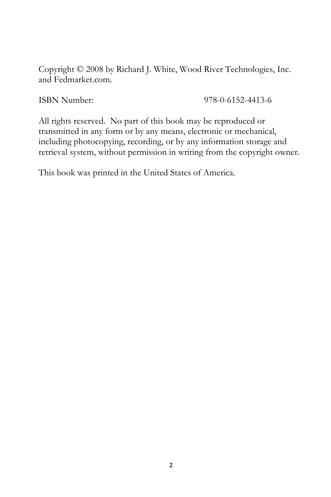Copyright © 2008 by Richard J. White, Wood River Technologies, Inc. and Fedmarket.com.

#### ISBN Number: 978-0-6152-4413-6

All rights reserved. No part of this book may be reproduced or transmitted in any form or by any means, electronic or mechanical, including photocopying, recording, or by any information storage and retrieval system, without permission in writing from the copyright owner.

This book was printed in the United States of America.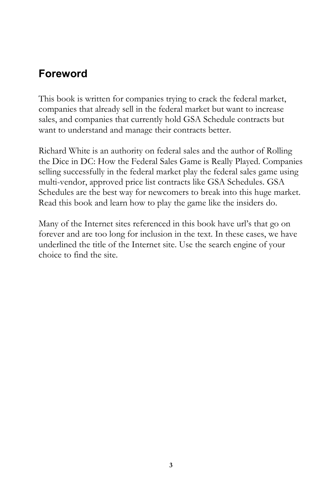### **Foreword**

This book is written for companies trying to crack the federal market, companies that already sell in the federal market but want to increase sales, and companies that currently hold GSA Schedule contracts but want to understand and manage their contracts better.

Richard White is an authority on federal sales and the author of Rolling the Dice in DC: How the Federal Sales Game is Really Played. Companies selling successfully in the federal market play the federal sales game using multi-vendor, approved price list contracts like GSA Schedules. GSA Schedules are the best way for newcomers to break into this huge market. Read this book and learn how to play the game like the insiders do.

Many of the Internet sites referenced in this book have url's that go on forever and are too long for inclusion in the text. In these cases, we have underlined the title of the Internet site. Use the search engine of your choice to find the site.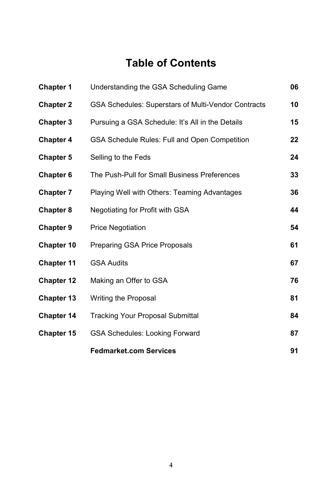### **Table of Contents**

| <b>Chapter 1</b>  | Understanding the GSA Scheduling Game                      | 06 |
|-------------------|------------------------------------------------------------|----|
| <b>Chapter 2</b>  | <b>GSA Schedules: Superstars of Multi-Vendor Contracts</b> | 10 |
| <b>Chapter 3</b>  | Pursuing a GSA Schedule: It's All in the Details           | 15 |
| <b>Chapter 4</b>  | <b>GSA Schedule Rules: Full and Open Competition</b>       | 22 |
| <b>Chapter 5</b>  | Selling to the Feds                                        | 24 |
| <b>Chapter 6</b>  | The Push-Pull for Small Business Preferences               | 33 |
| <b>Chapter 7</b>  | Playing Well with Others: Teaming Advantages               | 36 |
| <b>Chapter 8</b>  | Negotiating for Profit with GSA                            | 44 |
| <b>Chapter 9</b>  | <b>Price Negotiation</b>                                   | 54 |
| Chapter 10        | <b>Preparing GSA Price Proposals</b>                       | 61 |
| <b>Chapter 11</b> | <b>GSA Audits</b>                                          | 67 |
| <b>Chapter 12</b> | Making an Offer to GSA                                     | 76 |
| Chapter 13        | Writing the Proposal                                       | 81 |
| Chapter 14        | <b>Tracking Your Proposal Submittal</b>                    | 84 |
| Chapter 15        | <b>GSA Schedules: Looking Forward</b>                      | 87 |
|                   | <b>Fedmarket.com Services</b>                              | 91 |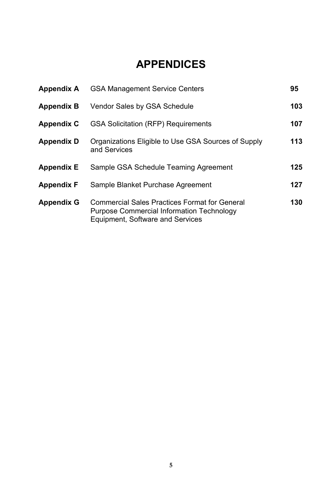### **APPENDICES**

| Appendix A        | <b>GSA Management Service Centers</b>                                                                                          | 95  |
|-------------------|--------------------------------------------------------------------------------------------------------------------------------|-----|
| <b>Appendix B</b> | Vendor Sales by GSA Schedule                                                                                                   | 103 |
| <b>Appendix C</b> | <b>GSA Solicitation (RFP) Requirements</b>                                                                                     | 107 |
| <b>Appendix D</b> | Organizations Eligible to Use GSA Sources of Supply<br>and Services                                                            | 113 |
| <b>Appendix E</b> | Sample GSA Schedule Teaming Agreement                                                                                          | 125 |
| <b>Appendix F</b> | Sample Blanket Purchase Agreement                                                                                              | 127 |
| <b>Appendix G</b> | Commercial Sales Practices Format for General<br>Purpose Commercial Information Technology<br>Equipment, Software and Services | 130 |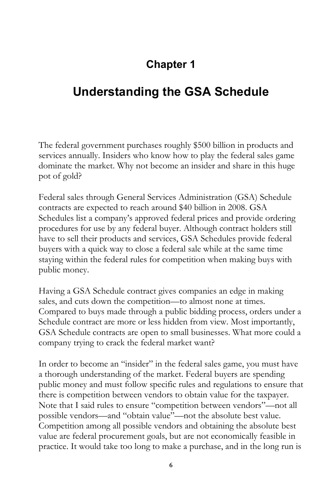## **Chapter 1**

## **Understanding the GSA Schedule**

The federal government purchases roughly \$500 billion in products and services annually. Insiders who know how to play the federal sales game dominate the market. Why not become an insider and share in this huge pot of gold?

Federal sales through General Services Administration (GSA) Schedule contracts are expected to reach around \$40 billion in 2008. GSA Schedules list a company's approved federal prices and provide ordering procedures for use by any federal buyer. Although contract holders still have to sell their products and services, GSA Schedules provide federal buyers with a quick way to close a federal sale while at the same time staying within the federal rules for competition when making buys with public money.

Having a GSA Schedule contract gives companies an edge in making sales, and cuts down the competition—to almost none at times. Compared to buys made through a public bidding process, orders under a Schedule contract are more or less hidden from view. Most importantly, GSA Schedule contracts are open to small businesses. What more could a company trying to crack the federal market want?

In order to become an "insider" in the federal sales game, you must have a thorough understanding of the market. Federal buyers are spending public money and must follow specific rules and regulations to ensure that there is competition between vendors to obtain value for the taxpayer. Note that I said rules to ensure "competition between vendors"—not all possible vendors—and "obtain value"—not the absolute best value. Competition among all possible vendors and obtaining the absolute best value are federal procurement goals, but are not economically feasible in practice. It would take too long to make a purchase, and in the long run is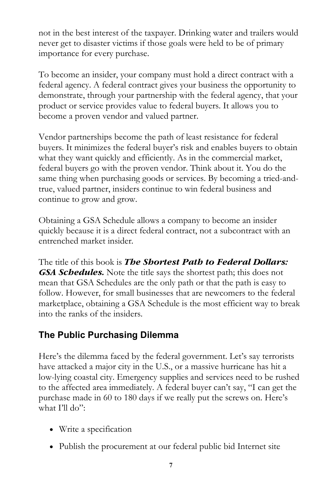not in the best interest of the taxpayer. Drinking water and trailers would never get to disaster victims if those goals were held to be of primary importance for every purchase.

To become an insider, your company must hold a direct contract with a federal agency. A federal contract gives your business the opportunity to demonstrate, through your partnership with the federal agency, that your product or service provides value to federal buyers. It allows you to become a proven vendor and valued partner.

Vendor partnerships become the path of least resistance for federal buyers. It minimizes the federal buyer's risk and enables buyers to obtain what they want quickly and efficiently. As in the commercial market, federal buyers go with the proven vendor. Think about it. You do the same thing when purchasing goods or services. By becoming a tried-andtrue, valued partner, insiders continue to win federal business and continue to grow and grow.

Obtaining a GSA Schedule allows a company to become an insider quickly because it is a direct federal contract, not a subcontract with an entrenched market insider.

The title of this book is *The Shortest Path to Federal Dollars:*  **GSA Schedules.** Note the title says the shortest path; this does not mean that GSA Schedules are the only path or that the path is easy to follow. However, for small businesses that are newcomers to the federal marketplace, obtaining a GSA Schedule is the most efficient way to break into the ranks of the insiders.

#### **The Public Purchasing Dilemma**

Here's the dilemma faced by the federal government. Let's say terrorists have attacked a major city in the U.S., or a massive hurricane has hit a low-lying coastal city. Emergency supplies and services need to be rushed to the affected area immediately. A federal buyer can't say, "I can get the purchase made in 60 to 180 days if we really put the screws on. Here's what I'll do":

- Write a specification
- Publish the procurement at our federal public bid Internet site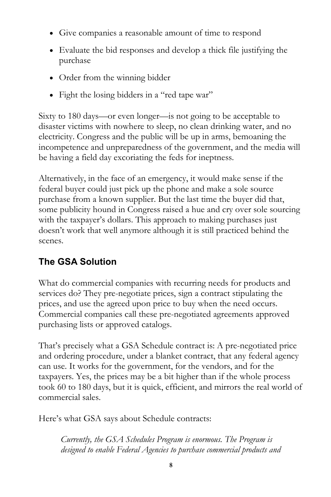- Give companies a reasonable amount of time to respond
- Evaluate the bid responses and develop a thick file justifying the purchase
- Order from the winning bidder
- Fight the losing bidders in a "red tape war"

Sixty to 180 days—or even longer—is not going to be acceptable to disaster victims with nowhere to sleep, no clean drinking water, and no electricity. Congress and the public will be up in arms, bemoaning the incompetence and unpreparedness of the government, and the media will be having a field day excoriating the feds for ineptness.

Alternatively, in the face of an emergency, it would make sense if the federal buyer could just pick up the phone and make a sole source purchase from a known supplier. But the last time the buyer did that, some publicity hound in Congress raised a hue and cry over sole sourcing with the taxpayer's dollars. This approach to making purchases just doesn't work that well anymore although it is still practiced behind the scenes.

### **The GSA Solution**

What do commercial companies with recurring needs for products and services do? They pre-negotiate prices, sign a contract stipulating the prices, and use the agreed upon price to buy when the need occurs. Commercial companies call these pre-negotiated agreements approved purchasing lists or approved catalogs.

That's precisely what a GSA Schedule contract is: A pre-negotiated price and ordering procedure, under a blanket contract, that any federal agency can use. It works for the government, for the vendors, and for the taxpayers. Yes, the prices may be a bit higher than if the whole process took 60 to 180 days, but it is quick, efficient, and mirrors the real world of commercial sales.

Here's what GSA says about Schedule contracts:

*Currently, the GSA Schedules Program is enormous. The Program is designed to enable Federal Agencies to purchase commercial products and*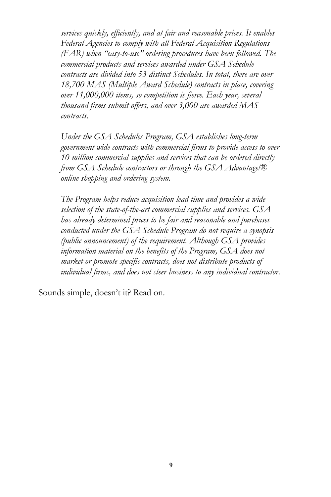*services quickly, efficiently, and at fair and reasonable prices. It enables Federal Agencies to comply with all Federal Acquisition Regulations (FAR) when "easy-to-use" ordering procedures have been followed. The commercial products and services awarded under GSA Schedule contracts are divided into 53 distinct Schedules. In total, there are over 18,700 MAS (Multiple Award Schedule) contracts in place, covering over 11,000,000 items, so competition is fierce. Each year, several thousand firms submit offers, and over 3,000 are awarded MAS contracts.* 

*Under the GSA Schedules Program, GSA establishes long-term government wide contracts with commercial firms to provide access to over 10 million commercial supplies and services that can be ordered directly from GSA Schedule contractors or through the GSA Advantage!® online shopping and ordering system.* 

*The Program helps reduce acquisition lead time and provides a wide selection of the state-of-the-art commercial supplies and services. GSA has already determined prices to be fair and reasonable and purchases conducted under the GSA Schedule Program do not require a synopsis (public announcement) of the requirement. Although GSA provides information material on the benefits of the Program, GSA does not market or promote specific contracts, does not distribute products of individual firms, and does not steer business to any individual contractor.* 

Sounds simple, doesn't it? Read on.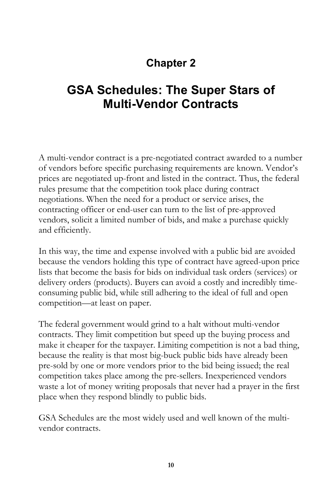### **Chapter 2**

## **GSA Schedules: The Super Stars of Multi-Vendor Contracts**

A multi-vendor contract is a pre-negotiated contract awarded to a number of vendors before specific purchasing requirements are known. Vendor's prices are negotiated up-front and listed in the contract. Thus, the federal rules presume that the competition took place during contract negotiations. When the need for a product or service arises, the contracting officer or end-user can turn to the list of pre-approved vendors, solicit a limited number of bids, and make a purchase quickly and efficiently.

In this way, the time and expense involved with a public bid are avoided because the vendors holding this type of contract have agreed-upon price lists that become the basis for bids on individual task orders (services) or delivery orders (products). Buyers can avoid a costly and incredibly timeconsuming public bid, while still adhering to the ideal of full and open competition—at least on paper.

The federal government would grind to a halt without multi-vendor contracts. They limit competition but speed up the buying process and make it cheaper for the taxpayer. Limiting competition is not a bad thing, because the reality is that most big-buck public bids have already been pre-sold by one or more vendors prior to the bid being issued; the real competition takes place among the pre-sellers. Inexperienced vendors waste a lot of money writing proposals that never had a prayer in the first place when they respond blindly to public bids.

GSA Schedules are the most widely used and well known of the multivendor contracts.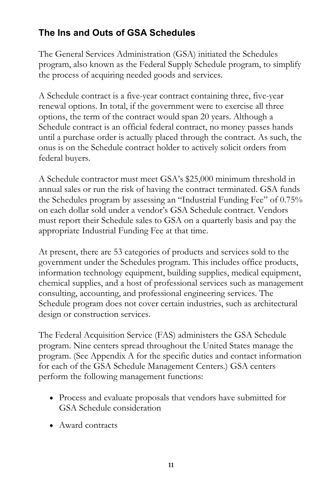#### **The Ins and Outs of GSA Schedules**

The General Services Administration (GSA) initiated the Schedules program, also known as the Federal Supply Schedule program, to simplify the process of acquiring needed goods and services.

A Schedule contract is a five-year contract containing three, five-year renewal options. In total, if the government were to exercise all three options, the term of the contract would span 20 years. Although a Schedule contract is an official federal contract, no money passes hands until a purchase order is actually placed through the contract. As such, the onus is on the Schedule contract holder to actively solicit orders from federal buyers.

A Schedule contractor must meet GSA's \$25,000 minimum threshold in annual sales or run the risk of having the contract terminated. GSA funds the Schedules program by assessing an "Industrial Funding Fee" of 0.75% on each dollar sold under a vendor's GSA Schedule contract. Vendors must report their Schedule sales to GSA on a quarterly basis and pay the appropriate Industrial Funding Fee at that time.

At present, there are 53 categories of products and services sold to the government under the Schedules program. This includes office products, information technology equipment, building supplies, medical equipment, chemical supplies, and a host of professional services such as management consulting, accounting, and professional engineering services. The Schedule program does not cover certain industries, such as architectural design or construction services.

The Federal Acquisition Service (FAS) administers the GSA Schedule program. Nine centers spread throughout the United States manage the program. (See Appendix A for the specific duties and contact information for each of the GSA Schedule Management Centers.) GSA centers perform the following management functions:

- Process and evaluate proposals that vendors have submitted for GSA Schedule consideration
- Award contracts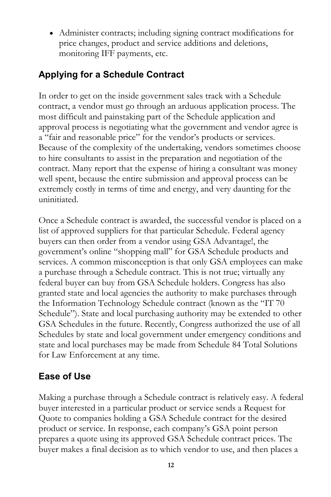• Administer contracts; including signing contract modifications for price changes, product and service additions and deletions, monitoring IFF payments, etc.

### **Applying for a Schedule Contract**

In order to get on the inside government sales track with a Schedule contract, a vendor must go through an arduous application process. The most difficult and painstaking part of the Schedule application and approval process is negotiating what the government and vendor agree is a "fair and reasonable price" for the vendor's products or services. Because of the complexity of the undertaking, vendors sometimes choose to hire consultants to assist in the preparation and negotiation of the contract. Many report that the expense of hiring a consultant was money well spent, because the entire submission and approval process can be extremely costly in terms of time and energy, and very daunting for the uninitiated.

Once a Schedule contract is awarded, the successful vendor is placed on a list of approved suppliers for that particular Schedule. Federal agency buyers can then order from a vendor using GSA Advantage!, the government's online "shopping mall" for GSA Schedule products and services. A common misconception is that only GSA employees can make a purchase through a Schedule contract. This is not true; virtually any federal buyer can buy from GSA Schedule holders. Congress has also granted state and local agencies the authority to make purchases through the Information Technology Schedule contract (known as the "IT 70 Schedule"). State and local purchasing authority may be extended to other GSA Schedules in the future. Recently, Congress authorized the use of all Schedules by state and local government under emergency conditions and state and local purchases may be made from Schedule 84 Total Solutions for Law Enforcement at any time.

#### **Ease of Use**

Making a purchase through a Schedule contract is relatively easy. A federal buyer interested in a particular product or service sends a Request for Quote to companies holding a GSA Schedule contract for the desired product or service. In response, each company's GSA point person prepares a quote using its approved GSA Schedule contract prices. The buyer makes a final decision as to which vendor to use, and then places a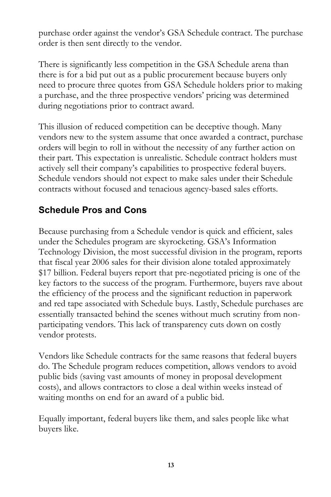purchase order against the vendor's GSA Schedule contract. The purchase order is then sent directly to the vendor.

There is significantly less competition in the GSA Schedule arena than there is for a bid put out as a public procurement because buyers only need to procure three quotes from GSA Schedule holders prior to making a purchase, and the three prospective vendors' pricing was determined during negotiations prior to contract award.

This illusion of reduced competition can be deceptive though. Many vendors new to the system assume that once awarded a contract, purchase orders will begin to roll in without the necessity of any further action on their part. This expectation is unrealistic. Schedule contract holders must actively sell their company's capabilities to prospective federal buyers. Schedule vendors should not expect to make sales under their Schedule contracts without focused and tenacious agency-based sales efforts.

#### **Schedule Pros and Cons**

Because purchasing from a Schedule vendor is quick and efficient, sales under the Schedules program are skyrocketing. GSA's Information Technology Division, the most successful division in the program, reports that fiscal year 2006 sales for their division alone totaled approximately \$17 billion. Federal buyers report that pre-negotiated pricing is one of the key factors to the success of the program. Furthermore, buyers rave about the efficiency of the process and the significant reduction in paperwork and red tape associated with Schedule buys. Lastly, Schedule purchases are essentially transacted behind the scenes without much scrutiny from nonparticipating vendors. This lack of transparency cuts down on costly vendor protests.

Vendors like Schedule contracts for the same reasons that federal buyers do. The Schedule program reduces competition, allows vendors to avoid public bids (saving vast amounts of money in proposal development costs), and allows contractors to close a deal within weeks instead of waiting months on end for an award of a public bid.

Equally important, federal buyers like them, and sales people like what buyers like.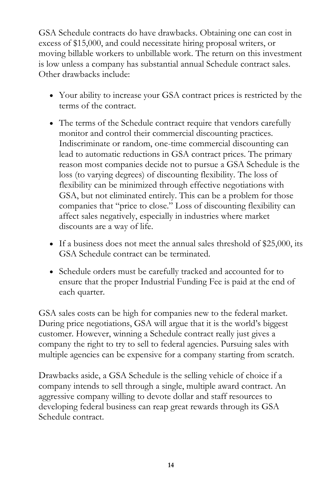GSA Schedule contracts do have drawbacks. Obtaining one can cost in excess of \$15,000, and could necessitate hiring proposal writers, or moving billable workers to unbillable work. The return on this investment is low unless a company has substantial annual Schedule contract sales. Other drawbacks include:

- Your ability to increase your GSA contract prices is restricted by the terms of the contract.
- The terms of the Schedule contract require that vendors carefully monitor and control their commercial discounting practices. Indiscriminate or random, one-time commercial discounting can lead to automatic reductions in GSA contract prices. The primary reason most companies decide not to pursue a GSA Schedule is the loss (to varying degrees) of discounting flexibility. The loss of flexibility can be minimized through effective negotiations with GSA, but not eliminated entirely. This can be a problem for those companies that "price to close." Loss of discounting flexibility can affect sales negatively, especially in industries where market discounts are a way of life.
- If a business does not meet the annual sales threshold of \$25,000, its GSA Schedule contract can be terminated.
- Schedule orders must be carefully tracked and accounted for to ensure that the proper Industrial Funding Fee is paid at the end of each quarter.

GSA sales costs can be high for companies new to the federal market. During price negotiations, GSA will argue that it is the world's biggest customer. However, winning a Schedule contract really just gives a company the right to try to sell to federal agencies. Pursuing sales with multiple agencies can be expensive for a company starting from scratch.

Drawbacks aside, a GSA Schedule is the selling vehicle of choice if a company intends to sell through a single, multiple award contract. An aggressive company willing to devote dollar and staff resources to developing federal business can reap great rewards through its GSA Schedule contract.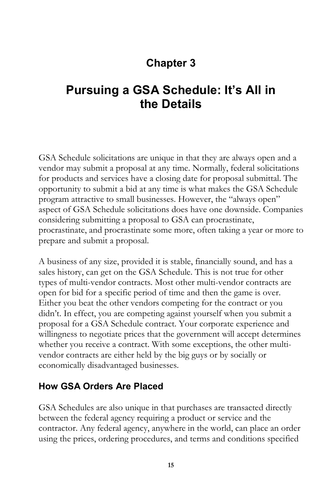## **Chapter 3**

## **Pursuing a GSA Schedule: It's All in the Details**

GSA Schedule solicitations are unique in that they are always open and a vendor may submit a proposal at any time. Normally, federal solicitations for products and services have a closing date for proposal submittal. The opportunity to submit a bid at any time is what makes the GSA Schedule program attractive to small businesses. However, the "always open" aspect of GSA Schedule solicitations does have one downside. Companies considering submitting a proposal to GSA can procrastinate, procrastinate, and procrastinate some more, often taking a year or more to prepare and submit a proposal.

A business of any size, provided it is stable, financially sound, and has a sales history, can get on the GSA Schedule. This is not true for other types of multi-vendor contracts. Most other multi-vendor contracts are open for bid for a specific period of time and then the game is over. Either you beat the other vendors competing for the contract or you didn't. In effect, you are competing against yourself when you submit a proposal for a GSA Schedule contract. Your corporate experience and willingness to negotiate prices that the government will accept determines whether you receive a contract. With some exceptions, the other multivendor contracts are either held by the big guys or by socially or economically disadvantaged businesses.

#### **How GSA Orders Are Placed**

GSA Schedules are also unique in that purchases are transacted directly between the federal agency requiring a product or service and the contractor. Any federal agency, anywhere in the world, can place an order using the prices, ordering procedures, and terms and conditions specified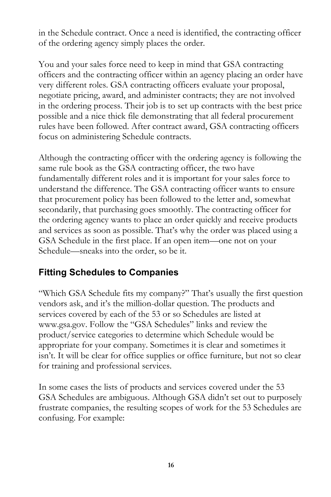in the Schedule contract. Once a need is identified, the contracting officer of the ordering agency simply places the order.

You and your sales force need to keep in mind that GSA contracting officers and the contracting officer within an agency placing an order have very different roles. GSA contracting officers evaluate your proposal, negotiate pricing, award, and administer contracts; they are not involved in the ordering process. Their job is to set up contracts with the best price possible and a nice thick file demonstrating that all federal procurement rules have been followed. After contract award, GSA contracting officers focus on administering Schedule contracts.

Although the contracting officer with the ordering agency is following the same rule book as the GSA contracting officer, the two have fundamentally different roles and it is important for your sales force to understand the difference. The GSA contracting officer wants to ensure that procurement policy has been followed to the letter and, somewhat secondarily, that purchasing goes smoothly. The contracting officer for the ordering agency wants to place an order quickly and receive products and services as soon as possible. That's why the order was placed using a GSA Schedule in the first place. If an open item—one not on your Schedule—sneaks into the order, so be it.

#### **Fitting Schedules to Companies**

"Which GSA Schedule fits my company?" That's usually the first question vendors ask, and it's the million-dollar question. The products and services covered by each of the 53 or so Schedules are listed at www.gsa.gov. Follow the "GSA Schedules" links and review the product/service categories to determine which Schedule would be appropriate for your company. Sometimes it is clear and sometimes it isn't. It will be clear for office supplies or office furniture, but not so clear for training and professional services.

In some cases the lists of products and services covered under the 53 GSA Schedules are ambiguous. Although GSA didn't set out to purposely frustrate companies, the resulting scopes of work for the 53 Schedules are confusing. For example: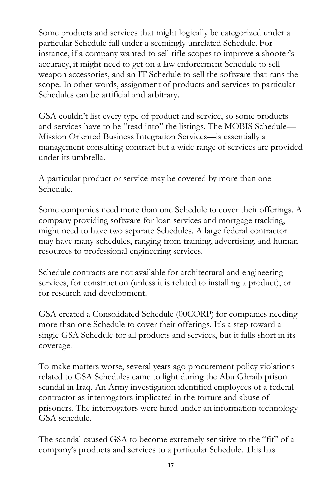Some products and services that might logically be categorized under a particular Schedule fall under a seemingly unrelated Schedule. For instance, if a company wanted to sell rifle scopes to improve a shooter's accuracy, it might need to get on a law enforcement Schedule to sell weapon accessories, and an IT Schedule to sell the software that runs the scope. In other words, assignment of products and services to particular Schedules can be artificial and arbitrary.

GSA couldn't list every type of product and service, so some products and services have to be "read into" the listings. The MOBIS Schedule— Mission Oriented Business Integration Services—is essentially a management consulting contract but a wide range of services are provided under its umbrella.

A particular product or service may be covered by more than one Schedule.

Some companies need more than one Schedule to cover their offerings. A company providing software for loan services and mortgage tracking, might need to have two separate Schedules. A large federal contractor may have many schedules, ranging from training, advertising, and human resources to professional engineering services.

Schedule contracts are not available for architectural and engineering services, for construction (unless it is related to installing a product), or for research and development.

GSA created a Consolidated Schedule (00CORP) for companies needing more than one Schedule to cover their offerings. It's a step toward a single GSA Schedule for all products and services, but it falls short in its coverage.

To make matters worse, several years ago procurement policy violations related to GSA Schedules came to light during the Abu Ghraib prison scandal in Iraq. An Army investigation identified employees of a federal contractor as interrogators implicated in the torture and abuse of prisoners. The interrogators were hired under an information technology GSA schedule.

The scandal caused GSA to become extremely sensitive to the "fit" of a company's products and services to a particular Schedule. This has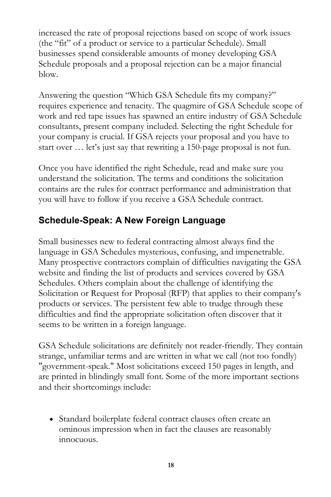increased the rate of proposal rejections based on scope of work issues (the "fit" of a product or service to a particular Schedule). Small businesses spend considerable amounts of money developing GSA Schedule proposals and a proposal rejection can be a major financial blow.

Answering the question "Which GSA Schedule fits my company?" requires experience and tenacity. The quagmire of GSA Schedule scope of work and red tape issues has spawned an entire industry of GSA Schedule consultants, present company included. Selecting the right Schedule for your company is crucial. If GSA rejects your proposal and you have to start over … let's just say that rewriting a 150-page proposal is not fun.

Once you have identified the right Schedule, read and make sure you understand the solicitation. The terms and conditions the solicitation contains are the rules for contract performance and administration that you will have to follow if you receive a GSA Schedule contract.

#### **Schedule-Speak: A New Foreign Language**

Small businesses new to federal contracting almost always find the language in GSA Schedules mysterious, confusing, and impenetrable. Many prospective contractors complain of difficulties navigating the GSA website and finding the list of products and services covered by GSA Schedules. Others complain about the challenge of identifying the Solicitation or Request for Proposal (RFP) that applies to their company's products or services. The persistent few able to trudge through these difficulties and find the appropriate solicitation often discover that it seems to be written in a foreign language.

GSA Schedule solicitations are definitely not reader-friendly. They contain strange, unfamiliar terms and are written in what we call (not too fondly) "government-speak." Most solicitations exceed 150 pages in length, and are printed in blindingly small font. Some of the more important sections and their shortcomings include:

• Standard boilerplate federal contract clauses often create an ominous impression when in fact the clauses are reasonably innocuous.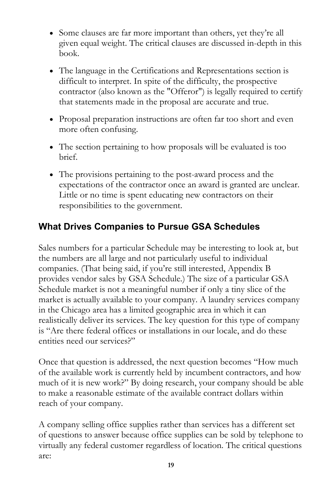- Some clauses are far more important than others, yet they're all given equal weight. The critical clauses are discussed in-depth in this book.
- The language in the Certifications and Representations section is difficult to interpret. In spite of the difficulty, the prospective contractor (also known as the "Offeror") is legally required to certify that statements made in the proposal are accurate and true.
- Proposal preparation instructions are often far too short and even more often confusing.
- The section pertaining to how proposals will be evaluated is too brief.
- The provisions pertaining to the post-award process and the expectations of the contractor once an award is granted are unclear. Little or no time is spent educating new contractors on their responsibilities to the government.

#### **What Drives Companies to Pursue GSA Schedules**

Sales numbers for a particular Schedule may be interesting to look at, but the numbers are all large and not particularly useful to individual companies. (That being said, if you're still interested, Appendix B provides vendor sales by GSA Schedule.) The size of a particular GSA Schedule market is not a meaningful number if only a tiny slice of the market is actually available to your company. A laundry services company in the Chicago area has a limited geographic area in which it can realistically deliver its services. The key question for this type of company is "Are there federal offices or installations in our locale, and do these entities need our services?"

Once that question is addressed, the next question becomes "How much of the available work is currently held by incumbent contractors, and how much of it is new work?" By doing research, your company should be able to make a reasonable estimate of the available contract dollars within reach of your company.

A company selling office supplies rather than services has a different set of questions to answer because office supplies can be sold by telephone to virtually any federal customer regardless of location. The critical questions are: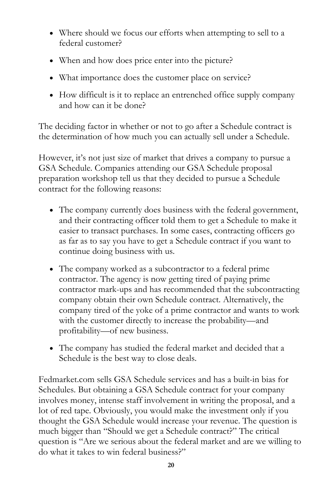- Where should we focus our efforts when attempting to sell to a federal customer?
- When and how does price enter into the picture?
- What importance does the customer place on service?
- How difficult is it to replace an entrenched office supply company and how can it be done?

The deciding factor in whether or not to go after a Schedule contract is the determination of how much you can actually sell under a Schedule.

However, it's not just size of market that drives a company to pursue a GSA Schedule. Companies attending our GSA Schedule proposal preparation workshop tell us that they decided to pursue a Schedule contract for the following reasons:

- The company currently does business with the federal government, and their contracting officer told them to get a Schedule to make it easier to transact purchases. In some cases, contracting officers go as far as to say you have to get a Schedule contract if you want to continue doing business with us.
- The company worked as a subcontractor to a federal prime contractor. The agency is now getting tired of paying prime contractor mark-ups and has recommended that the subcontracting company obtain their own Schedule contract. Alternatively, the company tired of the yoke of a prime contractor and wants to work with the customer directly to increase the probability—and profitability—of new business.
- The company has studied the federal market and decided that a Schedule is the best way to close deals.

Fedmarket.com sells GSA Schedule services and has a built-in bias for Schedules. But obtaining a GSA Schedule contract for your company involves money, intense staff involvement in writing the proposal, and a lot of red tape. Obviously, you would make the investment only if you thought the GSA Schedule would increase your revenue. The question is much bigger than "Should we get a Schedule contract?" The critical question is "Are we serious about the federal market and are we willing to do what it takes to win federal business?"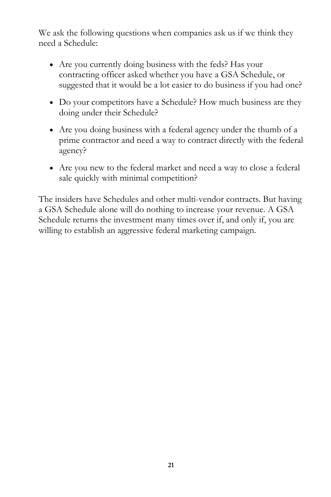We ask the following questions when companies ask us if we think they need a Schedule:

- Are you currently doing business with the feds? Has your contracting officer asked whether you have a GSA Schedule, or suggested that it would be a lot easier to do business if you had one?
- Do your competitors have a Schedule? How much business are they doing under their Schedule?
- Are you doing business with a federal agency under the thumb of a prime contractor and need a way to contract directly with the federal agency?
- Are you new to the federal market and need a way to close a federal sale quickly with minimal competition?

The insiders have Schedules and other multi-vendor contracts. But having a GSA Schedule alone will do nothing to increase your revenue. A GSA Schedule returns the investment many times over if, and only if, you are willing to establish an aggressive federal marketing campaign.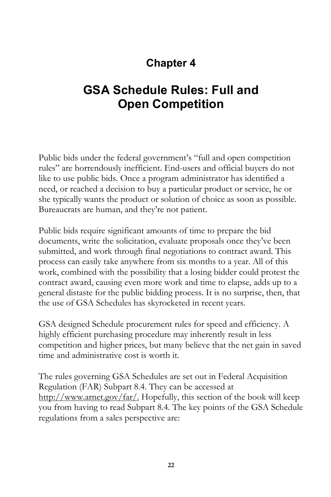### **Chapter 4**

## **GSA Schedule Rules: Full and Open Competition**

Public bids under the federal government's "full and open competition rules" are horrendously inefficient. End-users and official buyers do not like to use public bids. Once a program administrator has identified a need, or reached a decision to buy a particular product or service, he or she typically wants the product or solution of choice as soon as possible. Bureaucrats are human, and they're not patient.

Public bids require significant amounts of time to prepare the bid documents, write the solicitation, evaluate proposals once they've been submitted, and work through final negotiations to contract award. This process can easily take anywhere from six months to a year. All of this work, combined with the possibility that a losing bidder could protest the contract award, causing even more work and time to elapse, adds up to a general distaste for the public bidding process. It is no surprise, then, that the use of GSA Schedules has skyrocketed in recent years.

GSA designed Schedule procurement rules for speed and efficiency. A highly efficient purchasing procedure may inherently result in less competition and higher prices, but many believe that the net gain in saved time and administrative cost is worth it.

The rules governing GSA Schedules are set out in Federal Acquisition Regulation (FAR) Subpart 8.4. They can be accessed at http://www.arnet.gov/far/. Hopefully, this section of the book will keep you from having to read Subpart 8.4. The key points of the GSA Schedule regulations from a sales perspective are: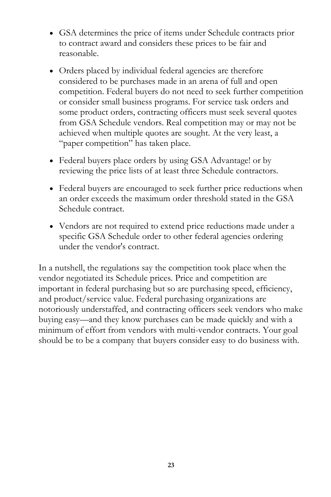- GSA determines the price of items under Schedule contracts prior to contract award and considers these prices to be fair and reasonable.
- Orders placed by individual federal agencies are therefore considered to be purchases made in an arena of full and open competition. Federal buyers do not need to seek further competition or consider small business programs. For service task orders and some product orders, contracting officers must seek several quotes from GSA Schedule vendors. Real competition may or may not be achieved when multiple quotes are sought. At the very least, a "paper competition" has taken place.
- Federal buyers place orders by using GSA Advantage! or by reviewing the price lists of at least three Schedule contractors.
- Federal buyers are encouraged to seek further price reductions when an order exceeds the maximum order threshold stated in the GSA Schedule contract.
- Vendors are not required to extend price reductions made under a specific GSA Schedule order to other federal agencies ordering under the vendor's contract.

In a nutshell, the regulations say the competition took place when the vendor negotiated its Schedule prices. Price and competition are important in federal purchasing but so are purchasing speed, efficiency, and product/service value. Federal purchasing organizations are notoriously understaffed, and contracting officers seek vendors who make buying easy—and they know purchases can be made quickly and with a minimum of effort from vendors with multi-vendor contracts. Your goal should be to be a company that buyers consider easy to do business with.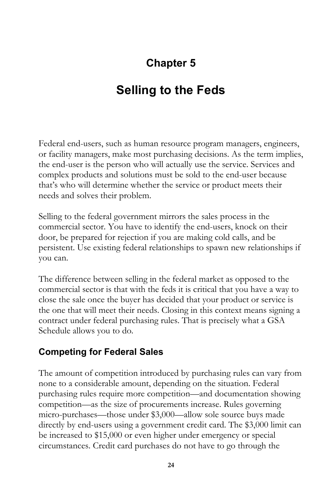## **Chapter 5**

# **Selling to the Feds**

Federal end-users, such as human resource program managers, engineers, or facility managers, make most purchasing decisions. As the term implies, the end-user is the person who will actually use the service. Services and complex products and solutions must be sold to the end-user because that's who will determine whether the service or product meets their needs and solves their problem.

Selling to the federal government mirrors the sales process in the commercial sector. You have to identify the end-users, knock on their door, be prepared for rejection if you are making cold calls, and be persistent. Use existing federal relationships to spawn new relationships if you can.

The difference between selling in the federal market as opposed to the commercial sector is that with the feds it is critical that you have a way to close the sale once the buyer has decided that your product or service is the one that will meet their needs. Closing in this context means signing a contract under federal purchasing rules. That is precisely what a GSA Schedule allows you to do.

#### **Competing for Federal Sales**

The amount of competition introduced by purchasing rules can vary from none to a considerable amount, depending on the situation. Federal purchasing rules require more competition—and documentation showing competition—as the size of procurements increase. Rules governing micro-purchases—those under \$3,000—allow sole source buys made directly by end-users using a government credit card. The \$3,000 limit can be increased to \$15,000 or even higher under emergency or special circumstances. Credit card purchases do not have to go through the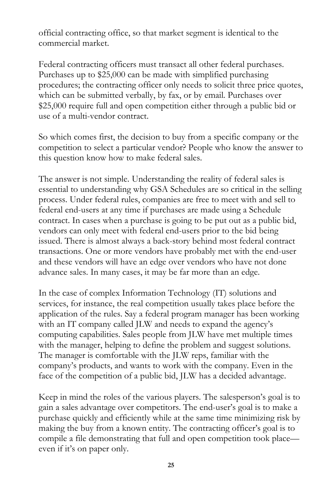official contracting office, so that market segment is identical to the commercial market.

Federal contracting officers must transact all other federal purchases. Purchases up to \$25,000 can be made with simplified purchasing procedures; the contracting officer only needs to solicit three price quotes, which can be submitted verbally, by fax, or by email. Purchases over \$25,000 require full and open competition either through a public bid or use of a multi-vendor contract.

So which comes first, the decision to buy from a specific company or the competition to select a particular vendor? People who know the answer to this question know how to make federal sales.

The answer is not simple. Understanding the reality of federal sales is essential to understanding why GSA Schedules are so critical in the selling process. Under federal rules, companies are free to meet with and sell to federal end-users at any time if purchases are made using a Schedule contract. In cases when a purchase is going to be put out as a public bid, vendors can only meet with federal end-users prior to the bid being issued. There is almost always a back-story behind most federal contract transactions. One or more vendors have probably met with the end-user and these vendors will have an edge over vendors who have not done advance sales. In many cases, it may be far more than an edge.

In the case of complex Information Technology (IT) solutions and services, for instance, the real competition usually takes place before the application of the rules. Say a federal program manager has been working with an IT company called JLW and needs to expand the agency's computing capabilities. Sales people from JLW have met multiple times with the manager, helping to define the problem and suggest solutions. The manager is comfortable with the JLW reps, familiar with the company's products, and wants to work with the company. Even in the face of the competition of a public bid, JLW has a decided advantage.

Keep in mind the roles of the various players. The salesperson's goal is to gain a sales advantage over competitors. The end-user's goal is to make a purchase quickly and efficiently while at the same time minimizing risk by making the buy from a known entity. The contracting officer's goal is to compile a file demonstrating that full and open competition took place even if it's on paper only.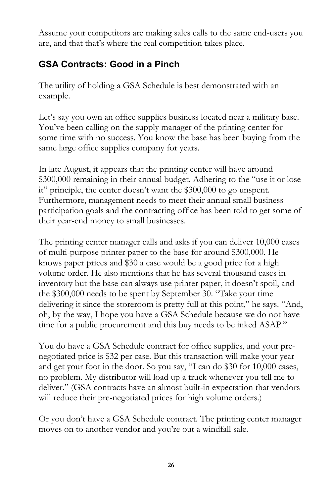Assume your competitors are making sales calls to the same end-users you are, and that that's where the real competition takes place.

### **GSA Contracts: Good in a Pinch**

The utility of holding a GSA Schedule is best demonstrated with an example.

Let's say you own an office supplies business located near a military base. You've been calling on the supply manager of the printing center for some time with no success. You know the base has been buying from the same large office supplies company for years.

In late August, it appears that the printing center will have around \$300,000 remaining in their annual budget. Adhering to the "use it or lose it" principle, the center doesn't want the \$300,000 to go unspent. Furthermore, management needs to meet their annual small business participation goals and the contracting office has been told to get some of their year-end money to small businesses.

The printing center manager calls and asks if you can deliver 10,000 cases of multi-purpose printer paper to the base for around \$300,000. He knows paper prices and \$30 a case would be a good price for a high volume order. He also mentions that he has several thousand cases in inventory but the base can always use printer paper, it doesn't spoil, and the \$300,000 needs to be spent by September 30. "Take your time delivering it since the storeroom is pretty full at this point," he says. "And, oh, by the way, I hope you have a GSA Schedule because we do not have time for a public procurement and this buy needs to be inked ASAP."

You do have a GSA Schedule contract for office supplies, and your prenegotiated price is \$32 per case. But this transaction will make your year and get your foot in the door. So you say, "I can do \$30 for 10,000 cases, no problem. My distributor will load up a truck whenever you tell me to deliver." (GSA contracts have an almost built-in expectation that vendors will reduce their pre-negotiated prices for high volume orders.)

Or you don't have a GSA Schedule contract. The printing center manager moves on to another vendor and you're out a windfall sale.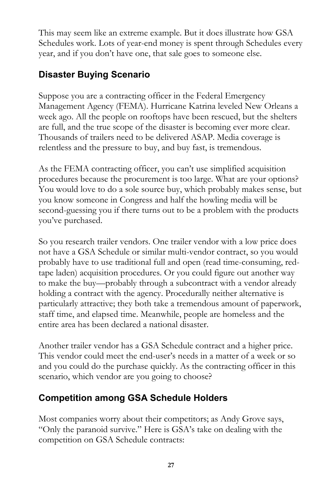This may seem like an extreme example. But it does illustrate how GSA Schedules work. Lots of year-end money is spent through Schedules every year, and if you don't have one, that sale goes to someone else.

### **Disaster Buying Scenario**

Suppose you are a contracting officer in the Federal Emergency Management Agency (FEMA). Hurricane Katrina leveled New Orleans a week ago. All the people on rooftops have been rescued, but the shelters are full, and the true scope of the disaster is becoming ever more clear. Thousands of trailers need to be delivered ASAP. Media coverage is relentless and the pressure to buy, and buy fast, is tremendous.

As the FEMA contracting officer, you can't use simplified acquisition procedures because the procurement is too large. What are your options? You would love to do a sole source buy, which probably makes sense, but you know someone in Congress and half the howling media will be second-guessing you if there turns out to be a problem with the products you've purchased.

So you research trailer vendors. One trailer vendor with a low price does not have a GSA Schedule or similar multi-vendor contract, so you would probably have to use traditional full and open (read time-consuming, redtape laden) acquisition procedures. Or you could figure out another way to make the buy—probably through a subcontract with a vendor already holding a contract with the agency. Procedurally neither alternative is particularly attractive; they both take a tremendous amount of paperwork, staff time, and elapsed time. Meanwhile, people are homeless and the entire area has been declared a national disaster.

Another trailer vendor has a GSA Schedule contract and a higher price. This vendor could meet the end-user's needs in a matter of a week or so and you could do the purchase quickly. As the contracting officer in this scenario, which vendor are you going to choose?

#### **Competition among GSA Schedule Holders**

Most companies worry about their competitors; as Andy Grove says, "Only the paranoid survive." Here is GSA's take on dealing with the competition on GSA Schedule contracts: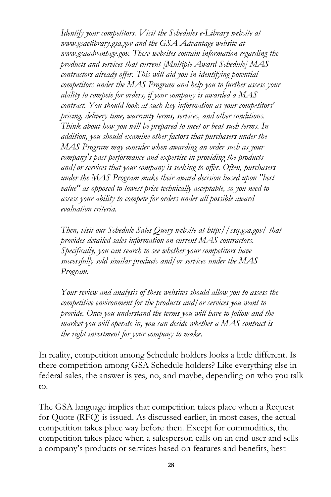*Identify your competitors. Visit the Schedules e-Library website at www.gsaelibrary.gsa.gov and the GSA Advantage website at www.gsaadvantage.gov. These websites contain information regarding the products and services that current [Multiple Award Schedule] MAS contractors already offer. This will aid you in identifying potential competitors under the MAS Program and help you to further assess your ability to compete for orders, if your company is awarded a MAS contract. You should look at such key information as your competitors' pricing, delivery time, warranty terms, services, and other conditions. Think about how you will be prepared to meet or beat such terms. In addition, you should examine other factors that purchasers under the MAS Program may consider when awarding an order such as your company's past performance and expertise in providing the products and/or services that your company is seeking to offer. Often, purchasers under the MAS Program make their award decision based upon "best value" as opposed to lowest price technically acceptable, so you need to assess your ability to compete for orders under all possible award evaluation criteria.* 

*Then, visit our Schedule Sales Query website at http://ssq.gsa.gov/ that provides detailed sales information on current MAS contractors. Specifically, you can search to see whether your competitors have successfully sold similar products and/or services under the MAS Program.* 

*Your review and analysis of these websites should allow you to assess the competitive environment for the products and/or services you want to provide. Once you understand the terms you will have to follow and the market you will operate in, you can decide whether a MAS contract is the right investment for your company to make.* 

In reality, competition among Schedule holders looks a little different. Is there competition among GSA Schedule holders? Like everything else in federal sales, the answer is yes, no, and maybe, depending on who you talk to.

The GSA language implies that competition takes place when a Request for Quote (RFQ) is issued. As discussed earlier, in most cases, the actual competition takes place way before then. Except for commodities, the competition takes place when a salesperson calls on an end-user and sells a company's products or services based on features and benefits, best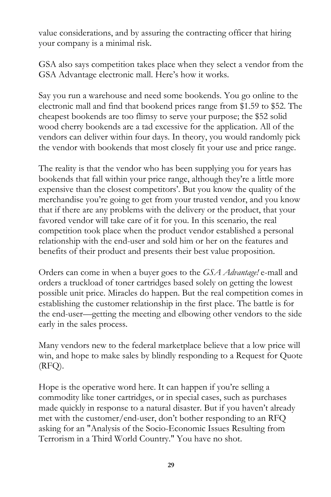value considerations, and by assuring the contracting officer that hiring your company is a minimal risk.

GSA also says competition takes place when they select a vendor from the GSA Advantage electronic mall. Here's how it works.

Say you run a warehouse and need some bookends. You go online to the electronic mall and find that bookend prices range from \$1.59 to \$52. The cheapest bookends are too flimsy to serve your purpose; the \$52 solid wood cherry bookends are a tad excessive for the application. All of the vendors can deliver within four days. In theory, you would randomly pick the vendor with bookends that most closely fit your use and price range.

The reality is that the vendor who has been supplying you for years has bookends that fall within your price range, although they're a little more expensive than the closest competitors'. But you know the quality of the merchandise you're going to get from your trusted vendor, and you know that if there are any problems with the delivery or the product, that your favored vendor will take care of it for you. In this scenario, the real competition took place when the product vendor established a personal relationship with the end-user and sold him or her on the features and benefits of their product and presents their best value proposition.

Orders can come in when a buyer goes to the *GSA Advantage!* e-mall and orders a truckload of toner cartridges based solely on getting the lowest possible unit price. Miracles do happen. But the real competition comes in establishing the customer relationship in the first place. The battle is for the end-user—getting the meeting and elbowing other vendors to the side early in the sales process.

Many vendors new to the federal marketplace believe that a low price will win, and hope to make sales by blindly responding to a Request for Quote (RFQ).

Hope is the operative word here. It can happen if you're selling a commodity like toner cartridges, or in special cases, such as purchases made quickly in response to a natural disaster. But if you haven't already met with the customer/end-user, don't bother responding to an RFQ asking for an "Analysis of the Socio-Economic Issues Resulting from Terrorism in a Third World Country." You have no shot.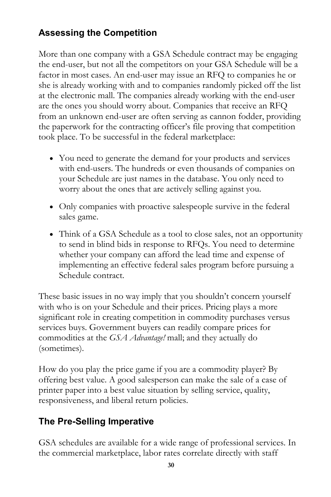### **Assessing the Competition**

More than one company with a GSA Schedule contract may be engaging the end-user, but not all the competitors on your GSA Schedule will be a factor in most cases. An end-user may issue an RFQ to companies he or she is already working with and to companies randomly picked off the list at the electronic mall. The companies already working with the end-user are the ones you should worry about. Companies that receive an RFQ from an unknown end-user are often serving as cannon fodder, providing the paperwork for the contracting officer's file proving that competition took place. To be successful in the federal marketplace:

- You need to generate the demand for your products and services with end-users. The hundreds or even thousands of companies on your Schedule are just names in the database. You only need to worry about the ones that are actively selling against you.
- Only companies with proactive salespeople survive in the federal sales game.
- Think of a GSA Schedule as a tool to close sales, not an opportunity to send in blind bids in response to RFQs. You need to determine whether your company can afford the lead time and expense of implementing an effective federal sales program before pursuing a Schedule contract.

These basic issues in no way imply that you shouldn't concern yourself with who is on your Schedule and their prices. Pricing plays a more significant role in creating competition in commodity purchases versus services buys. Government buyers can readily compare prices for commodities at the *GSA Advantage!* mall; and they actually do (sometimes).

How do you play the price game if you are a commodity player? By offering best value. A good salesperson can make the sale of a case of printer paper into a best value situation by selling service, quality, responsiveness, and liberal return policies.

### **The Pre-Selling Imperative**

GSA schedules are available for a wide range of professional services. In the commercial marketplace, labor rates correlate directly with staff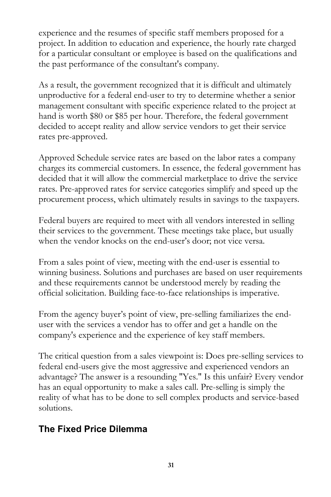experience and the resumes of specific staff members proposed for a project. In addition to education and experience, the hourly rate charged for a particular consultant or employee is based on the qualifications and the past performance of the consultant's company.

As a result, the government recognized that it is difficult and ultimately unproductive for a federal end-user to try to determine whether a senior management consultant with specific experience related to the project at hand is worth \$80 or \$85 per hour. Therefore, the federal government decided to accept reality and allow service vendors to get their service rates pre-approved.

Approved Schedule service rates are based on the labor rates a company charges its commercial customers. In essence, the federal government has decided that it will allow the commercial marketplace to drive the service rates. Pre-approved rates for service categories simplify and speed up the procurement process, which ultimately results in savings to the taxpayers.

Federal buyers are required to meet with all vendors interested in selling their services to the government. These meetings take place, but usually when the vendor knocks on the end-user's door; not vice versa.

From a sales point of view, meeting with the end-user is essential to winning business. Solutions and purchases are based on user requirements and these requirements cannot be understood merely by reading the official solicitation. Building face-to-face relationships is imperative.

From the agency buyer's point of view, pre-selling familiarizes the enduser with the services a vendor has to offer and get a handle on the company's experience and the experience of key staff members.

The critical question from a sales viewpoint is: Does pre-selling services to federal end-users give the most aggressive and experienced vendors an advantage? The answer is a resounding "Yes." Is this unfair? Every vendor has an equal opportunity to make a sales call. Pre-selling is simply the reality of what has to be done to sell complex products and service-based solutions.

#### **The Fixed Price Dilemma**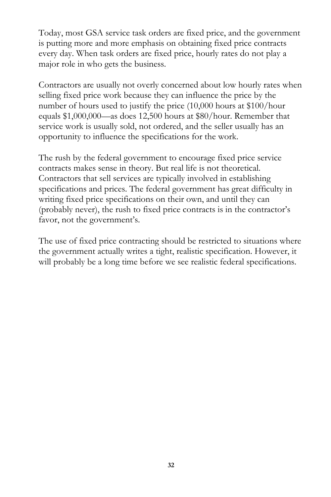Today, most GSA service task orders are fixed price, and the government is putting more and more emphasis on obtaining fixed price contracts every day. When task orders are fixed price, hourly rates do not play a major role in who gets the business.

Contractors are usually not overly concerned about low hourly rates when selling fixed price work because they can influence the price by the number of hours used to justify the price (10,000 hours at \$100/hour equals \$1,000,000—as does 12,500 hours at \$80/hour. Remember that service work is usually sold, not ordered, and the seller usually has an opportunity to influence the specifications for the work.

The rush by the federal government to encourage fixed price service contracts makes sense in theory. But real life is not theoretical. Contractors that sell services are typically involved in establishing specifications and prices. The federal government has great difficulty in writing fixed price specifications on their own, and until they can (probably never), the rush to fixed price contracts is in the contractor's favor, not the government's.

The use of fixed price contracting should be restricted to situations where the government actually writes a tight, realistic specification. However, it will probably be a long time before we see realistic federal specifications.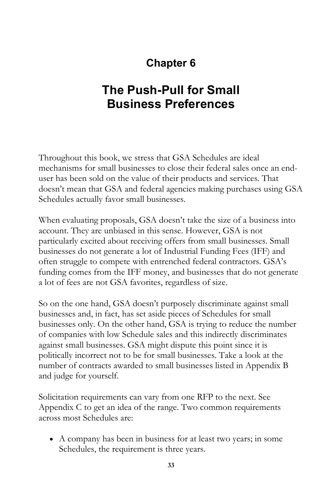### **Chapter 6**

## **The Push-Pull for Small Business Preferences**

Throughout this book, we stress that GSA Schedules are ideal mechanisms for small businesses to close their federal sales once an enduser has been sold on the value of their products and services. That doesn't mean that GSA and federal agencies making purchases using GSA Schedules actually favor small businesses.

When evaluating proposals, GSA doesn't take the size of a business into account. They are unbiased in this sense. However, GSA is not particularly excited about receiving offers from small businesses. Small businesses do not generate a lot of Industrial Funding Fees (IFF) and often struggle to compete with entrenched federal contractors. GSA's funding comes from the IFF money, and businesses that do not generate a lot of fees are not GSA favorites, regardless of size.

So on the one hand, GSA doesn't purposely discriminate against small businesses and, in fact, has set aside pieces of Schedules for small businesses only. On the other hand, GSA is trying to reduce the number of companies with low Schedule sales and this indirectly discriminates against small businesses. GSA might dispute this point since it is politically incorrect not to be for small businesses. Take a look at the number of contracts awarded to small businesses listed in Appendix B and judge for yourself.

Solicitation requirements can vary from one RFP to the next. See Appendix C to get an idea of the range. Two common requirements across most Schedules are:

• A company has been in business for at least two years; in some Schedules, the requirement is three years.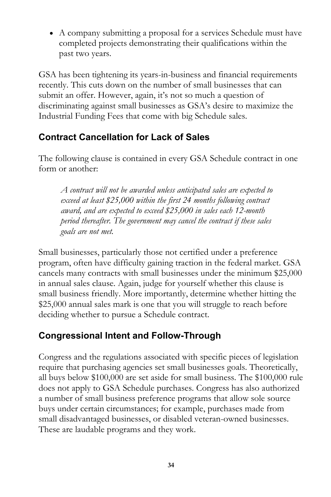• A company submitting a proposal for a services Schedule must have completed projects demonstrating their qualifications within the past two years.

GSA has been tightening its years-in-business and financial requirements recently. This cuts down on the number of small businesses that can submit an offer. However, again, it's not so much a question of discriminating against small businesses as GSA's desire to maximize the Industrial Funding Fees that come with big Schedule sales.

#### **Contract Cancellation for Lack of Sales**

The following clause is contained in every GSA Schedule contract in one form or another:

*A contract will not be awarded unless anticipated sales are expected to exceed at least \$25,000 within the first 24 months following contract award, and are expected to exceed \$25,000 in sales each 12-month period thereafter. The government may cancel the contract if these sales goals are not met.* 

Small businesses, particularly those not certified under a preference program, often have difficulty gaining traction in the federal market. GSA cancels many contracts with small businesses under the minimum \$25,000 in annual sales clause. Again, judge for yourself whether this clause is small business friendly. More importantly, determine whether hitting the \$25,000 annual sales mark is one that you will struggle to reach before deciding whether to pursue a Schedule contract.

#### **Congressional Intent and Follow-Through**

Congress and the regulations associated with specific pieces of legislation require that purchasing agencies set small businesses goals. Theoretically, all buys below \$100,000 are set aside for small business. The \$100,000 rule does not apply to GSA Schedule purchases. Congress has also authorized a number of small business preference programs that allow sole source buys under certain circumstances; for example, purchases made from small disadvantaged businesses, or disabled veteran-owned businesses. These are laudable programs and they work.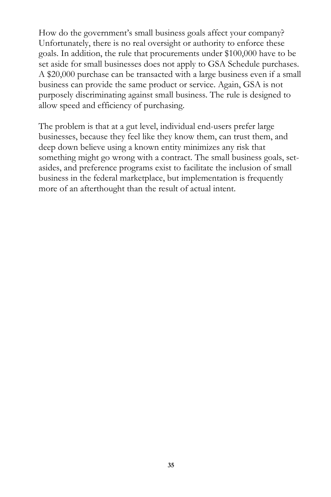How do the government's small business goals affect your company? Unfortunately, there is no real oversight or authority to enforce these goals. In addition, the rule that procurements under \$100,000 have to be set aside for small businesses does not apply to GSA Schedule purchases. A \$20,000 purchase can be transacted with a large business even if a small business can provide the same product or service. Again, GSA is not purposely discriminating against small business. The rule is designed to allow speed and efficiency of purchasing.

The problem is that at a gut level, individual end-users prefer large businesses, because they feel like they know them, can trust them, and deep down believe using a known entity minimizes any risk that something might go wrong with a contract. The small business goals, setasides, and preference programs exist to facilitate the inclusion of small business in the federal marketplace, but implementation is frequently more of an afterthought than the result of actual intent.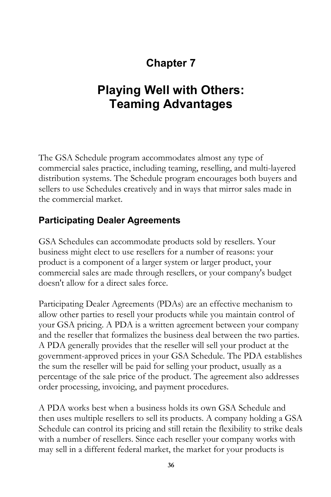### **Chapter 7**

## **Playing Well with Others: Teaming Advantages**

The GSA Schedule program accommodates almost any type of commercial sales practice, including teaming, reselling, and multi-layered distribution systems. The Schedule program encourages both buyers and sellers to use Schedules creatively and in ways that mirror sales made in the commercial market.

#### **Participating Dealer Agreements**

GSA Schedules can accommodate products sold by resellers. Your business might elect to use resellers for a number of reasons: your product is a component of a larger system or larger product, your commercial sales are made through resellers, or your company's budget doesn't allow for a direct sales force.

Participating Dealer Agreements (PDAs) are an effective mechanism to allow other parties to resell your products while you maintain control of your GSA pricing. A PDA is a written agreement between your company and the reseller that formalizes the business deal between the two parties. A PDA generally provides that the reseller will sell your product at the government-approved prices in your GSA Schedule. The PDA establishes the sum the reseller will be paid for selling your product, usually as a percentage of the sale price of the product. The agreement also addresses order processing, invoicing, and payment procedures.

A PDA works best when a business holds its own GSA Schedule and then uses multiple resellers to sell its products. A company holding a GSA Schedule can control its pricing and still retain the flexibility to strike deals with a number of resellers. Since each reseller your company works with may sell in a different federal market, the market for your products is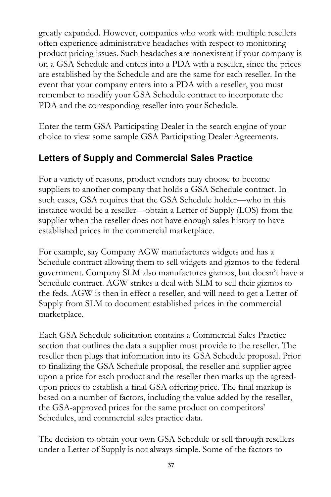greatly expanded. However, companies who work with multiple resellers often experience administrative headaches with respect to monitoring product pricing issues. Such headaches are nonexistent if your company is on a GSA Schedule and enters into a PDA with a reseller, since the prices are established by the Schedule and are the same for each reseller. In the event that your company enters into a PDA with a reseller, you must remember to modify your GSA Schedule contract to incorporate the PDA and the corresponding reseller into your Schedule.

Enter the term GSA Participating Dealer in the search engine of your choice to view some sample GSA Participating Dealer Agreements.

#### **Letters of Supply and Commercial Sales Practice**

For a variety of reasons, product vendors may choose to become suppliers to another company that holds a GSA Schedule contract. In such cases, GSA requires that the GSA Schedule holder—who in this instance would be a reseller—obtain a Letter of Supply (LOS) from the supplier when the reseller does not have enough sales history to have established prices in the commercial marketplace.

For example, say Company AGW manufactures widgets and has a Schedule contract allowing them to sell widgets and gizmos to the federal government. Company SLM also manufactures gizmos, but doesn't have a Schedule contract. AGW strikes a deal with SLM to sell their gizmos to the feds. AGW is then in effect a reseller, and will need to get a Letter of Supply from SLM to document established prices in the commercial marketplace.

Each GSA Schedule solicitation contains a Commercial Sales Practice section that outlines the data a supplier must provide to the reseller. The reseller then plugs that information into its GSA Schedule proposal. Prior to finalizing the GSA Schedule proposal, the reseller and supplier agree upon a price for each product and the reseller then marks up the agreedupon prices to establish a final GSA offering price. The final markup is based on a number of factors, including the value added by the reseller, the GSA-approved prices for the same product on competitors' Schedules, and commercial sales practice data.

The decision to obtain your own GSA Schedule or sell through resellers under a Letter of Supply is not always simple. Some of the factors to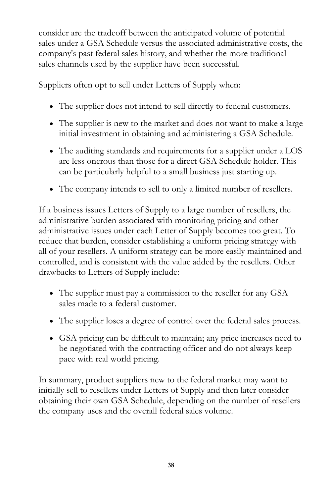consider are the tradeoff between the anticipated volume of potential sales under a GSA Schedule versus the associated administrative costs, the company's past federal sales history, and whether the more traditional sales channels used by the supplier have been successful.

Suppliers often opt to sell under Letters of Supply when:

- The supplier does not intend to sell directly to federal customers.
- The supplier is new to the market and does not want to make a large initial investment in obtaining and administering a GSA Schedule.
- The auditing standards and requirements for a supplier under a LOS are less onerous than those for a direct GSA Schedule holder. This can be particularly helpful to a small business just starting up.
- The company intends to sell to only a limited number of resellers.

If a business issues Letters of Supply to a large number of resellers, the administrative burden associated with monitoring pricing and other administrative issues under each Letter of Supply becomes too great. To reduce that burden, consider establishing a uniform pricing strategy with all of your resellers. A uniform strategy can be more easily maintained and controlled, and is consistent with the value added by the resellers. Other drawbacks to Letters of Supply include:

- The supplier must pay a commission to the reseller for any GSA sales made to a federal customer.
- The supplier loses a degree of control over the federal sales process.
- GSA pricing can be difficult to maintain; any price increases need to be negotiated with the contracting officer and do not always keep pace with real world pricing.

In summary, product suppliers new to the federal market may want to initially sell to resellers under Letters of Supply and then later consider obtaining their own GSA Schedule, depending on the number of resellers the company uses and the overall federal sales volume.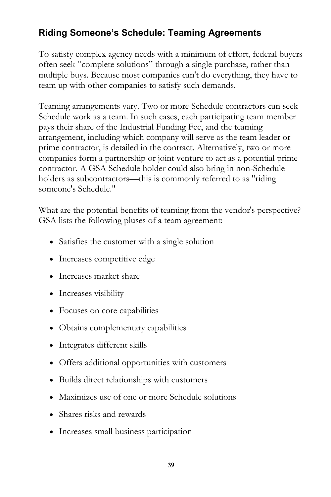## **Riding Someone's Schedule: Teaming Agreements**

To satisfy complex agency needs with a minimum of effort, federal buyers often seek "complete solutions" through a single purchase, rather than multiple buys. Because most companies can't do everything, they have to team up with other companies to satisfy such demands.

Teaming arrangements vary. Two or more Schedule contractors can seek Schedule work as a team. In such cases, each participating team member pays their share of the Industrial Funding Fee, and the teaming arrangement, including which company will serve as the team leader or prime contractor, is detailed in the contract. Alternatively, two or more companies form a partnership or joint venture to act as a potential prime contractor. A GSA Schedule holder could also bring in non-Schedule holders as subcontractors—this is commonly referred to as "riding someone's Schedule."

What are the potential benefits of teaming from the vendor's perspective? GSA lists the following pluses of a team agreement:

- Satisfies the customer with a single solution
- Increases competitive edge
- Increases market share
- Increases visibility
- Focuses on core capabilities
- Obtains complementary capabilities
- Integrates different skills
- Offers additional opportunities with customers
- Builds direct relationships with customers
- Maximizes use of one or more Schedule solutions
- Shares risks and rewards
- Increases small business participation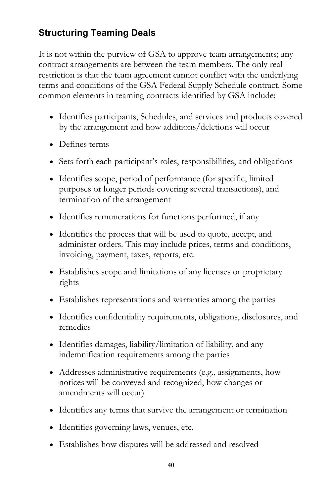## **Structuring Teaming Deals**

It is not within the purview of GSA to approve team arrangements; any contract arrangements are between the team members. The only real restriction is that the team agreement cannot conflict with the underlying terms and conditions of the GSA Federal Supply Schedule contract. Some common elements in teaming contracts identified by GSA include:

- Identifies participants, Schedules, and services and products covered by the arrangement and how additions/deletions will occur
- Defines terms
- Sets forth each participant's roles, responsibilities, and obligations
- Identifies scope, period of performance (for specific, limited purposes or longer periods covering several transactions), and termination of the arrangement
- Identifies remunerations for functions performed, if any
- Identifies the process that will be used to quote, accept, and administer orders. This may include prices, terms and conditions, invoicing, payment, taxes, reports, etc.
- Establishes scope and limitations of any licenses or proprietary rights
- Establishes representations and warranties among the parties
- Identifies confidentiality requirements, obligations, disclosures, and remedies
- Identifies damages, liability/limitation of liability, and any indemnification requirements among the parties
- Addresses administrative requirements (e.g., assignments, how notices will be conveyed and recognized, how changes or amendments will occur)
- Identifies any terms that survive the arrangement or termination
- Identifies governing laws, venues, etc.
- Establishes how disputes will be addressed and resolved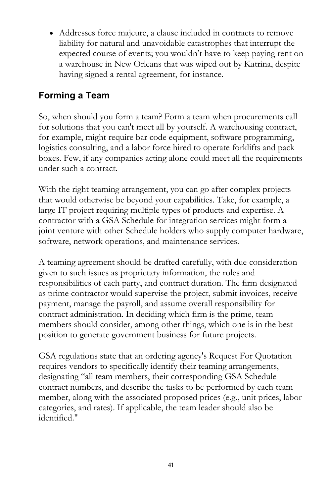• Addresses force majeure, a clause included in contracts to remove liability for natural and unavoidable catastrophes that interrupt the expected course of events; you wouldn't have to keep paying rent on a warehouse in New Orleans that was wiped out by Katrina, despite having signed a rental agreement, for instance.

#### **Forming a Team**

So, when should you form a team? Form a team when procurements call for solutions that you can't meet all by yourself. A warehousing contract, for example, might require bar code equipment, software programming, logistics consulting, and a labor force hired to operate forklifts and pack boxes. Few, if any companies acting alone could meet all the requirements under such a contract.

With the right teaming arrangement, you can go after complex projects that would otherwise be beyond your capabilities. Take, for example, a large IT project requiring multiple types of products and expertise. A contractor with a GSA Schedule for integration services might form a joint venture with other Schedule holders who supply computer hardware, software, network operations, and maintenance services.

A teaming agreement should be drafted carefully, with due consideration given to such issues as proprietary information, the roles and responsibilities of each party, and contract duration. The firm designated as prime contractor would supervise the project, submit invoices, receive payment, manage the payroll, and assume overall responsibility for contract administration. In deciding which firm is the prime, team members should consider, among other things, which one is in the best position to generate government business for future projects.

GSA regulations state that an ordering agency's Request For Quotation requires vendors to specifically identify their teaming arrangements, designating "all team members, their corresponding GSA Schedule contract numbers, and describe the tasks to be performed by each team member, along with the associated proposed prices (e.g., unit prices, labor categories, and rates). If applicable, the team leader should also be identified."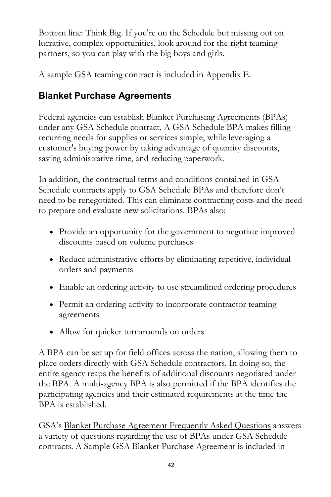Bottom line: Think Big. If you're on the Schedule but missing out on lucrative, complex opportunities, look around for the right teaming partners, so you can play with the big boys and girls.

A sample GSA teaming contract is included in Appendix E.

## **Blanket Purchase Agreements**

Federal agencies can establish Blanket Purchasing Agreements (BPAs) under any GSA Schedule contract. A GSA Schedule BPA makes filling recurring needs for supplies or services simple, while leveraging a customer's buying power by taking advantage of quantity discounts, saving administrative time, and reducing paperwork.

In addition, the contractual terms and conditions contained in GSA Schedule contracts apply to GSA Schedule BPAs and therefore don't need to be renegotiated. This can eliminate contracting costs and the need to prepare and evaluate new solicitations. BPAs also:

- Provide an opportunity for the government to negotiate improved discounts based on volume purchases
- Reduce administrative efforts by eliminating repetitive, individual orders and payments
- Enable an ordering activity to use streamlined ordering procedures
- Permit an ordering activity to incorporate contractor teaming agreements
- Allow for quicker turnarounds on orders

A BPA can be set up for field offices across the nation, allowing them to place orders directly with GSA Schedule contractors. In doing so, the entire agency reaps the benefits of additional discounts negotiated under the BPA. A multi-agency BPA is also permitted if the BPA identifies the participating agencies and their estimated requirements at the time the BPA is established.

GSA's Blanket Purchase Agreement Frequently Asked Questions answers a variety of questions regarding the use of BPAs under GSA Schedule contracts. A Sample GSA Blanket Purchase Agreement is included in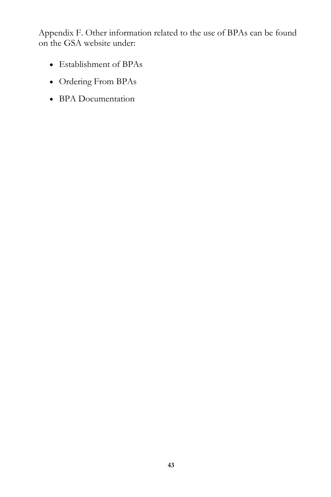Appendix F. Other information related to the use of BPAs can be found on the GSA website under:

- Establishment of BPAs
- Ordering From BPAs
- BPA Documentation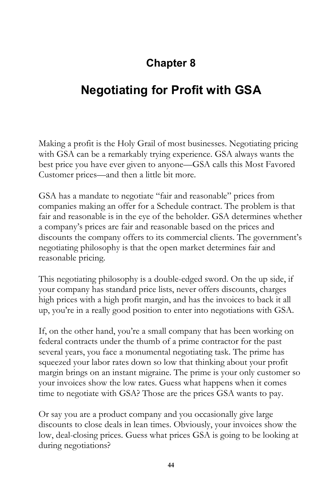## **Chapter 8**

# **Negotiating for Profit with GSA**

Making a profit is the Holy Grail of most businesses. Negotiating pricing with GSA can be a remarkably trying experience. GSA always wants the best price you have ever given to anyone—GSA calls this Most Favored Customer prices—and then a little bit more.

GSA has a mandate to negotiate "fair and reasonable" prices from companies making an offer for a Schedule contract. The problem is that fair and reasonable is in the eye of the beholder. GSA determines whether a company's prices are fair and reasonable based on the prices and discounts the company offers to its commercial clients. The government's negotiating philosophy is that the open market determines fair and reasonable pricing.

This negotiating philosophy is a double-edged sword. On the up side, if your company has standard price lists, never offers discounts, charges high prices with a high profit margin, and has the invoices to back it all up, you're in a really good position to enter into negotiations with GSA.

If, on the other hand, you're a small company that has been working on federal contracts under the thumb of a prime contractor for the past several years, you face a monumental negotiating task. The prime has squeezed your labor rates down so low that thinking about your profit margin brings on an instant migraine. The prime is your only customer so your invoices show the low rates. Guess what happens when it comes time to negotiate with GSA? Those are the prices GSA wants to pay.

Or say you are a product company and you occasionally give large discounts to close deals in lean times. Obviously, your invoices show the low, deal-closing prices. Guess what prices GSA is going to be looking at during negotiations?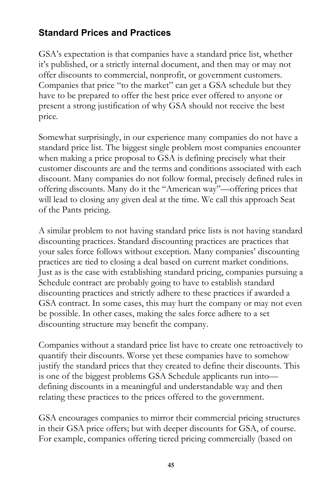#### **Standard Prices and Practices**

GSA's expectation is that companies have a standard price list, whether it's published, or a strictly internal document, and then may or may not offer discounts to commercial, nonprofit, or government customers. Companies that price "to the market" can get a GSA schedule but they have to be prepared to offer the best price ever offered to anyone or present a strong justification of why GSA should not receive the best price.

Somewhat surprisingly, in our experience many companies do not have a standard price list. The biggest single problem most companies encounter when making a price proposal to GSA is defining precisely what their customer discounts are and the terms and conditions associated with each discount. Many companies do not follow formal, precisely defined rules in offering discounts. Many do it the "American way"—offering prices that will lead to closing any given deal at the time. We call this approach Seat of the Pants pricing.

A similar problem to not having standard price lists is not having standard discounting practices. Standard discounting practices are practices that your sales force follows without exception. Many companies' discounting practices are tied to closing a deal based on current market conditions. Just as is the case with establishing standard pricing, companies pursuing a Schedule contract are probably going to have to establish standard discounting practices and strictly adhere to these practices if awarded a GSA contract. In some cases, this may hurt the company or may not even be possible. In other cases, making the sales force adhere to a set discounting structure may benefit the company.

Companies without a standard price list have to create one retroactively to quantify their discounts. Worse yet these companies have to somehow justify the standard prices that they created to define their discounts. This is one of the biggest problems GSA Schedule applicants run into defining discounts in a meaningful and understandable way and then relating these practices to the prices offered to the government.

GSA encourages companies to mirror their commercial pricing structures in their GSA price offers; but with deeper discounts for GSA, of course. For example, companies offering tiered pricing commercially (based on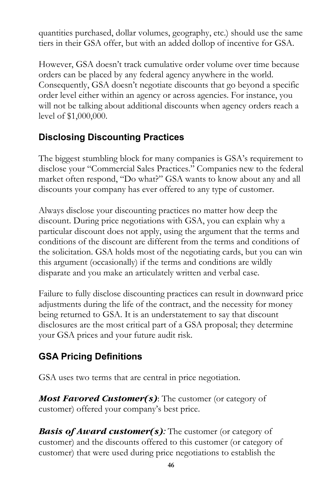quantities purchased, dollar volumes, geography, etc.) should use the same tiers in their GSA offer, but with an added dollop of incentive for GSA.

However, GSA doesn't track cumulative order volume over time because orders can be placed by any federal agency anywhere in the world. Consequently, GSA doesn't negotiate discounts that go beyond a specific order level either within an agency or across agencies. For instance, you will not be talking about additional discounts when agency orders reach a level of \$1,000,000.

## **Disclosing Discounting Practices**

The biggest stumbling block for many companies is GSA's requirement to disclose your "Commercial Sales Practices." Companies new to the federal market often respond, "Do what?" GSA wants to know about any and all discounts your company has ever offered to any type of customer.

Always disclose your discounting practices no matter how deep the discount. During price negotiations with GSA, you can explain why a particular discount does not apply, using the argument that the terms and conditions of the discount are different from the terms and conditions of the solicitation. GSA holds most of the negotiating cards, but you can win this argument (occasionally) if the terms and conditions are wildly disparate and you make an articulately written and verbal case.

Failure to fully disclose discounting practices can result in downward price adjustments during the life of the contract, and the necessity for money being returned to GSA. It is an understatement to say that discount disclosures are the most critical part of a GSA proposal; they determine your GSA prices and your future audit risk.

## **GSA Pricing Definitions**

GSA uses two terms that are central in price negotiation.

*Most Favored Customer(s)*: The customer (or category of customer) offered your company's best price.

**Basis of Award customer(s)**: The customer (or category of customer) and the discounts offered to this customer (or category of customer) that were used during price negotiations to establish the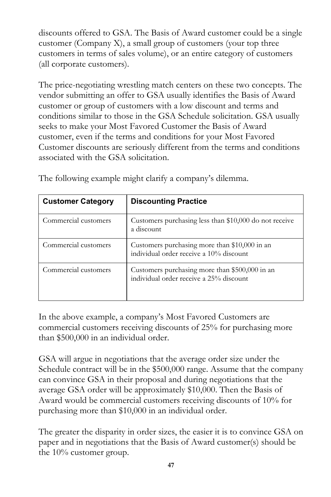discounts offered to GSA. The Basis of Award customer could be a single customer (Company X), a small group of customers (your top three customers in terms of sales volume), or an entire category of customers (all corporate customers).

The price-negotiating wrestling match centers on these two concepts. The vendor submitting an offer to GSA usually identifies the Basis of Award customer or group of customers with a low discount and terms and conditions similar to those in the GSA Schedule solicitation. GSA usually seeks to make your Most Favored Customer the Basis of Award customer, even if the terms and conditions for your Most Favored Customer discounts are seriously different from the terms and conditions associated with the GSA solicitation.

| <b>Customer Category</b> | <b>Discounting Practice</b>                                                                |
|--------------------------|--------------------------------------------------------------------------------------------|
| Commercial customers     | Customers purchasing less than \$10,000 do not receive<br>a discount.                      |
| Commercial customers     | Customers purchasing more than $$10,000$ in an<br>individual order receive a 10% discount  |
| Commercial customers     | Customers purchasing more than $$500,000$ in an<br>individual order receive a 25% discount |

The following example might clarify a company's dilemma.

In the above example, a company's Most Favored Customers are commercial customers receiving discounts of 25% for purchasing more than \$500,000 in an individual order.

GSA will argue in negotiations that the average order size under the Schedule contract will be in the \$500,000 range. Assume that the company can convince GSA in their proposal and during negotiations that the average GSA order will be approximately \$10,000. Then the Basis of Award would be commercial customers receiving discounts of 10% for purchasing more than \$10,000 in an individual order.

The greater the disparity in order sizes, the easier it is to convince GSA on paper and in negotiations that the Basis of Award customer(s) should be the 10% customer group.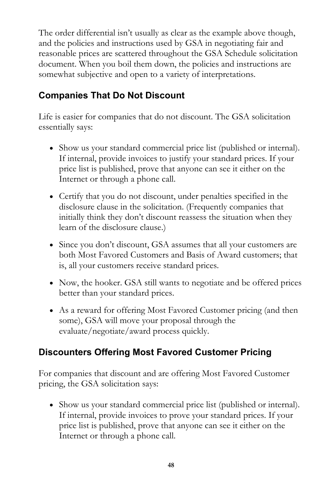The order differential isn't usually as clear as the example above though, and the policies and instructions used by GSA in negotiating fair and reasonable prices are scattered throughout the GSA Schedule solicitation document. When you boil them down, the policies and instructions are somewhat subjective and open to a variety of interpretations.

#### **Companies That Do Not Discount**

Life is easier for companies that do not discount. The GSA solicitation essentially says:

- Show us your standard commercial price list (published or internal). If internal, provide invoices to justify your standard prices. If your price list is published, prove that anyone can see it either on the Internet or through a phone call.
- Certify that you do not discount, under penalties specified in the disclosure clause in the solicitation. (Frequently companies that initially think they don't discount reassess the situation when they learn of the disclosure clause.)
- Since you don't discount, GSA assumes that all your customers are both Most Favored Customers and Basis of Award customers; that is, all your customers receive standard prices.
- Now, the hooker. GSA still wants to negotiate and be offered prices better than your standard prices.
- As a reward for offering Most Favored Customer pricing (and then some), GSA will move your proposal through the evaluate/negotiate/award process quickly.

#### **Discounters Offering Most Favored Customer Pricing**

For companies that discount and are offering Most Favored Customer pricing, the GSA solicitation says:

• Show us your standard commercial price list (published or internal). If internal, provide invoices to prove your standard prices. If your price list is published, prove that anyone can see it either on the Internet or through a phone call.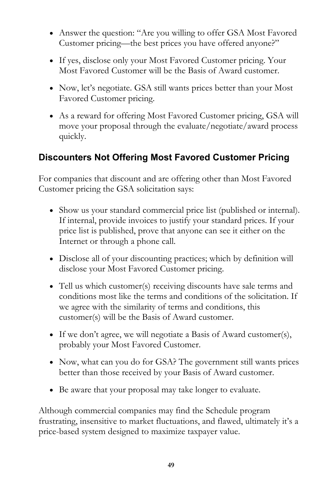- Answer the question: "Are you willing to offer GSA Most Favored Customer pricing—the best prices you have offered anyone?"
- If yes, disclose only your Most Favored Customer pricing. Your Most Favored Customer will be the Basis of Award customer.
- Now, let's negotiate. GSA still wants prices better than your Most Favored Customer pricing.
- As a reward for offering Most Favored Customer pricing, GSA will move your proposal through the evaluate/negotiate/award process quickly.

#### **Discounters Not Offering Most Favored Customer Pricing**

For companies that discount and are offering other than Most Favored Customer pricing the GSA solicitation says:

- Show us your standard commercial price list (published or internal). If internal, provide invoices to justify your standard prices. If your price list is published, prove that anyone can see it either on the Internet or through a phone call.
- Disclose all of your discounting practices; which by definition will disclose your Most Favored Customer pricing.
- Tell us which customer(s) receiving discounts have sale terms and conditions most like the terms and conditions of the solicitation. If we agree with the similarity of terms and conditions, this customer(s) will be the Basis of Award customer.
- If we don't agree, we will negotiate a Basis of Award customer(s), probably your Most Favored Customer.
- Now, what can you do for GSA? The government still wants prices better than those received by your Basis of Award customer.
- Be aware that your proposal may take longer to evaluate.

Although commercial companies may find the Schedule program frustrating, insensitive to market fluctuations, and flawed, ultimately it's a price-based system designed to maximize taxpayer value.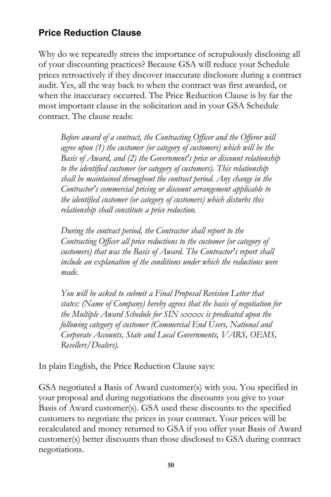#### **Price Reduction Clause**

Why do we repeatedly stress the importance of scrupulously disclosing all of your discounting practices? Because GSA will reduce your Schedule prices retroactively if they discover inaccurate disclosure during a contract audit. Yes, all the way back to when the contract was first awarded, or when the inaccuracy occurred. The Price Reduction Clause is by far the most important clause in the solicitation and in your GSA Schedule contract. The clause reads:

*Before award of a contract, the Contracting Officer and the Offeror will agree upon (1) the customer (or category of customers) which will be the Basis of Award, and (2) the Government's price or discount relationship to the identified customer (or category of customers). This relationship shall be maintained throughout the contract period. Any change in the Contractor's commercial pricing or discount arrangement applicable to the identified customer (or category of customers) which disturbs this relationship shall constitute a price reduction.* 

*During the contract period, the Contractor shall report to the Contracting Officer all price reductions to the customer (or category of customers) that was the Basis of Award. The Contractor's report shall include an explanation of the conditions under which the reductions were made.* 

You will be asked to submit a Final Proposal Revision Letter that *states: (Name of Company) hereby agrees that the basis of negotiation for the Multiple Award Schedule for SIN xxxxx is predicated upon the following category of customer (Commercial End Users, National and Corporate Accounts, State and Local Governments, VARS, OEMS, Resellers/Dealers).* 

In plain English, the Price Reduction Clause says:

GSA negotiated a Basis of Award customer(s) with you. You specified in your proposal and during negotiations the discounts you give to your Basis of Award customer(s). GSA used these discounts to the specified customers to negotiate the prices in your contract. Your prices will be recalculated and money returned to GSA if you offer your Basis of Award customer(s) better discounts than those disclosed to GSA during contract negotiations.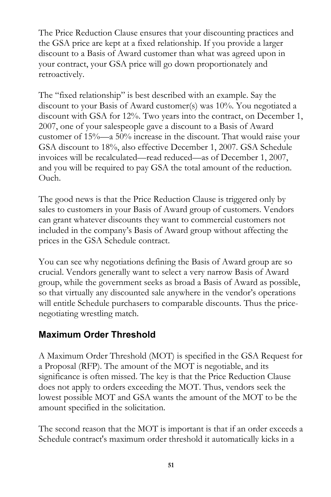The Price Reduction Clause ensures that your discounting practices and the GSA price are kept at a fixed relationship. If you provide a larger discount to a Basis of Award customer than what was agreed upon in your contract, your GSA price will go down proportionately and retroactively.

The "fixed relationship" is best described with an example. Say the discount to your Basis of Award customer(s) was 10%. You negotiated a discount with GSA for 12%. Two years into the contract, on December 1, 2007, one of your salespeople gave a discount to a Basis of Award customer of 15%—a 50% increase in the discount. That would raise your GSA discount to 18%, also effective December 1, 2007. GSA Schedule invoices will be recalculated—read reduced—as of December 1, 2007, and you will be required to pay GSA the total amount of the reduction. Ouch.

The good news is that the Price Reduction Clause is triggered only by sales to customers in your Basis of Award group of customers. Vendors can grant whatever discounts they want to commercial customers not included in the company's Basis of Award group without affecting the prices in the GSA Schedule contract.

You can see why negotiations defining the Basis of Award group are so crucial. Vendors generally want to select a very narrow Basis of Award group, while the government seeks as broad a Basis of Award as possible, so that virtually any discounted sale anywhere in the vendor's operations will entitle Schedule purchasers to comparable discounts. Thus the pricenegotiating wrestling match.

#### **Maximum Order Threshold**

A Maximum Order Threshold (MOT) is specified in the GSA Request for a Proposal (RFP). The amount of the MOT is negotiable, and its significance is often missed. The key is that the Price Reduction Clause does not apply to orders exceeding the MOT. Thus, vendors seek the lowest possible MOT and GSA wants the amount of the MOT to be the amount specified in the solicitation.

The second reason that the MOT is important is that if an order exceeds a Schedule contract's maximum order threshold it automatically kicks in a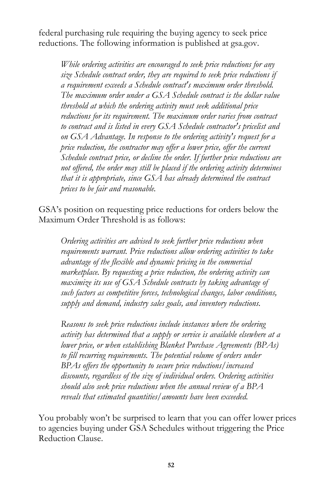federal purchasing rule requiring the buying agency to seek price reductions. The following information is published at gsa.gov.

*While ordering activities are encouraged to seek price reductions for any size Schedule contract order, they are required to seek price reductions if a requirement exceeds a Schedule contract's maximum order threshold. The maximum order under a GSA Schedule contract is the dollar value threshold at which the ordering activity must seek additional price reductions for its requirement. The maximum order varies from contract to contract and is listed in every GSA Schedule contractor's pricelist and on GSA Advantage. In response to the ordering activity's request for a price reduction, the contractor may offer a lower price, offer the current Schedule contract price, or decline the order. If further price reductions are not offered, the order may still be placed if the ordering activity determines that it is appropriate, since GSA has already determined the contract prices to be fair and reasonable.* 

GSA's position on requesting price reductions for orders below the Maximum Order Threshold is as follows:

*Ordering activities are advised to seek further price reductions when requirements warrant. Price reductions allow ordering activities to take advantage of the flexible and dynamic pricing in the commercial marketplace. By requesting a price reduction, the ordering activity can maximize its use of GSA Schedule contracts by taking advantage of such factors as competitive forces, technological changes, labor conditions, supply and demand, industry sales goals, and inventory reductions.* 

*Reasons to seek price reductions include instances where the ordering activity has determined that a supply or service is available elsewhere at a lower price, or when establishing Blanket Purchase Agreements (BPAs) to fill recurring requirements. The potential volume of orders under BPAs offers the opportunity to secure price reductions/increased discounts, regardless of the size of individual orders. Ordering activities should also seek price reductions when the annual review of a BPA reveals that estimated quantities/amounts have been exceeded.* 

You probably won't be surprised to learn that you can offer lower prices to agencies buying under GSA Schedules without triggering the Price Reduction Clause.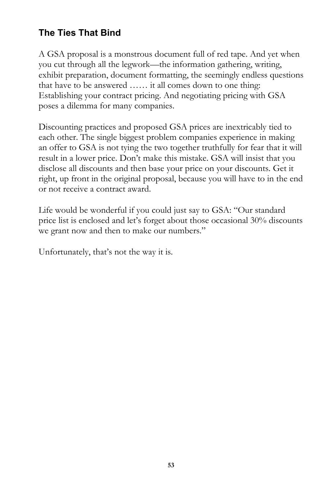## **The Ties That Bind**

A GSA proposal is a monstrous document full of red tape. And yet when you cut through all the legwork—the information gathering, writing, exhibit preparation, document formatting, the seemingly endless questions that have to be answered …… it all comes down to one thing: Establishing your contract pricing. And negotiating pricing with GSA poses a dilemma for many companies.

Discounting practices and proposed GSA prices are inextricably tied to each other. The single biggest problem companies experience in making an offer to GSA is not tying the two together truthfully for fear that it will result in a lower price. Don't make this mistake. GSA will insist that you disclose all discounts and then base your price on your discounts. Get it right, up front in the original proposal, because you will have to in the end or not receive a contract award.

Life would be wonderful if you could just say to GSA: "Our standard price list is enclosed and let's forget about those occasional 30% discounts we grant now and then to make our numbers."

Unfortunately, that's not the way it is.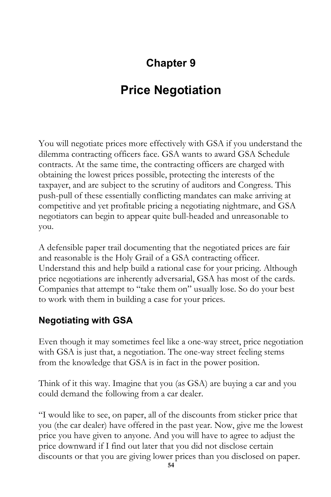## **Chapter 9**

# **Price Negotiation**

You will negotiate prices more effectively with GSA if you understand the dilemma contracting officers face. GSA wants to award GSA Schedule contracts. At the same time, the contracting officers are charged with obtaining the lowest prices possible, protecting the interests of the taxpayer, and are subject to the scrutiny of auditors and Congress. This push-pull of these essentially conflicting mandates can make arriving at competitive and yet profitable pricing a negotiating nightmare, and GSA negotiators can begin to appear quite bull-headed and unreasonable to you.

A defensible paper trail documenting that the negotiated prices are fair and reasonable is the Holy Grail of a GSA contracting officer. Understand this and help build a rational case for your pricing. Although price negotiations are inherently adversarial, GSA has most of the cards. Companies that attempt to "take them on" usually lose. So do your best to work with them in building a case for your prices.

#### **Negotiating with GSA**

Even though it may sometimes feel like a one-way street, price negotiation with GSA is just that, a negotiation. The one-way street feeling stems from the knowledge that GSA is in fact in the power position.

Think of it this way. Imagine that you (as GSA) are buying a car and you could demand the following from a car dealer.

"I would like to see, on paper, all of the discounts from sticker price that you (the car dealer) have offered in the past year. Now, give me the lowest price you have given to anyone. And you will have to agree to adjust the price downward if I find out later that you did not disclose certain discounts or that you are giving lower prices than you disclosed on paper.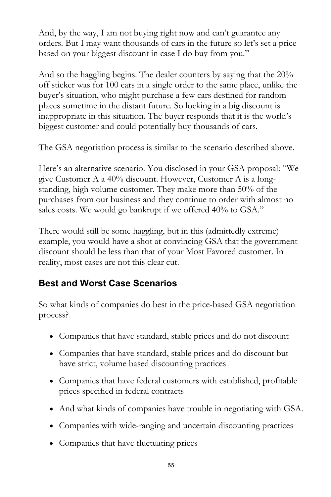And, by the way, I am not buying right now and can't guarantee any orders. But I may want thousands of cars in the future so let's set a price based on your biggest discount in case I do buy from you."

And so the haggling begins. The dealer counters by saying that the 20% off sticker was for 100 cars in a single order to the same place, unlike the buyer's situation, who might purchase a few cars destined for random places sometime in the distant future. So locking in a big discount is inappropriate in this situation. The buyer responds that it is the world's biggest customer and could potentially buy thousands of cars.

The GSA negotiation process is similar to the scenario described above.

Here's an alternative scenario. You disclosed in your GSA proposal: "We give Customer A a 40% discount. However, Customer A is a longstanding, high volume customer. They make more than 50% of the purchases from our business and they continue to order with almost no sales costs. We would go bankrupt if we offered 40% to GSA."

There would still be some haggling, but in this (admittedly extreme) example, you would have a shot at convincing GSA that the government discount should be less than that of your Most Favored customer. In reality, most cases are not this clear cut.

#### **Best and Worst Case Scenarios**

So what kinds of companies do best in the price-based GSA negotiation process?

- Companies that have standard, stable prices and do not discount
- Companies that have standard, stable prices and do discount but have strict, volume based discounting practices
- Companies that have federal customers with established, profitable prices specified in federal contracts
- And what kinds of companies have trouble in negotiating with GSA.
- Companies with wide-ranging and uncertain discounting practices
- Companies that have fluctuating prices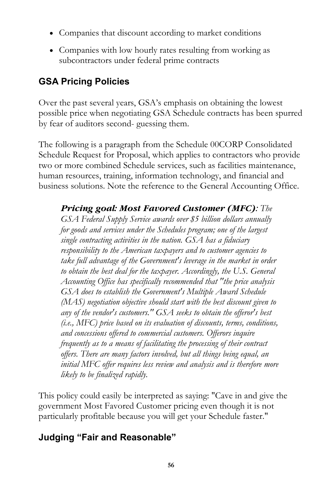- Companies that discount according to market conditions
- Companies with low hourly rates resulting from working as subcontractors under federal prime contracts

## **GSA Pricing Policies**

Over the past several years, GSA's emphasis on obtaining the lowest possible price when negotiating GSA Schedule contracts has been spurred by fear of auditors second- guessing them.

The following is a paragraph from the Schedule 00CORP Consolidated Schedule Request for Proposal, which applies to contractors who provide two or more combined Schedule services, such as facilities maintenance, human resources, training, information technology, and financial and business solutions. Note the reference to the General Accounting Office.

#### *Pricing goal: Most Favored Customer (MFC): The*

*GSA Federal Supply Service awards over \$5 billion dollars annually for goods and services under the Schedules program; one of the largest single contracting activities in the nation. GSA has a fiduciary responsibility to the American taxpayers and to customer agencies to take full advantage of the Government's leverage in the market in order to obtain the best deal for the taxpayer. Accordingly, the U.S. General Accounting Office has specifically recommended that "the price analysis GSA does to establish the Government's Multiple Award Schedule (MAS) negotiation objective should start with the best discount given to any of the vendor's customers." GSA seeks to obtain the offeror's best (i.e., MFC) price based on its evaluation of discounts, terms, conditions, and concessions offered to commercial customers. Offerors inquire frequently as to a means of facilitating the processing of their contract offers. There are many factors involved, but all things being equal, an initial MFC offer requires less review and analysis and is therefore more likely to be finalized rapidly.* 

This policy could easily be interpreted as saying: "Cave in and give the government Most Favored Customer pricing even though it is not particularly profitable because you will get your Schedule faster."

#### **Judging "Fair and Reasonable"**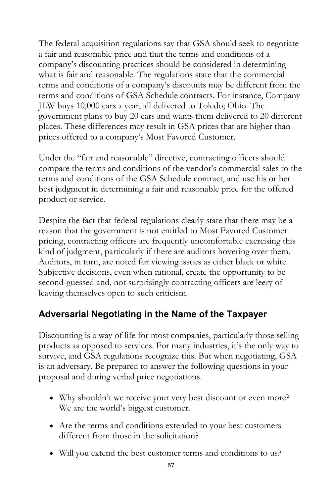The federal acquisition regulations say that GSA should seek to negotiate a fair and reasonable price and that the terms and conditions of a company's discounting practices should be considered in determining what is fair and reasonable. The regulations state that the commercial terms and conditions of a company's discounts may be different from the terms and conditions of GSA Schedule contracts. For instance, Company JLW buys 10,000 cars a year, all delivered to Toledo; Ohio. The government plans to buy 20 cars and wants them delivered to 20 different places. These differences may result in GSA prices that are higher than prices offered to a company's Most Favored Customer.

Under the "fair and reasonable" directive, contracting officers should compare the terms and conditions of the vendor's commercial sales to the terms and conditions of the GSA Schedule contract, and use his or her best judgment in determining a fair and reasonable price for the offered product or service.

Despite the fact that federal regulations clearly state that there may be a reason that the government is not entitled to Most Favored Customer pricing, contracting officers are frequently uncomfortable exercising this kind of judgment, particularly if there are auditors hovering over them. Auditors, in turn, are noted for viewing issues as either black or white. Subjective decisions, even when rational, create the opportunity to be second-guessed and, not surprisingly contracting officers are leery of leaving themselves open to such criticism.

#### **Adversarial Negotiating in the Name of the Taxpayer**

Discounting is a way of life for most companies, particularly those selling products as opposed to services. For many industries, it's the only way to survive, and GSA regulations recognize this. But when negotiating, GSA is an adversary. Be prepared to answer the following questions in your proposal and during verbal price negotiations.

- Why shouldn't we receive your very best discount or even more? We are the world's biggest customer.
- Are the terms and conditions extended to your best customers different from those in the solicitation?
- Will you extend the best customer terms and conditions to us?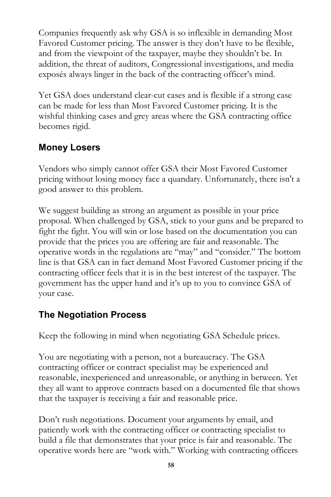Companies frequently ask why GSA is so inflexible in demanding Most Favored Customer pricing. The answer is they don't have to be flexible, and from the viewpoint of the taxpayer, maybe they shouldn't be. In addition, the threat of auditors, Congressional investigations, and media exposés always linger in the back of the contracting officer's mind.

Yet GSA does understand clear-cut cases and is flexible if a strong case can be made for less than Most Favored Customer pricing. It is the wishful thinking cases and grey areas where the GSA contracting office becomes rigid.

#### **Money Losers**

Vendors who simply cannot offer GSA their Most Favored Customer pricing without losing money face a quandary. Unfortunately, there isn't a good answer to this problem.

We suggest building as strong an argument as possible in your price proposal. When challenged by GSA, stick to your guns and be prepared to fight the fight. You will win or lose based on the documentation you can provide that the prices you are offering are fair and reasonable. The operative words in the regulations are "may" and "consider." The bottom line is that GSA can in fact demand Most Favored Customer pricing if the contracting officer feels that it is in the best interest of the taxpayer. The government has the upper hand and it's up to you to convince GSA of your case.

#### **The Negotiation Process**

Keep the following in mind when negotiating GSA Schedule prices.

You are negotiating with a person, not a bureaucracy. The GSA contracting officer or contract specialist may be experienced and reasonable, inexperienced and unreasonable, or anything in between. Yet they all want to approve contracts based on a documented file that shows that the taxpayer is receiving a fair and reasonable price.

Don't rush negotiations. Document your arguments by email, and patiently work with the contracting officer or contracting specialist to build a file that demonstrates that your price is fair and reasonable. The operative words here are "work with." Working with contracting officers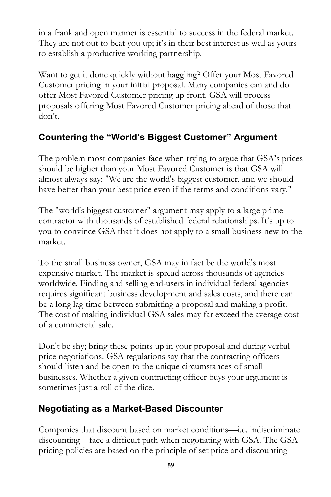in a frank and open manner is essential to success in the federal market. They are not out to beat you up; it's in their best interest as well as yours to establish a productive working partnership.

Want to get it done quickly without haggling? Offer your Most Favored Customer pricing in your initial proposal. Many companies can and do offer Most Favored Customer pricing up front. GSA will process proposals offering Most Favored Customer pricing ahead of those that don't.

#### **Countering the "World's Biggest Customer" Argument**

The problem most companies face when trying to argue that GSA's prices should be higher than your Most Favored Customer is that GSA will almost always say: "We are the world's biggest customer, and we should have better than your best price even if the terms and conditions vary."

The "world's biggest customer" argument may apply to a large prime contractor with thousands of established federal relationships. It's up to you to convince GSA that it does not apply to a small business new to the market.

To the small business owner, GSA may in fact be the world's most expensive market. The market is spread across thousands of agencies worldwide. Finding and selling end-users in individual federal agencies requires significant business development and sales costs, and there can be a long lag time between submitting a proposal and making a profit. The cost of making individual GSA sales may far exceed the average cost of a commercial sale.

Don't be shy; bring these points up in your proposal and during verbal price negotiations. GSA regulations say that the contracting officers should listen and be open to the unique circumstances of small businesses. Whether a given contracting officer buys your argument is sometimes just a roll of the dice.

#### **Negotiating as a Market-Based Discounter**

Companies that discount based on market conditions—i.e. indiscriminate discounting—face a difficult path when negotiating with GSA. The GSA pricing policies are based on the principle of set price and discounting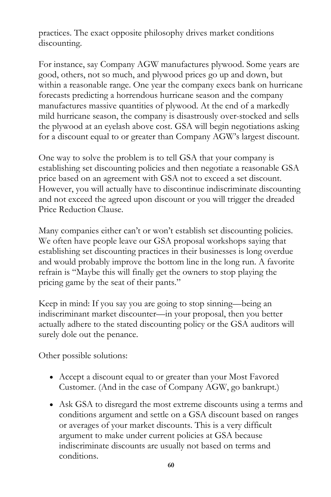practices. The exact opposite philosophy drives market conditions discounting.

For instance, say Company AGW manufactures plywood. Some years are good, others, not so much, and plywood prices go up and down, but within a reasonable range. One year the company execs bank on hurricane forecasts predicting a horrendous hurricane season and the company manufactures massive quantities of plywood. At the end of a markedly mild hurricane season, the company is disastrously over-stocked and sells the plywood at an eyelash above cost. GSA will begin negotiations asking for a discount equal to or greater than Company AGW's largest discount.

One way to solve the problem is to tell GSA that your company is establishing set discounting policies and then negotiate a reasonable GSA price based on an agreement with GSA not to exceed a set discount. However, you will actually have to discontinue indiscriminate discounting and not exceed the agreed upon discount or you will trigger the dreaded Price Reduction Clause.

Many companies either can't or won't establish set discounting policies. We often have people leave our GSA proposal workshops saying that establishing set discounting practices in their businesses is long overdue and would probably improve the bottom line in the long run. A favorite refrain is "Maybe this will finally get the owners to stop playing the pricing game by the seat of their pants."

Keep in mind: If you say you are going to stop sinning—being an indiscriminant market discounter—in your proposal, then you better actually adhere to the stated discounting policy or the GSA auditors will surely dole out the penance.

Other possible solutions:

- Accept a discount equal to or greater than your Most Favored Customer. (And in the case of Company AGW, go bankrupt.)
- Ask GSA to disregard the most extreme discounts using a terms and conditions argument and settle on a GSA discount based on ranges or averages of your market discounts. This is a very difficult argument to make under current policies at GSA because indiscriminate discounts are usually not based on terms and conditions.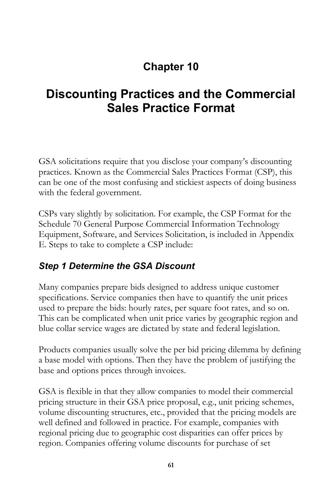## **Chapter 10**

## **Discounting Practices and the Commercial Sales Practice Format**

GSA solicitations require that you disclose your company's discounting practices. Known as the Commercial Sales Practices Format (CSP), this can be one of the most confusing and stickiest aspects of doing business with the federal government.

CSPs vary slightly by solicitation. For example, the CSP Format for the Schedule 70 General Purpose Commercial Information Technology Equipment, Software, and Services Solicitation, is included in Appendix E. Steps to take to complete a CSP include:

#### *Step 1 Determine the GSA Discount*

Many companies prepare bids designed to address unique customer specifications. Service companies then have to quantify the unit prices used to prepare the bids: hourly rates, per square foot rates, and so on. This can be complicated when unit price varies by geographic region and blue collar service wages are dictated by state and federal legislation.

Products companies usually solve the per bid pricing dilemma by defining a base model with options. Then they have the problem of justifying the base and options prices through invoices.

GSA is flexible in that they allow companies to model their commercial pricing structure in their GSA price proposal, e.g., unit pricing schemes, volume discounting structures, etc., provided that the pricing models are well defined and followed in practice. For example, companies with regional pricing due to geographic cost disparities can offer prices by region. Companies offering volume discounts for purchase of set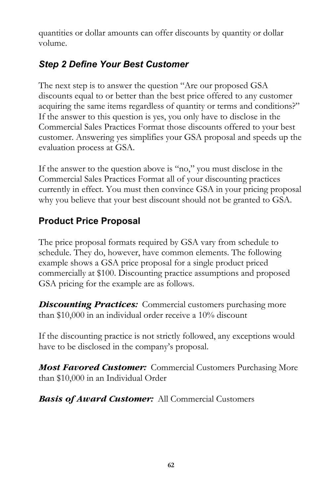quantities or dollar amounts can offer discounts by quantity or dollar volume.

## *Step 2 Define Your Best Customer*

The next step is to answer the question "Are our proposed GSA discounts equal to or better than the best price offered to any customer acquiring the same items regardless of quantity or terms and conditions?" If the answer to this question is yes, you only have to disclose in the Commercial Sales Practices Format those discounts offered to your best customer. Answering yes simplifies your GSA proposal and speeds up the evaluation process at GSA.

If the answer to the question above is "no," you must disclose in the Commercial Sales Practices Format all of your discounting practices currently in effect. You must then convince GSA in your pricing proposal why you believe that your best discount should not be granted to GSA.

#### **Product Price Proposal**

The price proposal formats required by GSA vary from schedule to schedule. They do, however, have common elements. The following example shows a GSA price proposal for a single product priced commercially at \$100. Discounting practice assumptions and proposed GSA pricing for the example are as follows.

**Discounting Practices:** Commercial customers purchasing more than \$10,000 in an individual order receive a 10% discount

If the discounting practice is not strictly followed, any exceptions would have to be disclosed in the company's proposal.

*Most Favored Customer:* Commercial Customers Purchasing More than \$10,000 in an Individual Order

*Basis of Award Customer:* All Commercial Customers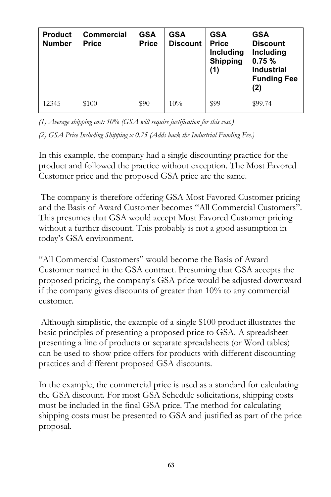| <b>Product</b><br><b>Number</b> | <b>Commercial</b><br><b>Price</b> | <b>GSA</b><br><b>Price</b> | <b>GSA</b><br><b>Discount</b> | <b>GSA</b><br><b>Price</b><br>Including<br><b>Shipping</b><br>(1) | <b>GSA</b><br><b>Discount</b><br>Including<br>0.75%<br><b>Industrial</b><br><b>Funding Fee</b><br>(2) |
|---------------------------------|-----------------------------------|----------------------------|-------------------------------|-------------------------------------------------------------------|-------------------------------------------------------------------------------------------------------|
| 12345                           | \$100                             | \$90                       | $10\%$                        | \$99                                                              | \$99.74                                                                                               |

*(1) Average shipping cost: 10% (GSA will require justification for this cost.)* 

*(2) GSA Price Including Shipping x 0.75 (Adds back the Industrial Funding Fee.)* 

In this example, the company had a single discounting practice for the product and followed the practice without exception. The Most Favored Customer price and the proposed GSA price are the same.

 The company is therefore offering GSA Most Favored Customer pricing and the Basis of Award Customer becomes "All Commercial Customers". This presumes that GSA would accept Most Favored Customer pricing without a further discount. This probably is not a good assumption in today's GSA environment.

"All Commercial Customers" would become the Basis of Award Customer named in the GSA contract. Presuming that GSA accepts the proposed pricing, the company's GSA price would be adjusted downward if the company gives discounts of greater than 10% to any commercial customer.

 Although simplistic, the example of a single \$100 product illustrates the basic principles of presenting a proposed price to GSA. A spreadsheet presenting a line of products or separate spreadsheets (or Word tables) can be used to show price offers for products with different discounting practices and different proposed GSA discounts.

In the example, the commercial price is used as a standard for calculating the GSA discount. For most GSA Schedule solicitations, shipping costs must be included in the final GSA price. The method for calculating shipping costs must be presented to GSA and justified as part of the price proposal.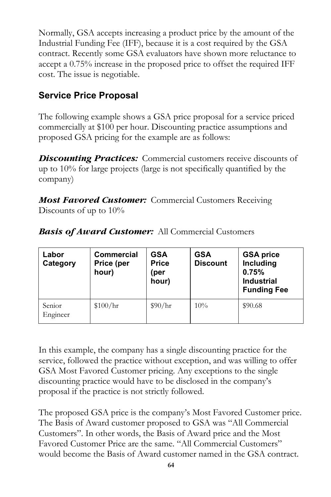Normally, GSA accepts increasing a product price by the amount of the Industrial Funding Fee (IFF), because it is a cost required by the GSA contract. Recently some GSA evaluators have shown more reluctance to accept a 0.75% increase in the proposed price to offset the required IFF cost. The issue is negotiable.

## **Service Price Proposal**

The following example shows a GSA price proposal for a service priced commercially at \$100 per hour. Discounting practice assumptions and proposed GSA pricing for the example are as follows:

**Discounting Practices:** Commercial customers receive discounts of up to 10% for large projects (large is not specifically quantified by the company)

*Most Favored Customer:* Commercial Customers Receiving Discounts of up to  $10\%$ 

| Labor<br>Category  | <b>Commercial</b><br>Price (per<br>hour) | <b>GSA</b><br><b>Price</b><br>(per<br>hour) | <b>GSA</b><br><b>Discount</b> | <b>GSA price</b><br>Including<br>0.75%<br><b>Industrial</b><br><b>Funding Fee</b> |
|--------------------|------------------------------------------|---------------------------------------------|-------------------------------|-----------------------------------------------------------------------------------|
| Senior<br>Engineer | \$100/hr                                 | \$90/hr                                     | 10%                           | \$90.68                                                                           |

*Basis of Award Customer:* All Commercial Customers

In this example, the company has a single discounting practice for the service, followed the practice without exception, and was willing to offer GSA Most Favored Customer pricing. Any exceptions to the single discounting practice would have to be disclosed in the company's proposal if the practice is not strictly followed.

The proposed GSA price is the company's Most Favored Customer price. The Basis of Award customer proposed to GSA was "All Commercial Customers". In other words, the Basis of Award price and the Most Favored Customer Price are the same. "All Commercial Customers" would become the Basis of Award customer named in the GSA contract.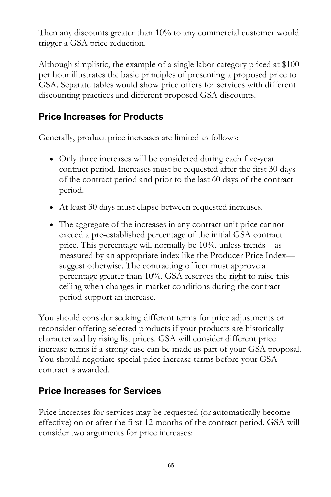Then any discounts greater than 10% to any commercial customer would trigger a GSA price reduction.

Although simplistic, the example of a single labor category priced at \$100 per hour illustrates the basic principles of presenting a proposed price to GSA. Separate tables would show price offers for services with different discounting practices and different proposed GSA discounts.

#### **Price Increases for Products**

Generally, product price increases are limited as follows:

- Only three increases will be considered during each five-year contract period. Increases must be requested after the first 30 days of the contract period and prior to the last 60 days of the contract period.
- At least 30 days must elapse between requested increases.
- The aggregate of the increases in any contract unit price cannot exceed a pre-established percentage of the initial GSA contract price. This percentage will normally be 10%, unless trends—as measured by an appropriate index like the Producer Price Index suggest otherwise. The contracting officer must approve a percentage greater than 10%. GSA reserves the right to raise this ceiling when changes in market conditions during the contract period support an increase.

You should consider seeking different terms for price adjustments or reconsider offering selected products if your products are historically characterized by rising list prices. GSA will consider different price increase terms if a strong case can be made as part of your GSA proposal. You should negotiate special price increase terms before your GSA contract is awarded.

## **Price Increases for Services**

Price increases for services may be requested (or automatically become effective) on or after the first 12 months of the contract period. GSA will consider two arguments for price increases: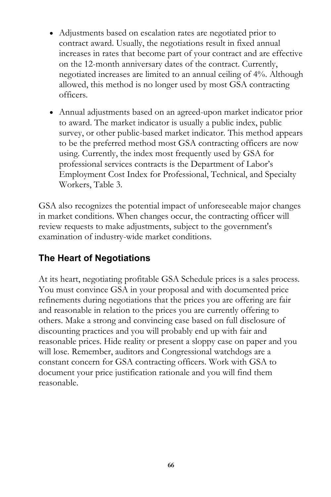- Adjustments based on escalation rates are negotiated prior to contract award. Usually, the negotiations result in fixed annual increases in rates that become part of your contract and are effective on the 12-month anniversary dates of the contract. Currently, negotiated increases are limited to an annual ceiling of 4%. Although allowed, this method is no longer used by most GSA contracting officers.
- Annual adjustments based on an agreed-upon market indicator prior to award. The market indicator is usually a public index, public survey, or other public-based market indicator. This method appears to be the preferred method most GSA contracting officers are now using. Currently, the index most frequently used by GSA for professional services contracts is the Department of Labor's Employment Cost Index for Professional, Technical, and Specialty Workers, Table 3.

GSA also recognizes the potential impact of unforeseeable major changes in market conditions. When changes occur, the contracting officer will review requests to make adjustments, subject to the government's examination of industry-wide market conditions.

#### **The Heart of Negotiations**

At its heart, negotiating profitable GSA Schedule prices is a sales process. You must convince GSA in your proposal and with documented price refinements during negotiations that the prices you are offering are fair and reasonable in relation to the prices you are currently offering to others. Make a strong and convincing case based on full disclosure of discounting practices and you will probably end up with fair and reasonable prices. Hide reality or present a sloppy case on paper and you will lose. Remember, auditors and Congressional watchdogs are a constant concern for GSA contracting officers. Work with GSA to document your price justification rationale and you will find them reasonable.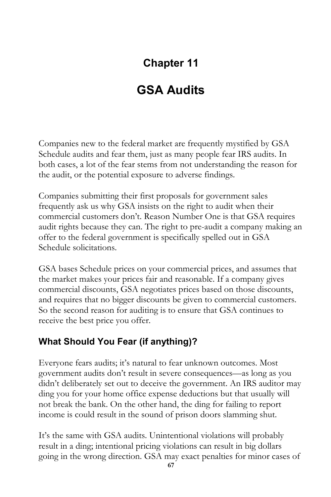## **Chapter 11**

# **GSA Audits**

Companies new to the federal market are frequently mystified by GSA Schedule audits and fear them, just as many people fear IRS audits. In both cases, a lot of the fear stems from not understanding the reason for the audit, or the potential exposure to adverse findings.

Companies submitting their first proposals for government sales frequently ask us why GSA insists on the right to audit when their commercial customers don't. Reason Number One is that GSA requires audit rights because they can. The right to pre-audit a company making an offer to the federal government is specifically spelled out in GSA Schedule solicitations.

GSA bases Schedule prices on your commercial prices, and assumes that the market makes your prices fair and reasonable. If a company gives commercial discounts, GSA negotiates prices based on those discounts, and requires that no bigger discounts be given to commercial customers. So the second reason for auditing is to ensure that GSA continues to receive the best price you offer.

#### **What Should You Fear (if anything)?**

Everyone fears audits; it's natural to fear unknown outcomes. Most government audits don't result in severe consequences—as long as you didn't deliberately set out to deceive the government. An IRS auditor may ding you for your home office expense deductions but that usually will not break the bank. On the other hand, the ding for failing to report income is could result in the sound of prison doors slamming shut.

It's the same with GSA audits. Unintentional violations will probably result in a ding; intentional pricing violations can result in big dollars going in the wrong direction. GSA may exact penalties for minor cases of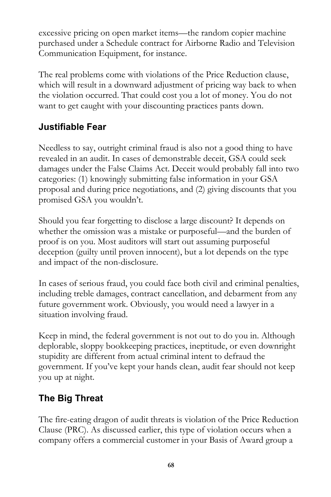excessive pricing on open market items—the random copier machine purchased under a Schedule contract for Airborne Radio and Television Communication Equipment, for instance.

The real problems come with violations of the Price Reduction clause, which will result in a downward adjustment of pricing way back to when the violation occurred. That could cost you a lot of money. You do not want to get caught with your discounting practices pants down.

#### **Justifiable Fear**

Needless to say, outright criminal fraud is also not a good thing to have revealed in an audit. In cases of demonstrable deceit, GSA could seek damages under the False Claims Act. Deceit would probably fall into two categories: (1) knowingly submitting false information in your GSA proposal and during price negotiations, and (2) giving discounts that you promised GSA you wouldn't.

Should you fear forgetting to disclose a large discount? It depends on whether the omission was a mistake or purposeful—and the burden of proof is on you. Most auditors will start out assuming purposeful deception (guilty until proven innocent), but a lot depends on the type and impact of the non-disclosure.

In cases of serious fraud, you could face both civil and criminal penalties, including treble damages, contract cancellation, and debarment from any future government work. Obviously, you would need a lawyer in a situation involving fraud.

Keep in mind, the federal government is not out to do you in. Although deplorable, sloppy bookkeeping practices, ineptitude, or even downright stupidity are different from actual criminal intent to defraud the government. If you've kept your hands clean, audit fear should not keep you up at night.

#### **The Big Threat**

The fire-eating dragon of audit threats is violation of the Price Reduction Clause (PRC). As discussed earlier, this type of violation occurs when a company offers a commercial customer in your Basis of Award group a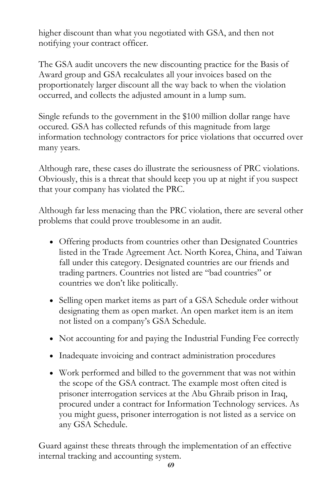higher discount than what you negotiated with GSA, and then not notifying your contract officer.

The GSA audit uncovers the new discounting practice for the Basis of Award group and GSA recalculates all your invoices based on the proportionately larger discount all the way back to when the violation occurred, and collects the adjusted amount in a lump sum.

Single refunds to the government in the \$100 million dollar range have occured. GSA has collected refunds of this magnitude from large information technology contractors for price violations that occurred over many years.

Although rare, these cases do illustrate the seriousness of PRC violations. Obviously, this is a threat that should keep you up at night if you suspect that your company has violated the PRC.

Although far less menacing than the PRC violation, there are several other problems that could prove troublesome in an audit.

- Offering products from countries other than Designated Countries listed in the Trade Agreement Act. North Korea, China, and Taiwan fall under this category. Designated countries are our friends and trading partners. Countries not listed are "bad countries" or countries we don't like politically.
- Selling open market items as part of a GSA Schedule order without designating them as open market. An open market item is an item not listed on a company's GSA Schedule.
- Not accounting for and paying the Industrial Funding Fee correctly
- Inadequate invoicing and contract administration procedures
- Work performed and billed to the government that was not within the scope of the GSA contract. The example most often cited is prisoner interrogation services at the Abu Ghraib prison in Iraq, procured under a contract for Information Technology services. As you might guess, prisoner interrogation is not listed as a service on any GSA Schedule.

Guard against these threats through the implementation of an effective internal tracking and accounting system.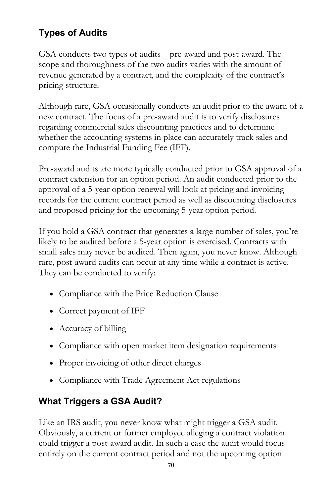## **Types of Audits**

GSA conducts two types of audits—pre-award and post-award. The scope and thoroughness of the two audits varies with the amount of revenue generated by a contract, and the complexity of the contract's pricing structure.

Although rare, GSA occasionally conducts an audit prior to the award of a new contract. The focus of a pre-award audit is to verify disclosures regarding commercial sales discounting practices and to determine whether the accounting systems in place can accurately track sales and compute the Industrial Funding Fee (IFF).

Pre-award audits are more typically conducted prior to GSA approval of a contract extension for an option period. An audit conducted prior to the approval of a 5-year option renewal will look at pricing and invoicing records for the current contract period as well as discounting disclosures and proposed pricing for the upcoming 5-year option period.

If you hold a GSA contract that generates a large number of sales, you're likely to be audited before a 5-year option is exercised. Contracts with small sales may never be audited. Then again, you never know. Although rare, post-award audits can occur at any time while a contract is active. They can be conducted to verify:

- Compliance with the Price Reduction Clause
- Correct payment of IFF
- Accuracy of billing
- Compliance with open market item designation requirements
- Proper invoicing of other direct charges
- Compliance with Trade Agreement Act regulations

## **What Triggers a GSA Audit?**

Like an IRS audit, you never know what might trigger a GSA audit. Obviously, a current or former employee alleging a contract violation could trigger a post-award audit. In such a case the audit would focus entirely on the current contract period and not the upcoming option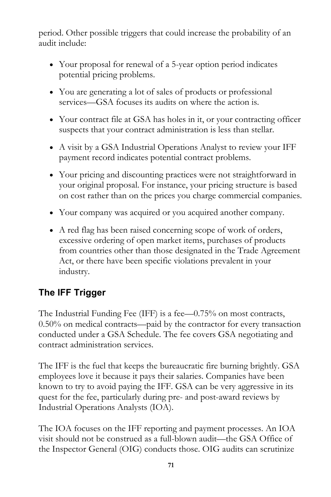period. Other possible triggers that could increase the probability of an audit include:

- Your proposal for renewal of a 5-year option period indicates potential pricing problems.
- You are generating a lot of sales of products or professional services—GSA focuses its audits on where the action is.
- Your contract file at GSA has holes in it, or your contracting officer suspects that your contract administration is less than stellar.
- A visit by a GSA Industrial Operations Analyst to review your IFF payment record indicates potential contract problems.
- Your pricing and discounting practices were not straightforward in your original proposal. For instance, your pricing structure is based on cost rather than on the prices you charge commercial companies.
- Your company was acquired or you acquired another company.
- A red flag has been raised concerning scope of work of orders, excessive ordering of open market items, purchases of products from countries other than those designated in the Trade Agreement Act, or there have been specific violations prevalent in your industry.

## **The IFF Trigger**

The Industrial Funding Fee (IFF) is a fee—0.75% on most contracts, 0.50% on medical contracts—paid by the contractor for every transaction conducted under a GSA Schedule. The fee covers GSA negotiating and contract administration services.

The IFF is the fuel that keeps the bureaucratic fire burning brightly. GSA employees love it because it pays their salaries. Companies have been known to try to avoid paying the IFF. GSA can be very aggressive in its quest for the fee, particularly during pre- and post-award reviews by Industrial Operations Analysts (IOA).

The IOA focuses on the IFF reporting and payment processes. An IOA visit should not be construed as a full-blown audit—the GSA Office of the Inspector General (OIG) conducts those. OIG audits can scrutinize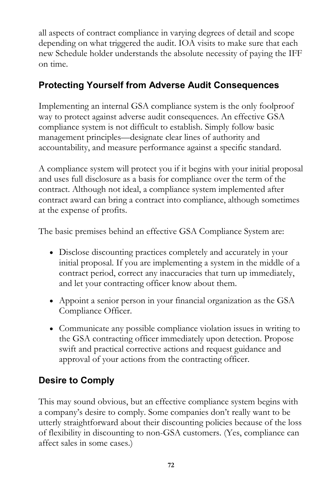all aspects of contract compliance in varying degrees of detail and scope depending on what triggered the audit. IOA visits to make sure that each new Schedule holder understands the absolute necessity of paying the IFF on time.

#### **Protecting Yourself from Adverse Audit Consequences**

Implementing an internal GSA compliance system is the only foolproof way to protect against adverse audit consequences. An effective GSA compliance system is not difficult to establish. Simply follow basic management principles—designate clear lines of authority and accountability, and measure performance against a specific standard.

A compliance system will protect you if it begins with your initial proposal and uses full disclosure as a basis for compliance over the term of the contract. Although not ideal, a compliance system implemented after contract award can bring a contract into compliance, although sometimes at the expense of profits.

The basic premises behind an effective GSA Compliance System are:

- Disclose discounting practices completely and accurately in your initial proposal. If you are implementing a system in the middle of a contract period, correct any inaccuracies that turn up immediately, and let your contracting officer know about them.
- Appoint a senior person in your financial organization as the GSA Compliance Officer.
- Communicate any possible compliance violation issues in writing to the GSA contracting officer immediately upon detection. Propose swift and practical corrective actions and request guidance and approval of your actions from the contracting officer.

## **Desire to Comply**

This may sound obvious, but an effective compliance system begins with a company's desire to comply. Some companies don't really want to be utterly straightforward about their discounting policies because of the loss of flexibility in discounting to non-GSA customers. (Yes, compliance can affect sales in some cases.)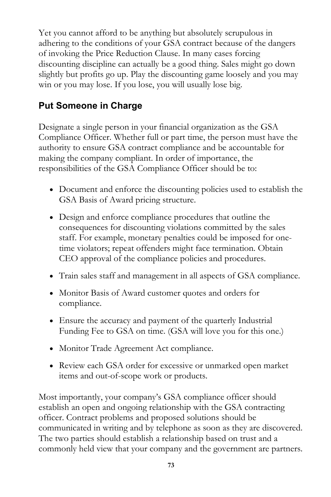Yet you cannot afford to be anything but absolutely scrupulous in adhering to the conditions of your GSA contract because of the dangers of invoking the Price Reduction Clause. In many cases forcing discounting discipline can actually be a good thing. Sales might go down slightly but profits go up. Play the discounting game loosely and you may win or you may lose. If you lose, you will usually lose big.

#### **Put Someone in Charge**

Designate a single person in your financial organization as the GSA Compliance Officer. Whether full or part time, the person must have the authority to ensure GSA contract compliance and be accountable for making the company compliant. In order of importance, the responsibilities of the GSA Compliance Officer should be to:

- Document and enforce the discounting policies used to establish the GSA Basis of Award pricing structure.
- Design and enforce compliance procedures that outline the consequences for discounting violations committed by the sales staff. For example, monetary penalties could be imposed for onetime violators; repeat offenders might face termination. Obtain CEO approval of the compliance policies and procedures.
- Train sales staff and management in all aspects of GSA compliance.
- Monitor Basis of Award customer quotes and orders for compliance.
- Ensure the accuracy and payment of the quarterly Industrial Funding Fee to GSA on time. (GSA will love you for this one.)
- Monitor Trade Agreement Act compliance.
- Review each GSA order for excessive or unmarked open market items and out-of-scope work or products.

Most importantly, your company's GSA compliance officer should establish an open and ongoing relationship with the GSA contracting officer. Contract problems and proposed solutions should be communicated in writing and by telephone as soon as they are discovered. The two parties should establish a relationship based on trust and a commonly held view that your company and the government are partners.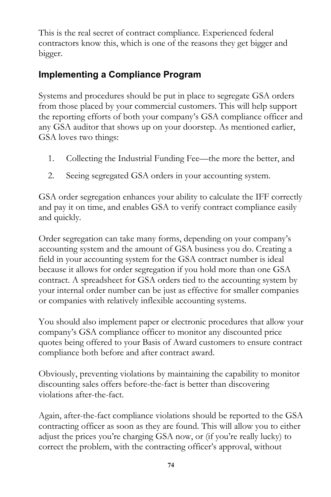This is the real secret of contract compliance. Experienced federal contractors know this, which is one of the reasons they get bigger and bigger.

### **Implementing a Compliance Program**

Systems and procedures should be put in place to segregate GSA orders from those placed by your commercial customers. This will help support the reporting efforts of both your company's GSA compliance officer and any GSA auditor that shows up on your doorstep. As mentioned earlier, GSA loves two things:

- 1. Collecting the Industrial Funding Fee—the more the better, and
- 2. Seeing segregated GSA orders in your accounting system.

GSA order segregation enhances your ability to calculate the IFF correctly and pay it on time, and enables GSA to verify contract compliance easily and quickly.

Order segregation can take many forms, depending on your company's accounting system and the amount of GSA business you do. Creating a field in your accounting system for the GSA contract number is ideal because it allows for order segregation if you hold more than one GSA contract. A spreadsheet for GSA orders tied to the accounting system by your internal order number can be just as effective for smaller companies or companies with relatively inflexible accounting systems.

You should also implement paper or electronic procedures that allow your company's GSA compliance officer to monitor any discounted price quotes being offered to your Basis of Award customers to ensure contract compliance both before and after contract award.

Obviously, preventing violations by maintaining the capability to monitor discounting sales offers before-the-fact is better than discovering violations after-the-fact.

Again, after-the-fact compliance violations should be reported to the GSA contracting officer as soon as they are found. This will allow you to either adjust the prices you're charging GSA now, or (if you're really lucky) to correct the problem, with the contracting officer's approval, without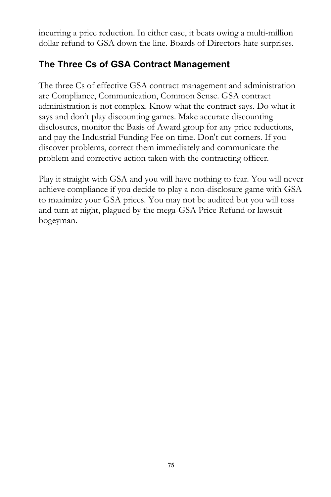incurring a price reduction. In either case, it beats owing a multi-million dollar refund to GSA down the line. Boards of Directors hate surprises.

#### **The Three Cs of GSA Contract Management**

The three Cs of effective GSA contract management and administration are Compliance, Communication, Common Sense. GSA contract administration is not complex. Know what the contract says. Do what it says and don't play discounting games. Make accurate discounting disclosures, monitor the Basis of Award group for any price reductions, and pay the Industrial Funding Fee on time. Don't cut corners. If you discover problems, correct them immediately and communicate the problem and corrective action taken with the contracting officer.

Play it straight with GSA and you will have nothing to fear. You will never achieve compliance if you decide to play a non-disclosure game with GSA to maximize your GSA prices. You may not be audited but you will toss and turn at night, plagued by the mega-GSA Price Refund or lawsuit bogeyman.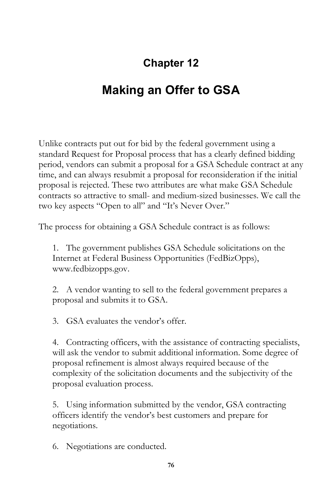### **Chapter 12**

## **Making an Offer to GSA**

Unlike contracts put out for bid by the federal government using a standard Request for Proposal process that has a clearly defined bidding period, vendors can submit a proposal for a GSA Schedule contract at any time, and can always resubmit a proposal for reconsideration if the initial proposal is rejected. These two attributes are what make GSA Schedule contracts so attractive to small- and medium-sized businesses. We call the two key aspects "Open to all" and "It's Never Over."

The process for obtaining a GSA Schedule contract is as follows:

1. The government publishes GSA Schedule solicitations on the Internet at Federal Business Opportunities (FedBizOpps), www.fedbizopps.gov.

2. A vendor wanting to sell to the federal government prepares a proposal and submits it to GSA.

3. GSA evaluates the vendor's offer.

4. Contracting officers, with the assistance of contracting specialists, will ask the vendor to submit additional information. Some degree of proposal refinement is almost always required because of the complexity of the solicitation documents and the subjectivity of the proposal evaluation process.

5. Using information submitted by the vendor, GSA contracting officers identify the vendor's best customers and prepare for negotiations.

6. Negotiations are conducted.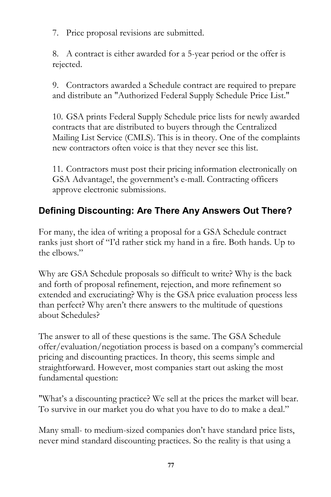7. Price proposal revisions are submitted.

8. A contract is either awarded for a 5-year period or the offer is rejected.

9. Contractors awarded a Schedule contract are required to prepare and distribute an "Authorized Federal Supply Schedule Price List."

10. GSA prints Federal Supply Schedule price lists for newly awarded contracts that are distributed to buyers through the Centralized Mailing List Service (CMLS). This is in theory. One of the complaints new contractors often voice is that they never see this list.

11. Contractors must post their pricing information electronically on GSA Advantage!, the government's e-mall. Contracting officers approve electronic submissions.

### **Defining Discounting: Are There Any Answers Out There?**

For many, the idea of writing a proposal for a GSA Schedule contract ranks just short of "I'd rather stick my hand in a fire. Both hands. Up to the elbows."

Why are GSA Schedule proposals so difficult to write? Why is the back and forth of proposal refinement, rejection, and more refinement so extended and excruciating? Why is the GSA price evaluation process less than perfect? Why aren't there answers to the multitude of questions about Schedules?

The answer to all of these questions is the same. The GSA Schedule offer/evaluation/negotiation process is based on a company's commercial pricing and discounting practices. In theory, this seems simple and straightforward. However, most companies start out asking the most fundamental question:

"What's a discounting practice? We sell at the prices the market will bear. To survive in our market you do what you have to do to make a deal."

Many small- to medium-sized companies don't have standard price lists, never mind standard discounting practices. So the reality is that using a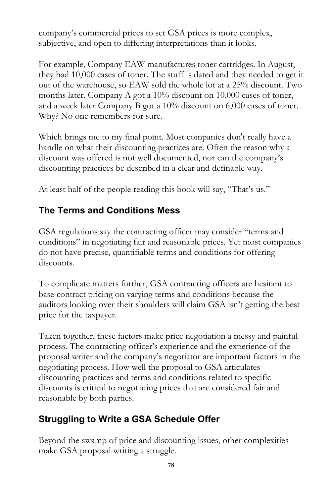company's commercial prices to set GSA prices is more complex, subjective, and open to differing interpretations than it looks.

For example, Company EAW manufactures toner cartridges. In August, they had 10,000 cases of toner. The stuff is dated and they needed to get it out of the warehouse, so EAW sold the whole lot at a 25% discount. Two months later, Company A got a 10% discount on 10,000 cases of toner, and a week later Company B got a 10% discount on 6,000 cases of toner. Why? No one remembers for sure.

Which brings me to my final point. Most companies don't really have a handle on what their discounting practices are. Often the reason why a discount was offered is not well documented, nor can the company's discounting practices be described in a clear and definable way.

At least half of the people reading this book will say, "That's us."

#### **The Terms and Conditions Mess**

GSA regulations say the contracting officer may consider "terms and conditions" in negotiating fair and reasonable prices. Yet most companies do not have precise, quantifiable terms and conditions for offering discounts.

To complicate matters further, GSA contracting officers are hesitant to base contract pricing on varying terms and conditions because the auditors looking over their shoulders will claim GSA isn't getting the best price for the taxpayer.

Taken together, these factors make price negotiation a messy and painful process. The contracting officer's experience and the experience of the proposal writer and the company's negotiator are important factors in the negotiating process. How well the proposal to GSA articulates discounting practices and terms and conditions related to specific discounts is critical to negotiating prices that are considered fair and reasonable by both parties.

#### **Struggling to Write a GSA Schedule Offer**

Beyond the swamp of price and discounting issues, other complexities make GSA proposal writing a struggle.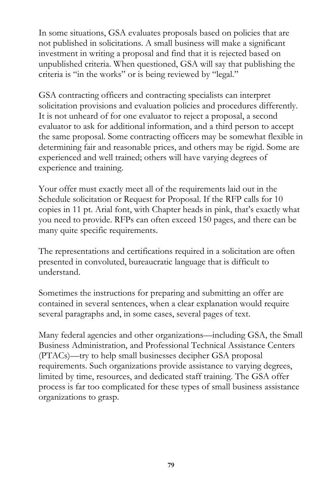In some situations, GSA evaluates proposals based on policies that are not published in solicitations. A small business will make a significant investment in writing a proposal and find that it is rejected based on unpublished criteria. When questioned, GSA will say that publishing the criteria is "in the works" or is being reviewed by "legal."

GSA contracting officers and contracting specialists can interpret solicitation provisions and evaluation policies and procedures differently. It is not unheard of for one evaluator to reject a proposal, a second evaluator to ask for additional information, and a third person to accept the same proposal. Some contracting officers may be somewhat flexible in determining fair and reasonable prices, and others may be rigid. Some are experienced and well trained; others will have varying degrees of experience and training.

Your offer must exactly meet all of the requirements laid out in the Schedule solicitation or Request for Proposal. If the RFP calls for 10 copies in 11 pt. Arial font, with Chapter heads in pink, that's exactly what you need to provide. RFPs can often exceed 150 pages, and there can be many quite specific requirements.

The representations and certifications required in a solicitation are often presented in convoluted, bureaucratic language that is difficult to understand.

Sometimes the instructions for preparing and submitting an offer are contained in several sentences, when a clear explanation would require several paragraphs and, in some cases, several pages of text.

Many federal agencies and other organizations—including GSA, the Small Business Administration, and Professional Technical Assistance Centers (PTACs)—try to help small businesses decipher GSA proposal requirements. Such organizations provide assistance to varying degrees, limited by time, resources, and dedicated staff training. The GSA offer process is far too complicated for these types of small business assistance organizations to grasp.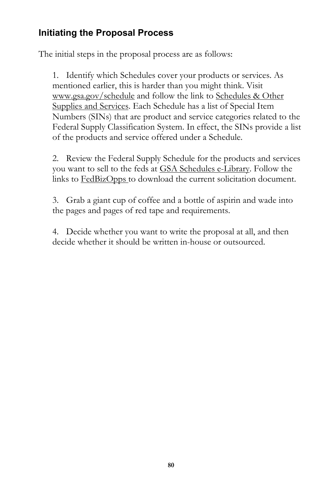### **Initiating the Proposal Process**

The initial steps in the proposal process are as follows:

1. Identify which Schedules cover your products or services. As mentioned earlier, this is harder than you might think. Visit www.gsa.gov/schedule and follow the link to Schedules & Other Supplies and Services. Each Schedule has a list of Special Item Numbers (SINs) that are product and service categories related to the Federal Supply Classification System. In effect, the SINs provide a list of the products and service offered under a Schedule.

2. Review the Federal Supply Schedule for the products and services you want to sell to the feds at GSA Schedules e-Library. Follow the links to FedBizOpps to download the current solicitation document.

3. Grab a giant cup of coffee and a bottle of aspirin and wade into the pages and pages of red tape and requirements.

4. Decide whether you want to write the proposal at all, and then decide whether it should be written in-house or outsourced.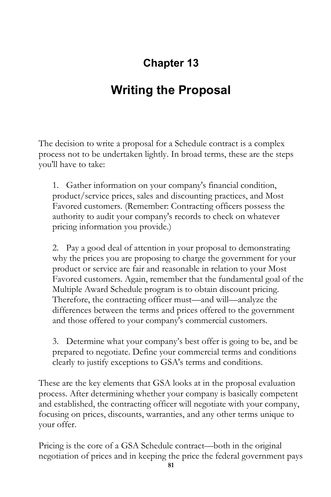### **Chapter 13**

## **Writing the Proposal**

The decision to write a proposal for a Schedule contract is a complex process not to be undertaken lightly. In broad terms, these are the steps you'll have to take:

1. Gather information on your company's financial condition, product/service prices, sales and discounting practices, and Most Favored customers. (Remember: Contracting officers possess the authority to audit your company's records to check on whatever pricing information you provide.)

2. Pay a good deal of attention in your proposal to demonstrating why the prices you are proposing to charge the government for your product or service are fair and reasonable in relation to your Most Favored customers. Again, remember that the fundamental goal of the Multiple Award Schedule program is to obtain discount pricing. Therefore, the contracting officer must—and will—analyze the differences between the terms and prices offered to the government and those offered to your company's commercial customers.

3. Determine what your company's best offer is going to be, and be prepared to negotiate. Define your commercial terms and conditions clearly to justify exceptions to GSA's terms and conditions.

These are the key elements that GSA looks at in the proposal evaluation process. After determining whether your company is basically competent and established, the contracting officer will negotiate with your company, focusing on prices, discounts, warranties, and any other terms unique to your offer.

Pricing is the core of a GSA Schedule contract—both in the original negotiation of prices and in keeping the price the federal government pays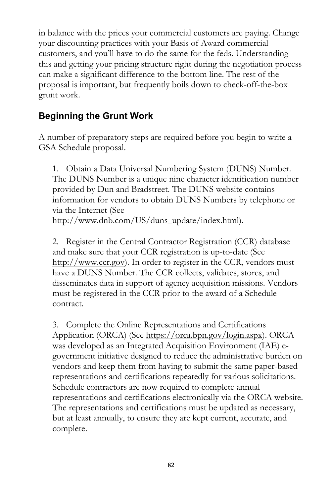in balance with the prices your commercial customers are paying. Change your discounting practices with your Basis of Award commercial customers, and you'll have to do the same for the feds. Understanding this and getting your pricing structure right during the negotiation process can make a significant difference to the bottom line. The rest of the proposal is important, but frequently boils down to check-off-the-box grunt work.

### **Beginning the Grunt Work**

A number of preparatory steps are required before you begin to write a GSA Schedule proposal.

1. Obtain a Data Universal Numbering System (DUNS) Number. The DUNS Number is a unique nine character identification number provided by Dun and Bradstreet. The DUNS website contains information for vendors to obtain DUNS Numbers by telephone or via the Internet (See

http://www.dnb.com/US/duns\_update/index.html).

2. Register in the Central Contractor Registration (CCR) database and make sure that your CCR registration is up-to-date (See http://www.ccr.gov). In order to register in the CCR, vendors must have a DUNS Number. The CCR collects, validates, stores, and disseminates data in support of agency acquisition missions. Vendors must be registered in the CCR prior to the award of a Schedule contract.

3. Complete the Online Representations and Certifications Application (ORCA) (See https://orca.bpn.gov/login.aspx). ORCA was developed as an Integrated Acquisition Environment (IAE) egovernment initiative designed to reduce the administrative burden on vendors and keep them from having to submit the same paper-based representations and certifications repeatedly for various solicitations. Schedule contractors are now required to complete annual representations and certifications electronically via the ORCA website. The representations and certifications must be updated as necessary, but at least annually, to ensure they are kept current, accurate, and complete.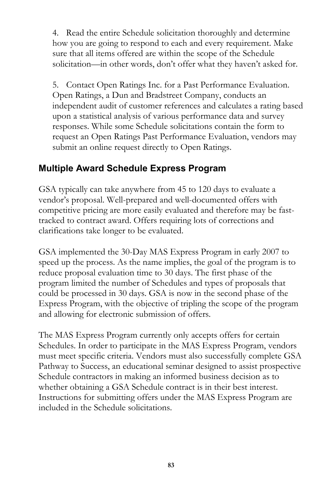4. Read the entire Schedule solicitation thoroughly and determine how you are going to respond to each and every requirement. Make sure that all items offered are within the scope of the Schedule solicitation—in other words, don't offer what they haven't asked for.

5. Contact Open Ratings Inc. for a Past Performance Evaluation. Open Ratings, a Dun and Bradstreet Company, conducts an independent audit of customer references and calculates a rating based upon a statistical analysis of various performance data and survey responses. While some Schedule solicitations contain the form to request an Open Ratings Past Performance Evaluation, vendors may submit an online request directly to Open Ratings.

#### **Multiple Award Schedule Express Program**

GSA typically can take anywhere from 45 to 120 days to evaluate a vendor's proposal. Well-prepared and well-documented offers with competitive pricing are more easily evaluated and therefore may be fasttracked to contract award. Offers requiring lots of corrections and clarifications take longer to be evaluated.

GSA implemented the 30-Day MAS Express Program in early 2007 to speed up the process. As the name implies, the goal of the program is to reduce proposal evaluation time to 30 days. The first phase of the program limited the number of Schedules and types of proposals that could be processed in 30 days. GSA is now in the second phase of the Express Program, with the objective of tripling the scope of the program and allowing for electronic submission of offers.

The MAS Express Program currently only accepts offers for certain Schedules. In order to participate in the MAS Express Program, vendors must meet specific criteria. Vendors must also successfully complete GSA Pathway to Success, an educational seminar designed to assist prospective Schedule contractors in making an informed business decision as to whether obtaining a GSA Schedule contract is in their best interest. Instructions for submitting offers under the MAS Express Program are included in the Schedule solicitations.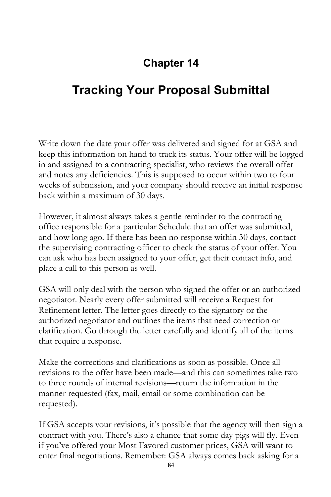### **Chapter 14**

## **Tracking Your Proposal Submittal**

Write down the date your offer was delivered and signed for at GSA and keep this information on hand to track its status. Your offer will be logged in and assigned to a contracting specialist, who reviews the overall offer and notes any deficiencies. This is supposed to occur within two to four weeks of submission, and your company should receive an initial response back within a maximum of 30 days.

However, it almost always takes a gentle reminder to the contracting office responsible for a particular Schedule that an offer was submitted, and how long ago. If there has been no response within 30 days, contact the supervising contracting officer to check the status of your offer. You can ask who has been assigned to your offer, get their contact info, and place a call to this person as well.

GSA will only deal with the person who signed the offer or an authorized negotiator. Nearly every offer submitted will receive a Request for Refinement letter. The letter goes directly to the signatory or the authorized negotiator and outlines the items that need correction or clarification. Go through the letter carefully and identify all of the items that require a response.

Make the corrections and clarifications as soon as possible. Once all revisions to the offer have been made—and this can sometimes take two to three rounds of internal revisions—return the information in the manner requested (fax, mail, email or some combination can be requested).

If GSA accepts your revisions, it's possible that the agency will then sign a contract with you. There's also a chance that some day pigs will fly. Even if you've offered your Most Favored customer prices, GSA will want to enter final negotiations. Remember: GSA always comes back asking for a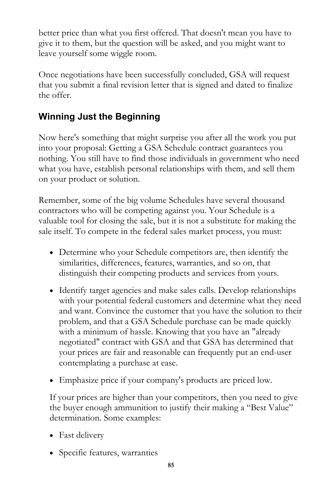better price than what you first offered. That doesn't mean you have to give it to them, but the question will be asked, and you might want to leave yourself some wiggle room.

Once negotiations have been successfully concluded, GSA will request that you submit a final revision letter that is signed and dated to finalize the offer.

### **Winning Just the Beginning**

Now here's something that might surprise you after all the work you put into your proposal: Getting a GSA Schedule contract guarantees you nothing. You still have to find those individuals in government who need what you have, establish personal relationships with them, and sell them on your product or solution.

Remember, some of the big volume Schedules have several thousand contractors who will be competing against you. Your Schedule is a valuable tool for closing the sale, but it is not a substitute for making the sale itself. To compete in the federal sales market process, you must:

- Determine who your Schedule competitors are, then identify the similarities, differences, features, warranties, and so on, that distinguish their competing products and services from yours.
- Identify target agencies and make sales calls. Develop relationships with your potential federal customers and determine what they need and want. Convince the customer that you have the solution to their problem, and that a GSA Schedule purchase can be made quickly with a minimum of hassle. Knowing that you have an "already negotiated" contract with GSA and that GSA has determined that your prices are fair and reasonable can frequently put an end-user contemplating a purchase at ease.
- Emphasize price if your company's products are priced low.

If your prices are higher than your competitors, then you need to give the buyer enough ammunition to justify their making a "Best Value" determination. Some examples:

- Fast delivery
- Specific features, warranties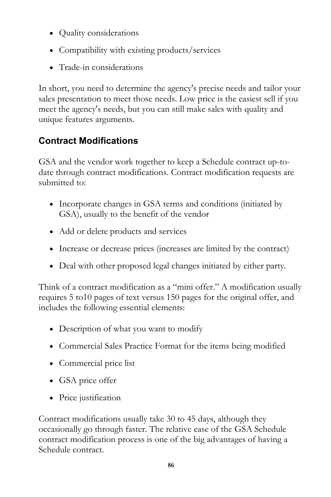- Quality considerations
- Compatibility with existing products/services
- Trade-in considerations

In short, you need to determine the agency's precise needs and tailor your sales presentation to meet those needs. Low price is the easiest sell if you meet the agency's needs, but you can still make sales with quality and unique features arguments.

### **Contract Modifications**

GSA and the vendor work together to keep a Schedule contract up-todate through contract modifications. Contract modification requests are submitted to:

- Incorporate changes in GSA terms and conditions (initiated by GSA), usually to the benefit of the vendor
- Add or delete products and services
- Increase or decrease prices (increases are limited by the contract)
- Deal with other proposed legal changes initiated by either party.

Think of a contract modification as a "mini offer." A modification usually requires 5 to10 pages of text versus 150 pages for the original offer, and includes the following essential elements:

- Description of what you want to modify
- Commercial Sales Practice Format for the items being modified
- Commercial price list
- GSA price offer
- Price justification

Contract modifications usually take 30 to 45 days, although they occasionally go through faster. The relative ease of the GSA Schedule contract modification process is one of the big advantages of having a Schedule contract.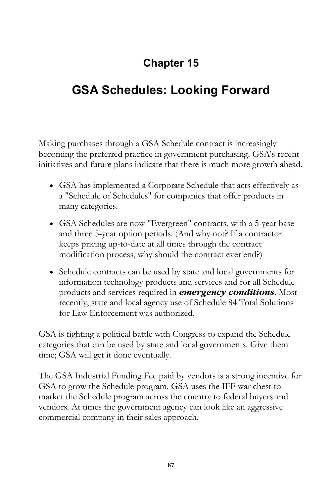### **Chapter 15**

## **GSA Schedules: Looking Forward**

Making purchases through a GSA Schedule contract is increasingly becoming the preferred practice in government purchasing. GSA's recent initiatives and future plans indicate that there is much more growth ahead.

- GSA has implemented a Corporate Schedule that acts effectively as a "Schedule of Schedules" for companies that offer products in many categories.
- GSA Schedules are now "Evergreen" contracts, with a 5-year base and three 5-year option periods. (And why not? If a contractor keeps pricing up-to-date at all times through the contract modification process, why should the contract ever end?)
- Schedule contracts can be used by state and local governments for information technology products and services and for all Schedule products and services required in *emergency conditions*. Most recently, state and local agency use of Schedule 84 Total Solutions for Law Enforcement was authorized.

GSA is fighting a political battle with Congress to expand the Schedule categories that can be used by state and local governments. Give them time; GSA will get it done eventually.

The GSA Industrial Funding Fee paid by vendors is a strong incentive for GSA to grow the Schedule program. GSA uses the IFF war chest to market the Schedule program across the country to federal buyers and vendors. At times the government agency can look like an aggressive commercial company in their sales approach.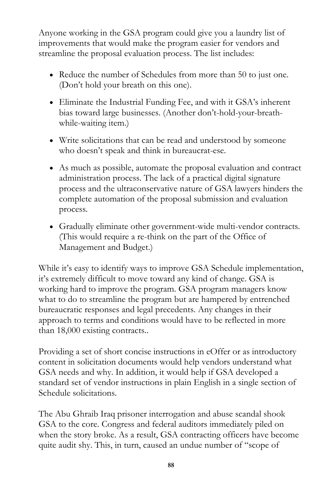Anyone working in the GSA program could give you a laundry list of improvements that would make the program easier for vendors and streamline the proposal evaluation process. The list includes:

- Reduce the number of Schedules from more than 50 to just one. (Don't hold your breath on this one).
- Eliminate the Industrial Funding Fee, and with it GSA's inherent bias toward large businesses. (Another don't-hold-your-breathwhile-waiting item.)
- Write solicitations that can be read and understood by someone who doesn't speak and think in bureaucrat-ese.
- As much as possible, automate the proposal evaluation and contract administration process. The lack of a practical digital signature process and the ultraconservative nature of GSA lawyers hinders the complete automation of the proposal submission and evaluation process.
- Gradually eliminate other government-wide multi-vendor contracts. (This would require a re-think on the part of the Office of Management and Budget.)

While it's easy to identify ways to improve GSA Schedule implementation, it's extremely difficult to move toward any kind of change. GSA is working hard to improve the program. GSA program managers know what to do to streamline the program but are hampered by entrenched bureaucratic responses and legal precedents. Any changes in their approach to terms and conditions would have to be reflected in more than 18,000 existing contracts..

Providing a set of short concise instructions in eOffer or as introductory content in solicitation documents would help vendors understand what GSA needs and why. In addition, it would help if GSA developed a standard set of vendor instructions in plain English in a single section of Schedule solicitations.

The Abu Ghraib Iraq prisoner interrogation and abuse scandal shook GSA to the core. Congress and federal auditors immediately piled on when the story broke. As a result, GSA contracting officers have become quite audit shy. This, in turn, caused an undue number of "scope of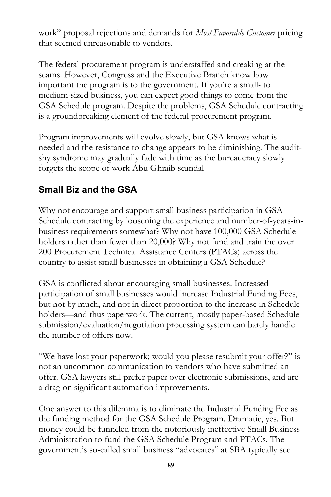work" proposal rejections and demands for *Most Favorable Customer* pricing that seemed unreasonable to vendors.

The federal procurement program is understaffed and creaking at the seams. However, Congress and the Executive Branch know how important the program is to the government. If you're a small- to medium-sized business, you can expect good things to come from the GSA Schedule program. Despite the problems, GSA Schedule contracting is a groundbreaking element of the federal procurement program.

Program improvements will evolve slowly, but GSA knows what is needed and the resistance to change appears to be diminishing. The auditshy syndrome may gradually fade with time as the bureaucracy slowly forgets the scope of work Abu Ghraib scandal

### **Small Biz and the GSA**

Why not encourage and support small business participation in GSA Schedule contracting by loosening the experience and number-of-years-inbusiness requirements somewhat? Why not have 100,000 GSA Schedule holders rather than fewer than 20,000? Why not fund and train the over 200 Procurement Technical Assistance Centers (PTACs) across the country to assist small businesses in obtaining a GSA Schedule?

GSA is conflicted about encouraging small businesses. Increased participation of small businesses would increase Industrial Funding Fees, but not by much, and not in direct proportion to the increase in Schedule holders—and thus paperwork. The current, mostly paper-based Schedule submission/evaluation/negotiation processing system can barely handle the number of offers now.

"We have lost your paperwork; would you please resubmit your offer?" is not an uncommon communication to vendors who have submitted an offer. GSA lawyers still prefer paper over electronic submissions, and are a drag on significant automation improvements.

One answer to this dilemma is to eliminate the Industrial Funding Fee as the funding method for the GSA Schedule Program. Dramatic, yes. But money could be funneled from the notoriously ineffective Small Business Administration to fund the GSA Schedule Program and PTACs. The government's so-called small business "advocates" at SBA typically see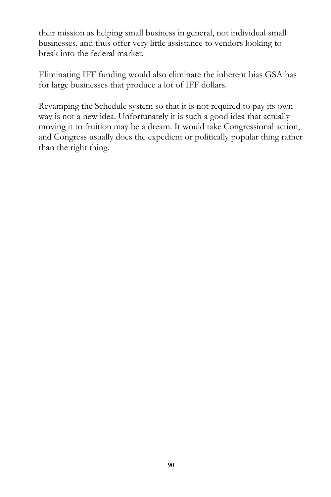their mission as helping small business in general, not individual small businesses, and thus offer very little assistance to vendors looking to break into the federal market.

Eliminating IFF funding would also eliminate the inherent bias GSA has for large businesses that produce a lot of IFF dollars.

Revamping the Schedule system so that it is not required to pay its own way is not a new idea. Unfortunately it is such a good idea that actually moving it to fruition may be a dream. It would take Congressional action, and Congress usually does the expedient or politically popular thing rather than the right thing.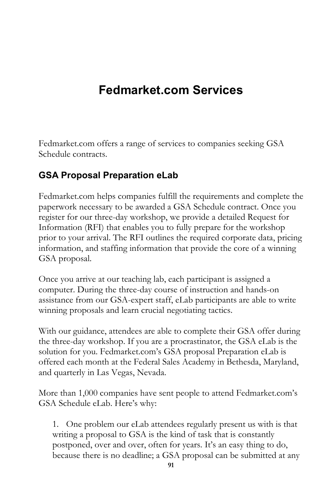### **Fedmarket.com Services**

Fedmarket.com offers a range of services to companies seeking GSA Schedule contracts.

#### **GSA Proposal Preparation eLab**

Fedmarket.com helps companies fulfill the requirements and complete the paperwork necessary to be awarded a GSA Schedule contract. Once you register for our three-day workshop, we provide a detailed Request for Information (RFI) that enables you to fully prepare for the workshop prior to your arrival. The RFI outlines the required corporate data, pricing information, and staffing information that provide the core of a winning GSA proposal.

Once you arrive at our teaching lab, each participant is assigned a computer. During the three-day course of instruction and hands-on assistance from our GSA-expert staff, eLab participants are able to write winning proposals and learn crucial negotiating tactics.

With our guidance, attendees are able to complete their GSA offer during the three-day workshop. If you are a procrastinator, the GSA eLab is the solution for you. Fedmarket.com's GSA proposal Preparation eLab is offered each month at the Federal Sales Academy in Bethesda, Maryland, and quarterly in Las Vegas, Nevada.

More than 1,000 companies have sent people to attend Fedmarket.com's GSA Schedule eLab. Here's why:

1. One problem our eLab attendees regularly present us with is that writing a proposal to GSA is the kind of task that is constantly postponed, over and over, often for years. It's an easy thing to do, because there is no deadline; a GSA proposal can be submitted at any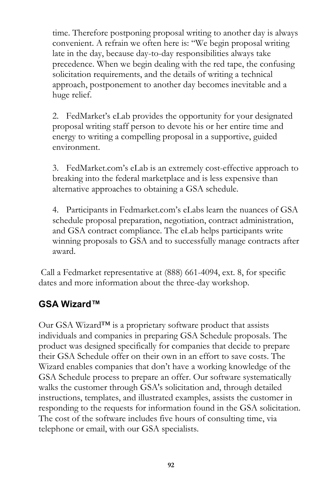time. Therefore postponing proposal writing to another day is always convenient. A refrain we often here is: "We begin proposal writing late in the day, because day-to-day responsibilities always take precedence. When we begin dealing with the red tape, the confusing solicitation requirements, and the details of writing a technical approach, postponement to another day becomes inevitable and a huge relief.

2. FedMarket's eLab provides the opportunity for your designated proposal writing staff person to devote his or her entire time and energy to writing a compelling proposal in a supportive, guided environment.

3. FedMarket.com's eLab is an extremely cost-effective approach to breaking into the federal marketplace and is less expensive than alternative approaches to obtaining a GSA schedule.

4. Participants in Fedmarket.com's eLabs learn the nuances of GSA schedule proposal preparation, negotiation, contract administration, and GSA contract compliance. The eLab helps participants write winning proposals to GSA and to successfully manage contracts after award.

 Call a Fedmarket representative at (888) 661-4094, ext. 8, for specific dates and more information about the three-day workshop.

#### **GSA Wizard™**

Our GSA Wizard™ is a proprietary software product that assists individuals and companies in preparing GSA Schedule proposals. The product was designed specifically for companies that decide to prepare their GSA Schedule offer on their own in an effort to save costs. The Wizard enables companies that don't have a working knowledge of the GSA Schedule process to prepare an offer. Our software systematically walks the customer through GSA's solicitation and, through detailed instructions, templates, and illustrated examples, assists the customer in responding to the requests for information found in the GSA solicitation. The cost of the software includes five hours of consulting time, via telephone or email, with our GSA specialists.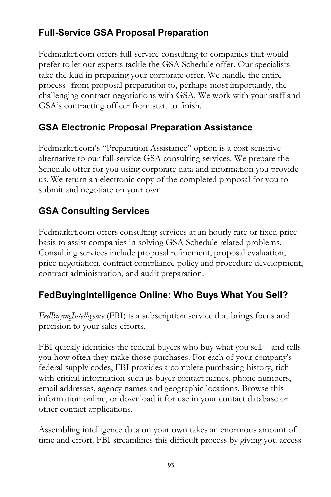### **Full-Service GSA Proposal Preparation**

Fedmarket.com offers full-service consulting to companies that would prefer to let our experts tackle the GSA Schedule offer. Our specialists take the lead in preparing your corporate offer. We handle the entire process--from proposal preparation to, perhaps most importantly, the challenging contract negotiations with GSA. We work with your staff and GSA's contracting officer from start to finish.

### **GSA Electronic Proposal Preparation Assistance**

Fedmarket.com's "Preparation Assistance" option is a cost-sensitive alternative to our full-service GSA consulting services. We prepare the Schedule offer for you using corporate data and information you provide us. We return an electronic copy of the completed proposal for you to submit and negotiate on your own.

### **GSA Consulting Services**

Fedmarket.com offers consulting services at an hourly rate or fixed price basis to assist companies in solving GSA Schedule related problems. Consulting services include proposal refinement, proposal evaluation, price negotiation, contract compliance policy and procedure development, contract administration, and audit preparation.

#### **FedBuyingIntelligence Online: Who Buys What You Sell?**

*FedBuyingIntelligence* (FBI) is a subscription service that brings focus and precision to your sales efforts.

FBI quickly identifies the federal buyers who buy what you sell—and tells you how often they make those purchases. For each of your company's federal supply codes, FBI provides a complete purchasing history, rich with critical information such as buyer contact names, phone numbers, email addresses, agency names and geographic locations. Browse this information online, or download it for use in your contact database or other contact applications.

Assembling intelligence data on your own takes an enormous amount of time and effort. FBI streamlines this difficult process by giving you access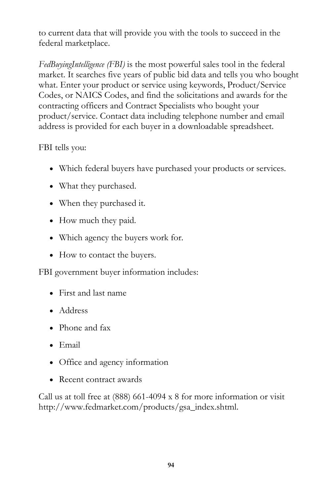to current data that will provide you with the tools to succeed in the federal marketplace.

*FedBuyingIntelligence (FBI)* is the most powerful sales tool in the federal market. It searches five years of public bid data and tells you who bought what. Enter your product or service using keywords, Product/Service Codes, or NAICS Codes, and find the solicitations and awards for the contracting officers and Contract Specialists who bought your product/service. Contact data including telephone number and email address is provided for each buyer in a downloadable spreadsheet.

FBI tells you:

- Which federal buyers have purchased your products or services.
- What they purchased.
- When they purchased it.
- How much they paid.
- Which agency the buyers work for.
- How to contact the buyers.

FBI government buyer information includes:

- First and last name
- Address
- Phone and fax
- Email
- Office and agency information
- Recent contract awards

Call us at toll free at (888) 661-4094 x 8 for more information or visit http://www.fedmarket.com/products/gsa\_index.shtml.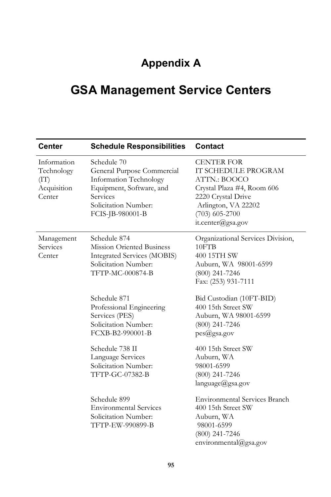### **Appendix A**

# **GSA Management Service Centers**

| <b>Center</b>                                              | <b>Schedule Responsibilities</b>                                                                                                                        | <b>Contact</b>                                                                                                                                                               |
|------------------------------------------------------------|---------------------------------------------------------------------------------------------------------------------------------------------------------|------------------------------------------------------------------------------------------------------------------------------------------------------------------------------|
| Information<br>Technology<br>(TT)<br>Acquisition<br>Center | Schedule 70<br>General Purpose Commercial<br>Information Technology<br>Equipment, Software, and<br>Services<br>Solicitation Number:<br>FCIS-JB-980001-B | <b>CENTER FOR</b><br>IT SCHEDULE PROGRAM<br>ATTN.: BOOCO<br>Crystal Plaza #4, Room 606<br>2220 Crystal Drive<br>Arlington, VA 22202<br>$(703)$ 605-2700<br>it.center@gsa.gov |
| Management<br>Services<br>Center                           | Schedule 874<br><b>Mission Oriented Business</b><br><b>Integrated Services (MOBIS)</b><br>Solicitation Number:<br>TFTP-MC-000874-B                      | Organizational Services Division,<br>10FTB<br>400 15TH SW<br>Auburn, WA 98001-6599<br>$(800)$ 241-7246<br>Fax: (253) 931-7111                                                |
|                                                            | Schedule 871<br>Professional Engineering<br>Services (PES)<br>Solicitation Number:<br>FCXB-B2-990001-B                                                  | Bid Custodian (10FT-BID)<br>400 15th Street SW<br>Auburn, WA 98001-6599<br>$(800)$ 241-7246<br>pes@gsa.gov                                                                   |
|                                                            | Schedule 738 II<br>Language Services<br>Solicitation Number:<br>TFTP-GC-07382-B                                                                         | 400 15th Street SW<br>Auburn, WA<br>98001-6599<br>$(800)$ 241-7246<br>language@gsa.gov                                                                                       |
|                                                            | Schedule 899<br><b>Environmental Services</b><br>Solicitation Number:<br>TFTP-EW-990899-B                                                               | <b>Environmental Services Branch</b><br>400 15th Street SW<br>Auburn, WA<br>98001-6599<br>$(800)$ 241-7246<br>environmental@gsa.gov                                          |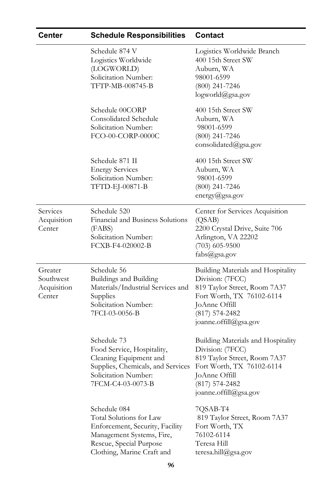| <b>Center</b>                                 | <b>Schedule Responsibilities</b>                                                                                                                                 | <b>Contact</b>                                                                                                                                                                      |
|-----------------------------------------------|------------------------------------------------------------------------------------------------------------------------------------------------------------------|-------------------------------------------------------------------------------------------------------------------------------------------------------------------------------------|
|                                               | Schedule 874 V<br>Logistics Worldwide<br>(LOGWORLD)<br>Solicitation Number:<br>TFTP-MB-008745-B                                                                  | Logistics Worldwide Branch<br>400 15th Street SW<br>Auburn, WA<br>98001-6599<br>$(800)$ 241-7246<br>logworld@gsa.gov                                                                |
|                                               | Schedule 00CORP<br>Consolidated Schedule<br>Solicitation Number:<br>FCO-00-CORP-0000C                                                                            | 400 15th Street SW<br>Auburn, WA<br>98001-6599<br>$(800)$ 241-7246<br>consolidated@gsa.gov                                                                                          |
|                                               | Schedule 871 II<br><b>Energy Services</b><br>Solicitation Number:<br>TFTD-EJ-00871-B                                                                             | 400 15th Street SW<br>Auburn, WA<br>98001-6599<br>$(800)$ 241-7246<br>energy@gsa.gov                                                                                                |
| Services<br>Acquisition<br>Center             | Schedule 520<br>Financial and Business Solutions<br>(FABS)<br>Solicitation Number:<br>FCXB-F4-020002-B                                                           | Center for Services Acquisition<br>(QSAB)<br>2200 Crystal Drive, Suite 706<br>Arlington, VA 22202<br>$(703)$ 605-9500<br>fabs@gsa.gov                                               |
| Greater<br>Southwest<br>Acquisition<br>Center | Schedule 56<br><b>Buildings and Building</b><br>Materials/Industrial Services and<br>Supplies<br>Solicitation Number:<br>7FCI-03-0056-B                          | Building Materials and Hospitality<br>Division: (7FCC)<br>819 Taylor Street, Room 7A37<br>Fort Worth, TX 76102-6114<br>JoAnne Offill<br>$(817) 574 - 2482$<br>joanne.offill@gsa.gov |
|                                               | Schedule 73<br>Food Service, Hospitality,<br>Cleaning Equipment and<br>Supplies, Chemicals, and Services<br>Solicitation Number:<br>7FCM-C4-03-0073-B            | Building Materials and Hospitality<br>Division: (7FCC)<br>819 Taylor Street, Room 7A37<br>Fort Worth, TX 76102-6114<br>JoAnne Offill<br>$(817) 574 - 2482$<br>joanne.offill@gsa.gov |
|                                               | Schedule 084<br>Total Solutions for Law<br>Enforcement, Security, Facility<br>Management Systems, Fire,<br>Rescue, Special Purpose<br>Clothing, Marine Craft and | 7QSAB-T4<br>819 Taylor Street, Room 7A37<br>Fort Worth, TX<br>76102-6114<br>Teresa Hill<br>teresa.hill@gsa.gov                                                                      |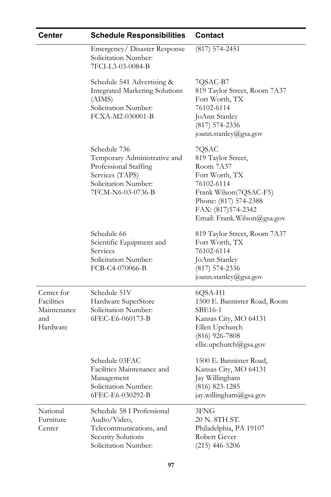| Center                                                     | <b>Schedule Responsibilities</b>                                                                                                      | <b>Contact</b>                                                                                                                                                                   |
|------------------------------------------------------------|---------------------------------------------------------------------------------------------------------------------------------------|----------------------------------------------------------------------------------------------------------------------------------------------------------------------------------|
|                                                            | Emergency/ Disaster Response<br>Solicitation Number:<br>7FCI-L3-03-0084-B                                                             | $(817) 574 - 2451$                                                                                                                                                               |
|                                                            | Schedule 541 Advertising &<br><b>Integrated Marketing Solutions</b><br>(AIMS)<br>Solicitation Number:<br>FCXA-M2-030001-B             | 7QSAC-B7<br>819 Taylor Street, Room 7A37<br>Fort Worth, TX<br>76102-6114<br>JoAnn Stanley<br>$(817)$ 574-2336<br>joann.stanley@gsa.gov                                           |
|                                                            | Schedule 736<br>Temporary Administrative and<br>Professional Staffing<br>Services (TAPS)<br>Solicitation Number:<br>7FCM-N6-03-0736-B | 7QSAC<br>819 Taylor Street,<br>Room 7A37<br>Fort Worth, TX<br>76102-6114<br>Frank Wilson(7QSAC-F5)<br>Phone: (817) 574-2388<br>FAX: (817)574-2342<br>Email: Frank.Wilson@gsa.gov |
|                                                            | Schedule 66<br>Scientific Equipment and<br>Services<br>Solicitation Number:<br>FCB-C4-070066-B                                        | 819 Taylor Street, Room 7A37<br>Fort Worth, TX<br>76102-6114<br>JoAnn Stanley<br>$(817)$ 574-2336<br>joann.stanley@gsa.gov                                                       |
| Center for<br>Facilities<br>Maintenance<br>and<br>Hardware | Schedule 51V<br>Hardware SuperStore<br>Solicitation Number:<br>6FEC-E6-060173-B                                                       | 6QSA-H1<br>1500 E. Bannister Road, Room<br>SBE16-1<br>Kansas City, MO 64131<br>Ellen Upchurch<br>$(816)$ 926-7808<br>ellie.upchurch@gsa.gov                                      |
|                                                            | Schedule 03FAC<br>Facilities Maintenance and<br>Management<br>Solicitation Number:<br>6FEC-E6-030292-B                                | 1500 E. Bannister Road,<br>Kansas City, MO 64131<br>Jay Willingham<br>(816) 823-1285<br>jay.willingham@gsa.gov                                                                   |
| National<br>Furniture<br>Center                            | Schedule 58 I Professional<br>Audio/Video,<br>Telecommunications, and<br>Security Solutions<br>Solicitation Number:                   | 3FNG<br>20 N. 8TH ST.<br>Philadelphia, PA 19107<br>Robert Gever<br>$(215)$ 446-5206                                                                                              |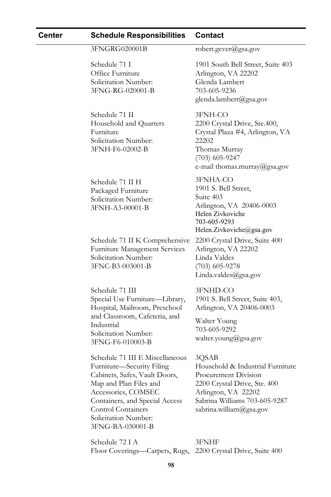| <b>Center</b> | <b>Schedule Responsibilities</b>                                                                                                                                                                                                                          | <b>Contact</b>                                                                                                                                                                       |
|---------------|-----------------------------------------------------------------------------------------------------------------------------------------------------------------------------------------------------------------------------------------------------------|--------------------------------------------------------------------------------------------------------------------------------------------------------------------------------------|
|               | 3FNGRG020001B                                                                                                                                                                                                                                             | robert.gever@gsa.gov                                                                                                                                                                 |
|               | Schedule 71 I<br>Office Furniture<br>Solicitation Number:<br>3FNG-RG-020001-B                                                                                                                                                                             | 1901 South Bell Street, Suite 403<br>Arlington, VA 22202<br>Glenda Lambert<br>703-605-9236<br>glenda.lambert@gsa.gov                                                                 |
|               | Schedule 71 II<br>Household and Quarters<br>Furniture<br>Solicitation Number:<br>3FNH-F6-02002-B                                                                                                                                                          | 3FNH-CO<br>2200 Crystal Drive, Ste.400,<br>Crystal Plaza #4, Arlington, VA<br>22202<br>Thomas Murray<br>$(703)$ 605-9247<br>e-mail thomas.murray@gsa.gov                             |
|               | Schedule 71 II H<br>Packaged Furniture<br>Solicitation Number:<br>3FNH-A3-00001-B                                                                                                                                                                         | 3FNHA-CO<br>1901 S. Bell Street,<br>Suite 403<br>Arlington, VA 20406-0003<br>Helen Zivkoviche<br>703-605-9293<br>Helen.Zivkoviche@gsa.gov                                            |
|               | Schedule 71 II K Comprehensive<br>Furniture Management Services<br>Solicitation Number:<br>3FNC-B3-003001-B                                                                                                                                               | 2200 Crystal Drive, Suite 400<br>Arlington, VA 22202<br>Linda Valdes<br>$(703)$ 605-9278<br>Linda.valdes@gsa.gov                                                                     |
|               | Schedule 71 III<br>Special Use Furniture-Library,<br>Hospital, Mailroom, Preschool<br>and Classroom, Cafeteria, and<br>Industrial<br>Solicitation Number:<br>3FNG-F6-010003-B                                                                             | 3FNHD-CO<br>1901 S. Bell Street, Suite 403,<br>Arlington, VA 20406-0003<br>Walter Young<br>703-605-9292<br>walter.young@gsa.gov                                                      |
|               | Schedule 71 III E Miscellaneous<br>Furniture-Security Filing<br>Cabinets, Safes, Vault Doors,<br>Map and Plan Files and<br>Accessories, COMSEC<br>Containers, and Special Access<br><b>Control Containers</b><br>Solicitation Number:<br>3FNG-BA-030001-B | 3QSAB<br>Household & Industrial Furniture<br>Procurement Division<br>2200 Crystal Drive, Ste. 400<br>Arlington, VA 22202<br>Sabrina Williams 703-605-9287<br>sabrina.william@gsa.gov |
|               | Schedule 72 I A<br>Floor Coverings—Carpets, Rugs,                                                                                                                                                                                                         | 3FNHF<br>2200 Crystal Drive, Suite 400                                                                                                                                               |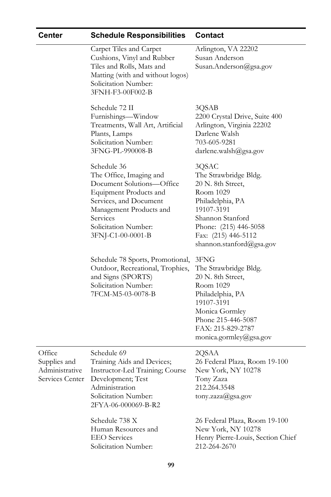| <b>Center</b>                                               | <b>Schedule Responsibilities</b>                                                                                                                                                                            | <b>Contact</b>                                                                                                                                                                                     |
|-------------------------------------------------------------|-------------------------------------------------------------------------------------------------------------------------------------------------------------------------------------------------------------|----------------------------------------------------------------------------------------------------------------------------------------------------------------------------------------------------|
|                                                             | Carpet Tiles and Carpet<br>Cushions, Vinyl and Rubber<br>Tiles and Rolls, Mats and<br>Matting (with and without logos)<br>Solicitation Number:<br>3FNH-F3-00F002-B                                          | Arlington, VA 22202<br>Susan Anderson<br>Susan.Anderson@gsa.gov                                                                                                                                    |
|                                                             | Schedule 72 II<br>Furnishings—Window<br>Treatments, Wall Art, Artificial<br>Plants, Lamps<br>Solicitation Number:<br>3FNG-PL-990008-B                                                                       | 3QSAB<br>2200 Crystal Drive, Suite 400<br>Arlington, Virginia 22202<br>Darlene Walsh<br>703-605-9281<br>darlene.walsh@gsa.gov                                                                      |
|                                                             | Schedule 36<br>The Office, Imaging and<br>Document Solutions-Office<br>Equipment Products and<br>Services, and Document<br>Management Products and<br>Services<br>Solicitation Number:<br>3FNJ-C1-00-0001-B | 3QSAC<br>The Strawbridge Bldg.<br>20 N. 8th Street,<br>Room 1029<br>Philadelphia, PA<br>19107-3191<br>Shannon Stanford<br>Phone: (215) 446-5058<br>Fax: (215) 446-5112<br>shannon.stanford@gsa.gov |
|                                                             | Schedule 78 Sports, Promotional,<br>Outdoor, Recreational, Trophies,<br>and Signs (SPORTS)<br>Solicitation Number:<br>7FCM-M5-03-0078-B                                                                     | 3FNG<br>The Strawbridge Bldg.<br>20 N. 8th Street,<br>Room 1029<br>Philadelphia, PA<br>19107-3191<br>Monica Gormley<br>Phone 215-446-5087<br>FAX: 215-829-2787<br>monica.gormley@gsa.gov           |
| Office<br>Supplies and<br>Administrative<br>Services Center | Schedule 69<br>Training Aids and Devices;<br>Instructor-Led Training; Course<br>Development; Test<br>Administration<br>Solicitation Number:<br>2FYA-06-000069-B-R2                                          | 2QSAA<br>26 Federal Plaza, Room 19-100<br>New York, NY 10278<br>Tony Zaza<br>212.264.3548<br>tony.zaza@gsa.gov                                                                                     |
|                                                             | Schedule 738 X<br>Human Resources and<br><b>EEO</b> Services<br>Solicitation Number:                                                                                                                        | 26 Federal Plaza, Room 19-100<br>New York, NY 10278<br>Henry Pierre-Louis, Section Chief<br>212-264-2670                                                                                           |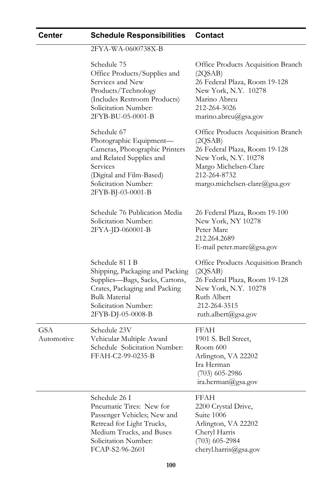| <b>Center</b>            | <b>Schedule Responsibilities</b>                                                                                                                                                           | <b>Contact</b>                                                                                                                                                                   |
|--------------------------|--------------------------------------------------------------------------------------------------------------------------------------------------------------------------------------------|----------------------------------------------------------------------------------------------------------------------------------------------------------------------------------|
|                          | 2FYA-WA-0600738X-B                                                                                                                                                                         |                                                                                                                                                                                  |
|                          | Schedule 75<br>Office Products/Supplies and<br>Services and New<br>Products/Technology<br>(Includes Restroom Products)<br>Solicitation Number:<br>2FYB-BU-05-0001-B                        | Office Products Acquisition Branch<br>(2QSAB)<br>26 Federal Plaza, Room 19-128<br>New York, N.Y. 10278<br>Marino Abreu<br>212-264-3026<br>marino.abreu@gsa.gov                   |
|                          | Schedule 67<br>Photographic Equipment-<br>Cameras, Photographic Printers<br>and Related Supplies and<br>Services<br>(Digital and Film-Based)<br>Solicitation Number:<br>2FYB-BJ-03-0001-B  | Office Products Acquisition Branch<br>(2QSAB)<br>26 Federal Plaza, Room 19-128<br>New York, N.Y. 10278<br>Margo Michelsen-Clare<br>212-264-8732<br>margo.michelsen-clare@gsa.gov |
|                          | Schedule 76 Publication Media<br>Solicitation Number:<br>2FYA-JD-060001-B                                                                                                                  | 26 Federal Plaza, Room 19-100<br>New York, NY 10278<br>Peter Mare<br>212.264.2689<br>E-mail peter.mare@gsa.gov                                                                   |
|                          | Schedule 81 I B<br>Shipping, Packaging and Packing<br>Supplies-Bags, Sacks, Cartons,<br>Crates, Packaging and Packing<br><b>Bulk Material</b><br>Solicitation Number:<br>2FYB-DJ-05-0008-B | Office Products Acquisition Branch<br>(2QSAB)<br>26 Federal Plaza, Room 19-128<br>New York, N.Y. 10278<br>Ruth Albert<br>212-264-3515<br>ruth.albert@gsa.gov                     |
| <b>GSA</b><br>Automotive | Schedule 23V<br>Vehicular Multiple Award<br>Schedule Solicitation Number:<br>FFAH-C2-99-0235-B                                                                                             | FFAH<br>1901 S. Bell Street,<br>Room 600<br>Arlington, VA 22202<br>Ira Herman<br>$(703)$ 605-2986<br>ira.herman@gsa.gov                                                          |
|                          | Schedule 26 I<br>Pneumatic Tires: New for<br>Passenger Vehicles; New and<br>Retread for Light Trucks,<br>Medium Trucks, and Buses<br>Solicitation Number:<br>FCAP-S2-96-2601               | <b>FFAH</b><br>2200 Crystal Drive,<br>Suite 1006<br>Arlington, VA 22202<br>Cheryl Harris<br>$(703)$ 605-2984<br>cheryl.harris@gsa.gov                                            |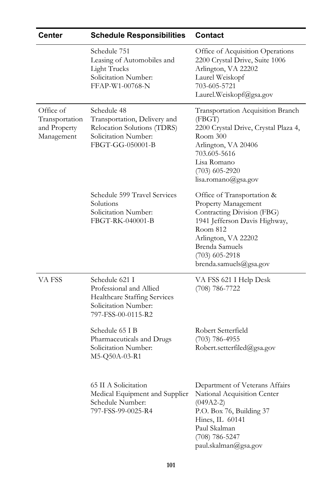| <b>Center</b>                                             | <b>Schedule Responsibilities</b>                                                                                               | <b>Contact</b>                                                                                                                                                                                                             |
|-----------------------------------------------------------|--------------------------------------------------------------------------------------------------------------------------------|----------------------------------------------------------------------------------------------------------------------------------------------------------------------------------------------------------------------------|
|                                                           | Schedule 751<br>Leasing of Automobiles and<br><b>Light Trucks</b><br>Solicitation Number:<br>FFAP-W1-00768-N                   | Office of Acquisition Operations<br>2200 Crystal Drive, Suite 1006<br>Arlington, VA 22202<br>Laurel Weiskopf<br>703-605-5721<br>Laurel.Weiskopf@gsa.gov                                                                    |
| Office of<br>Transportation<br>and Property<br>Management | Schedule 48<br>Transportation, Delivery and<br>Relocation Solutions (TDRS)<br>Solicitation Number:<br>FBGT-GG-050001-B         | Transportation Acquisition Branch<br>(FBGT)<br>2200 Crystal Drive, Crystal Plaza 4,<br>Room 300<br>Arlington, VA 20406<br>703.605-5616<br>Lisa Romano<br>$(703)$ 605-2920<br>lisa.romano@gsa.gov                           |
|                                                           | Schedule 599 Travel Services<br>Solutions<br>Solicitation Number:<br>FBGT-RK-040001-B                                          | Office of Transportation &<br>Property Management<br>Contracting Division (FBG)<br>1941 Jefferson Davis Highway,<br>Room 812<br>Arlington, VA 22202<br><b>Brenda Samuels</b><br>$(703)$ 605-2918<br>brenda.samuels@gsa.gov |
| VA FSS                                                    | Schedule 621 I<br>Professional and Allied<br><b>Healthcare Staffing Services</b><br>Solicitation Number:<br>797-FSS-00-0115-R2 | VA FSS 621 I Help Desk<br>$(708) 786 - 7722$                                                                                                                                                                               |
|                                                           | Schedule 65 I B<br>Pharmaceuticals and Drugs<br>Solicitation Number:<br>M5-Q50A-03-R1                                          | Robert Setterfield<br>$(703) 786 - 4955$<br>Robert.setterfiled@gsa.gov                                                                                                                                                     |
|                                                           | 65 II A Solicitation<br>Medical Equipment and Supplier<br>Schedule Number:<br>797-FSS-99-0025-R4                               | Department of Veterans Affairs<br>National Acquisition Center<br>$(049A2-2)$<br>P.O. Box 76, Building 37<br>Hines, IL 60141<br>Paul Skalman<br>$(708) 786 - 5247$<br>paul.skalman@gsa.gov                                  |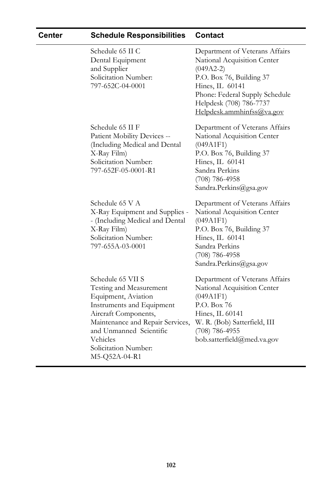| <b>Center</b> | <b>Schedule Responsibilities</b>                                                                                                                                                                                                             | <b>Contact</b>                                                                                                                                                                                                        |
|---------------|----------------------------------------------------------------------------------------------------------------------------------------------------------------------------------------------------------------------------------------------|-----------------------------------------------------------------------------------------------------------------------------------------------------------------------------------------------------------------------|
|               | Schedule 65 II C<br>Dental Equipment<br>and Supplier<br>Solicitation Number:<br>797-652C-04-0001                                                                                                                                             | Department of Veterans Affairs<br>National Acquisition Center<br>$(049A2-2)$<br>P.O. Box 76, Building 37<br>Hines, IL 60141<br>Phone: Federal Supply Schedule<br>Helpdesk (708) 786-7737<br>Helpdesk.ammhinfss@va.gov |
|               | Schedule 65 II F<br>Patient Mobility Devices --<br>(Including Medical and Dental<br>X-Ray Film)<br>Solicitation Number:<br>797-652F-05-0001-R1                                                                                               | Department of Veterans Affairs<br>National Acquisition Center<br>(049A1F1)<br>P.O. Box 76, Building 37<br>Hines, IL 60141<br>Sandra Perkins<br>$(708)$ 786-4958<br>Sandra.Perkins@gsa.gov                             |
|               | Schedule 65 V A<br>X-Ray Equipment and Supplies -<br>- (Including Medical and Dental<br>X-Ray Film)<br>Solicitation Number:<br>797-655A-03-0001                                                                                              | Department of Veterans Affairs<br>National Acquisition Center<br>(049A1F1)<br>P.O. Box 76, Building 37<br>Hines, IL 60141<br>Sandra Perkins<br>$(708)$ 786-4958<br>Sandra.Perkins@gsa.gov                             |
|               | Schedule 65 VII S<br>Testing and Measurement<br>Equipment, Aviation<br>Instruments and Equipment<br>Aircraft Components,<br>Maintenance and Repair Services,<br>and Unmanned Scientific<br>Vehicles<br>Solicitation Number:<br>M5-Q52A-04-R1 | Department of Veterans Affairs<br>National Acquisition Center<br>(049A1F1)<br>P.O. Box 76<br>Hines, IL 60141<br>W. R. (Bob) Satterfield, III<br>$(708)$ 786-4955<br>bob.satterfield@med.va.gov                        |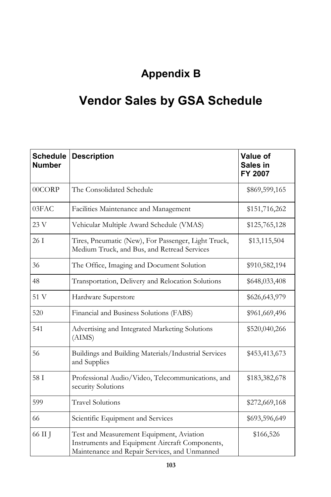## **Appendix B**

# **Vendor Sales by GSA Schedule**

| <b>Schedule</b><br><b>Number</b> | <b>Description</b>                                                                                                                          | <b>Value of</b><br>Sales in<br>FY 2007 |
|----------------------------------|---------------------------------------------------------------------------------------------------------------------------------------------|----------------------------------------|
| 00CORP                           | The Consolidated Schedule                                                                                                                   | \$869,599,165                          |
| 03FAC                            | Facilities Maintenance and Management                                                                                                       | \$151,716,262                          |
| 23 V                             | Vehicular Multiple Award Schedule (VMAS)                                                                                                    | \$125,765,128                          |
| 26 I                             | Tires, Pneumatic (New), For Passenger, Light Truck,<br>Medium Truck, and Bus, and Retread Services                                          | \$13,115,504                           |
| 36                               | The Office, Imaging and Document Solution                                                                                                   | \$910,582,194                          |
| 48                               | Transportation, Delivery and Relocation Solutions                                                                                           | \$648,033,408                          |
| 51 V                             | Hardware Superstore                                                                                                                         | \$626,643,979                          |
| 520                              | Financial and Business Solutions (FABS)                                                                                                     | \$961,669,496                          |
| 541                              | Advertising and Integrated Marketing Solutions<br>(AIMS)                                                                                    | \$520,040,266                          |
| 56                               | Buildings and Building Materials/Industrial Services<br>and Supplies                                                                        | \$453,413,673                          |
| 58 I                             | Professional Audio/Video, Telecommunications, and<br>security Solutions                                                                     | \$183,382,678                          |
| 599                              | <b>Travel Solutions</b>                                                                                                                     | \$272,669,168                          |
| 66                               | Scientific Equipment and Services                                                                                                           | \$693,596,649                          |
| 66 II J                          | Test and Measurement Equipment, Aviation<br>Instruments and Equipment Aircraft Components,<br>Maintenance and Repair Services, and Unmanned | \$166,526                              |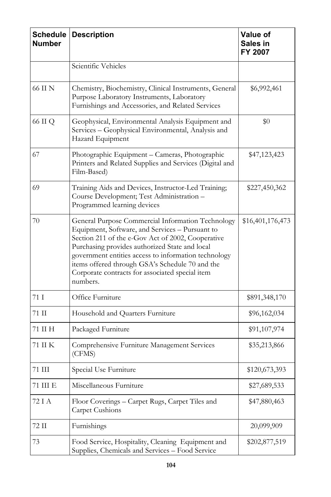| <b>Schedule</b><br><b>Number</b> | <b>Description</b>                                                                                                                                                                                                                                                                                                                                                                    | Value of<br>Sales in<br>FY 2007 |
|----------------------------------|---------------------------------------------------------------------------------------------------------------------------------------------------------------------------------------------------------------------------------------------------------------------------------------------------------------------------------------------------------------------------------------|---------------------------------|
|                                  | Scientific Vehicles                                                                                                                                                                                                                                                                                                                                                                   |                                 |
| 66 II N                          | Chemistry, Biochemistry, Clinical Instruments, General<br>Purpose Laboratory Instruments, Laboratory<br>Furnishings and Accessories, and Related Services                                                                                                                                                                                                                             | \$6,992,461                     |
| 66 II Q                          | Geophysical, Environmental Analysis Equipment and<br>Services - Geophysical Environmental, Analysis and<br>Hazard Equipment                                                                                                                                                                                                                                                           | \$0                             |
| 67                               | Photographic Equipment - Cameras, Photographic<br>Printers and Related Supplies and Services (Digital and<br>Film-Based)                                                                                                                                                                                                                                                              | \$47,123,423                    |
| 69                               | Training Aids and Devices, Instructor-Led Training;<br>Course Development; Test Administration -<br>Programmed learning devices                                                                                                                                                                                                                                                       | \$227,450,362                   |
| 70                               | General Purpose Commercial Information Technology<br>Equipment, Software, and Services - Pursuant to<br>Section 211 of the e-Gov Act of 2002, Cooperative<br>Purchasing provides authorized State and local<br>government entities access to information technology<br>items offered through GSA's Schedule 70 and the<br>Corporate contracts for associated special item<br>numbers. | \$16,401,176,473                |
| 71 I                             | Office Furniture                                                                                                                                                                                                                                                                                                                                                                      | \$891,348,170                   |
| 71 II                            | Household and Quarters Furniture                                                                                                                                                                                                                                                                                                                                                      | \$96,162,034                    |
| 71 II H                          | Packaged Furniture                                                                                                                                                                                                                                                                                                                                                                    | \$91,107,974                    |
| 71 II K                          | Comprehensive Furniture Management Services<br>(CFMS)                                                                                                                                                                                                                                                                                                                                 | \$35,213,866                    |
| 71 III                           | Special Use Furniture                                                                                                                                                                                                                                                                                                                                                                 | \$120,673,393                   |
| 71 III E                         | Miscellaneous Furniture                                                                                                                                                                                                                                                                                                                                                               | \$27,689,533                    |
| 72 I A                           | Floor Coverings - Carpet Rugs, Carpet Tiles and<br>Carpet Cushions                                                                                                                                                                                                                                                                                                                    | \$47,880,463                    |
| 72 II                            | Furnishings                                                                                                                                                                                                                                                                                                                                                                           | 20,099,909                      |
| 73                               | Food Service, Hospitality, Cleaning Equipment and<br>Supplies, Chemicals and Services - Food Service                                                                                                                                                                                                                                                                                  | \$202,877,519                   |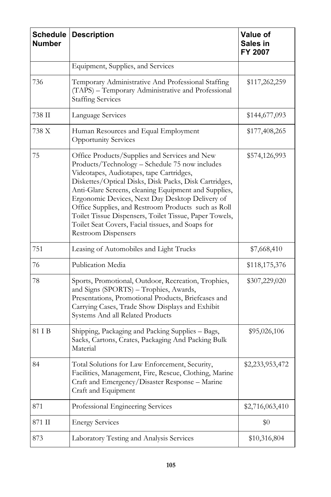| <b>Schedule</b><br><b>Number</b> | <b>Description</b>                                                                                                                                                                                                                                                                                                                                                                                                                                                                                                  | Value of<br>Sales in<br>FY 2007 |
|----------------------------------|---------------------------------------------------------------------------------------------------------------------------------------------------------------------------------------------------------------------------------------------------------------------------------------------------------------------------------------------------------------------------------------------------------------------------------------------------------------------------------------------------------------------|---------------------------------|
|                                  | Equipment, Supplies, and Services                                                                                                                                                                                                                                                                                                                                                                                                                                                                                   |                                 |
| 736                              | Temporary Administrative And Professional Staffing<br>(TAPS) - Temporary Administrative and Professional<br><b>Staffing Services</b>                                                                                                                                                                                                                                                                                                                                                                                | \$117,262,259                   |
| 738 II                           | Language Services                                                                                                                                                                                                                                                                                                                                                                                                                                                                                                   | \$144,677,093                   |
| 738 X                            | Human Resources and Equal Employment<br><b>Opportunity Services</b>                                                                                                                                                                                                                                                                                                                                                                                                                                                 | \$177,408,265                   |
| 75                               | Office Products/Supplies and Services and New<br>Products/Technology - Schedule 75 now includes<br>Videotapes, Audiotapes, tape Cartridges,<br>Diskettes/Optical Disks, Disk Packs, Disk Cartridges,<br>Anti-Glare Screens, cleaning Equipment and Supplies,<br>Ergonomic Devices, Next Day Desktop Delivery of<br>Office Supplies, and Restroom Products such as Roll<br>Toilet Tissue Dispensers, Toilet Tissue, Paper Towels,<br>Toilet Seat Covers, Facial tissues, and Soaps for<br><b>Restroom Dispensers</b> | \$574,126,993                   |
| 751                              | Leasing of Automobiles and Light Trucks                                                                                                                                                                                                                                                                                                                                                                                                                                                                             | \$7,668,410                     |
| 76                               | Publication Media                                                                                                                                                                                                                                                                                                                                                                                                                                                                                                   | \$118,175,376                   |
| 78                               | Sports, Promotional, Outdoor, Recreation, Trophies,<br>and Signs (SPORTS) - Trophies, Awards,<br>Presentations, Promotional Products, Briefcases and<br>Carrying Cases, Trade Show Displays and Exhibit<br>Systems And all Related Products                                                                                                                                                                                                                                                                         | \$307,229,020                   |
| 81 I B                           | Shipping, Packaging and Packing Supplies - Bags,<br>Sacks, Cartons, Crates, Packaging And Packing Bulk<br>Material                                                                                                                                                                                                                                                                                                                                                                                                  | \$95,026,106                    |
| 84                               | Total Solutions for Law Enforcement, Security,<br>Facilities, Management, Fire, Rescue, Clothing, Marine<br>Craft and Emergency/Disaster Response - Marine<br>Craft and Equipment                                                                                                                                                                                                                                                                                                                                   | \$2,233,953,472                 |
| 871                              | Professional Engineering Services                                                                                                                                                                                                                                                                                                                                                                                                                                                                                   | \$2,716,063,410                 |
| 871 II                           | <b>Energy Services</b>                                                                                                                                                                                                                                                                                                                                                                                                                                                                                              | \$0                             |
| 873                              | Laboratory Testing and Analysis Services                                                                                                                                                                                                                                                                                                                                                                                                                                                                            | \$10,316,804                    |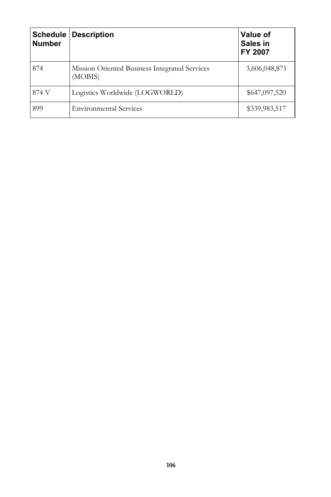| <b>Schedule</b><br><b>Number</b> | <b>Description</b>                                       | <b>Value of</b><br>Sales in<br>FY 2007 |
|----------------------------------|----------------------------------------------------------|----------------------------------------|
| 874                              | Mission Oriented Business Integrated Services<br>(MOBIS) | 3,606,048,871                          |
| 874 V                            | Logistics Worldwide (LOGWORLD)                           | \$647,097,520                          |
| 899                              | <b>Environmental Services</b>                            | \$339,983,517                          |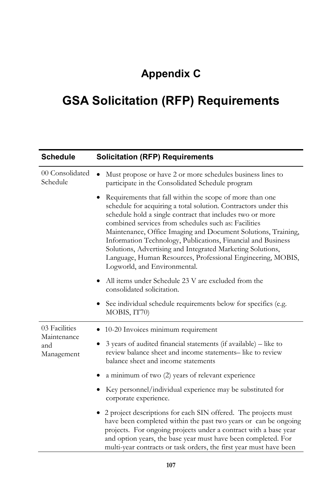### **Appendix C**

## **GSA Solicitation (RFP) Requirements**

| <b>Schedule</b>                                   | <b>Solicitation (RFP) Requirements</b>                                                                                                                                                                                                                                                                                                                                                                                                                                                                                                         |
|---------------------------------------------------|------------------------------------------------------------------------------------------------------------------------------------------------------------------------------------------------------------------------------------------------------------------------------------------------------------------------------------------------------------------------------------------------------------------------------------------------------------------------------------------------------------------------------------------------|
| 00 Consolidated<br>Schedule                       | Must propose or have 2 or more schedules business lines to<br>participate in the Consolidated Schedule program                                                                                                                                                                                                                                                                                                                                                                                                                                 |
|                                                   | Requirements that fall within the scope of more than one<br>schedule for acquiring a total solution. Contractors under this<br>schedule hold a single contract that includes two or more<br>combined services from schedules such as: Facilities<br>Maintenance, Office Imaging and Document Solutions, Training,<br>Information Technology, Publications, Financial and Business<br>Solutions, Advertising and Integrated Marketing Solutions,<br>Language, Human Resources, Professional Engineering, MOBIS,<br>Logworld, and Environmental. |
|                                                   | All items under Schedule 23 V are excluded from the<br>٠<br>consolidated solicitation.                                                                                                                                                                                                                                                                                                                                                                                                                                                         |
|                                                   | • See individual schedule requirements below for specifics (e.g.<br>MOBIS, IT70)                                                                                                                                                                                                                                                                                                                                                                                                                                                               |
| 03 Facilities<br>Maintenance<br>and<br>Management | · 10-20 Invoices minimum requirement                                                                                                                                                                                                                                                                                                                                                                                                                                                                                                           |
|                                                   | • 3 years of audited financial statements (if available) – like to<br>review balance sheet and income statements-like to review<br>balance sheet and income statements                                                                                                                                                                                                                                                                                                                                                                         |
|                                                   | a minimum of two (2) years of relevant experience                                                                                                                                                                                                                                                                                                                                                                                                                                                                                              |
|                                                   | Key personnel/individual experience may be substituted for<br>corporate experience.                                                                                                                                                                                                                                                                                                                                                                                                                                                            |
|                                                   | • 2 project descriptions for each SIN offered. The projects must<br>have been completed within the past two years or can be ongoing<br>projects. For ongoing projects under a contract with a base year<br>and option years, the base year must have been completed. For<br>multi-year contracts or task orders, the first year must have been                                                                                                                                                                                                 |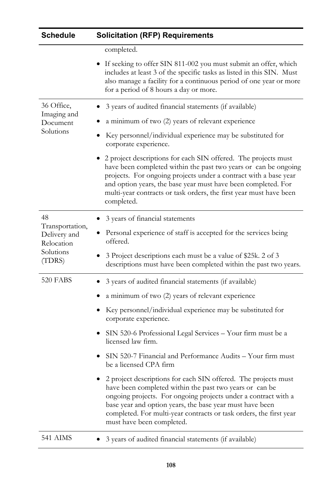| <b>Schedule</b>                                                            | <b>Solicitation (RFP) Requirements</b>                                                                                                                                                                                                                                                                                                                       |
|----------------------------------------------------------------------------|--------------------------------------------------------------------------------------------------------------------------------------------------------------------------------------------------------------------------------------------------------------------------------------------------------------------------------------------------------------|
|                                                                            | completed.                                                                                                                                                                                                                                                                                                                                                   |
|                                                                            | If seeking to offer SIN 811-002 you must submit an offer, which<br>includes at least 3 of the specific tasks as listed in this SIN. Must<br>also manage a facility for a continuous period of one year or more<br>for a period of 8 hours a day or more.                                                                                                     |
| 36 Office,<br>Imaging and<br>Document<br>Solutions                         | 3 years of audited financial statements (if available)                                                                                                                                                                                                                                                                                                       |
|                                                                            | a minimum of two (2) years of relevant experience                                                                                                                                                                                                                                                                                                            |
|                                                                            | Key personnel/individual experience may be substituted for<br>corporate experience.                                                                                                                                                                                                                                                                          |
|                                                                            | • 2 project descriptions for each SIN offered. The projects must<br>have been completed within the past two years or can be ongoing<br>projects. For ongoing projects under a contract with a base year<br>and option years, the base year must have been completed. For<br>multi-year contracts or task orders, the first year must have been<br>completed. |
| 48<br>Transportation,<br>Delivery and<br>Relocation<br>Solutions<br>(TDRS) | 3 years of financial statements                                                                                                                                                                                                                                                                                                                              |
|                                                                            | Personal experience of staff is accepted for the services being<br>offered.                                                                                                                                                                                                                                                                                  |
|                                                                            | 3 Project descriptions each must be a value of \$25k. 2 of 3<br>descriptions must have been completed within the past two years.                                                                                                                                                                                                                             |
| 520 FABS                                                                   | 3 years of audited financial statements (if available)                                                                                                                                                                                                                                                                                                       |
|                                                                            | a minimum of two (2) years of relevant experience                                                                                                                                                                                                                                                                                                            |
|                                                                            | Key personnel/individual experience may be substituted for<br>corporate experience.                                                                                                                                                                                                                                                                          |
|                                                                            | SIN 520-6 Professional Legal Services - Your firm must be a<br>٠<br>licensed law firm.                                                                                                                                                                                                                                                                       |
|                                                                            | SIN 520-7 Financial and Performance Audits – Your firm must<br>be a licensed CPA firm                                                                                                                                                                                                                                                                        |
|                                                                            | 2 project descriptions for each SIN offered. The projects must<br>have been completed within the past two years or can be<br>ongoing projects. For ongoing projects under a contract with a<br>base year and option years, the base year must have been<br>completed. For multi-year contracts or task orders, the first year<br>must have been completed.   |
| <b>541 AIMS</b>                                                            | 3 years of audited financial statements (if available)                                                                                                                                                                                                                                                                                                       |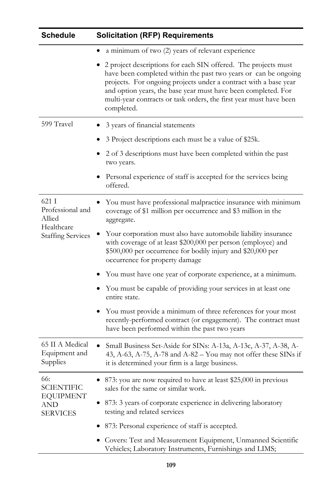| <b>Schedule</b>                                                               | <b>Solicitation (RFP) Requirements</b>                                                                                                                                                                                                                                                                                                                       |  |  |
|-------------------------------------------------------------------------------|--------------------------------------------------------------------------------------------------------------------------------------------------------------------------------------------------------------------------------------------------------------------------------------------------------------------------------------------------------------|--|--|
|                                                                               | a minimum of two (2) years of relevant experience<br>٠                                                                                                                                                                                                                                                                                                       |  |  |
|                                                                               | • 2 project descriptions for each SIN offered. The projects must<br>have been completed within the past two years or can be ongoing<br>projects. For ongoing projects under a contract with a base year<br>and option years, the base year must have been completed. For<br>multi-year contracts or task orders, the first year must have been<br>completed. |  |  |
| 599 Travel                                                                    | 3 years of financial statements                                                                                                                                                                                                                                                                                                                              |  |  |
|                                                                               | 3 Project descriptions each must be a value of \$25k.                                                                                                                                                                                                                                                                                                        |  |  |
|                                                                               | 2 of 3 descriptions must have been completed within the past<br>two years.                                                                                                                                                                                                                                                                                   |  |  |
|                                                                               | Personal experience of staff is accepted for the services being<br>٠<br>offered.                                                                                                                                                                                                                                                                             |  |  |
| 621 I<br>Professional and<br>Allied<br>Healthcare<br><b>Staffing Services</b> | You must have professional malpractice insurance with minimum<br>coverage of \$1 million per occurrence and \$3 million in the<br>aggregate.                                                                                                                                                                                                                 |  |  |
|                                                                               | Your corporation must also have automobile liability insurance<br>with coverage of at least \$200,000 per person (employee) and<br>\$500,000 per occurrence for bodily injury and \$20,000 per<br>occurrence for property damage                                                                                                                             |  |  |
|                                                                               | You must have one year of corporate experience, at a minimum.                                                                                                                                                                                                                                                                                                |  |  |
|                                                                               | • You must be capable of providing your services in at least one<br>entire state.                                                                                                                                                                                                                                                                            |  |  |
|                                                                               | You must provide a minimum of three references for your most<br>recently-performed contract (or engagement). The contract must<br>have been performed within the past two years                                                                                                                                                                              |  |  |
| 65 II A Medical<br>Equipment and<br>Supplies                                  | Small Business Set-Aside for SINs: A-13a, A-13c, A-37, A-38, A-<br>43, A-63, A-75, A-78 and A-82 – You may not offer these SINs if<br>it is determined your firm is a large business.                                                                                                                                                                        |  |  |
| 66:<br><b>SCIENTIFIC</b><br><b>EQUIPMENT</b><br><b>AND</b><br><b>SERVICES</b> | • 873: you are now required to have at least \$25,000 in previous<br>sales for the same or similar work.                                                                                                                                                                                                                                                     |  |  |
|                                                                               | • 873: 3 years of corporate experience in delivering laboratory<br>testing and related services                                                                                                                                                                                                                                                              |  |  |
|                                                                               | 873: Personal experience of staff is accepted.                                                                                                                                                                                                                                                                                                               |  |  |
|                                                                               | • Covers: Test and Measurement Equipment, Unmanned Scientific<br>Vehicles; Laboratory Instruments, Furnishings and LIMS;                                                                                                                                                                                                                                     |  |  |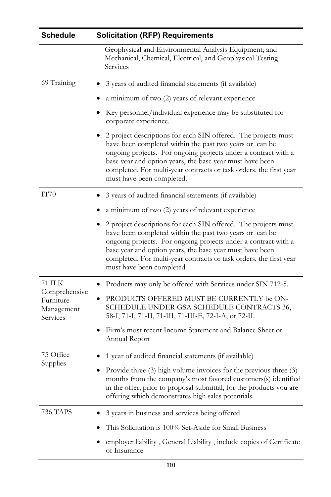| <b>Schedule</b>                                      | <b>Solicitation (RFP) Requirements</b>                                                                                                                                                                                                                                                                                                                     |  |  |  |  |
|------------------------------------------------------|------------------------------------------------------------------------------------------------------------------------------------------------------------------------------------------------------------------------------------------------------------------------------------------------------------------------------------------------------------|--|--|--|--|
|                                                      | Geophysical and Environmental Analysis Equipment; and<br>Mechanical, Chemical, Electrical, and Geophysical Testing<br>Services                                                                                                                                                                                                                             |  |  |  |  |
| 69 Training                                          | 3 years of audited financial statements (if available)                                                                                                                                                                                                                                                                                                     |  |  |  |  |
|                                                      | a minimum of two (2) years of relevant experience                                                                                                                                                                                                                                                                                                          |  |  |  |  |
|                                                      | Key personnel/individual experience may be substituted for<br>corporate experience.                                                                                                                                                                                                                                                                        |  |  |  |  |
|                                                      | 2 project descriptions for each SIN offered. The projects must<br>have been completed within the past two years or can be<br>ongoing projects. For ongoing projects under a contract with a<br>base year and option years, the base year must have been<br>completed. For multi-year contracts or task orders, the first year<br>must have been completed. |  |  |  |  |
| IT70                                                 | 3 years of audited financial statements (if available)                                                                                                                                                                                                                                                                                                     |  |  |  |  |
|                                                      | a minimum of two (2) years of relevant experience                                                                                                                                                                                                                                                                                                          |  |  |  |  |
|                                                      | 2 project descriptions for each SIN offered. The projects must<br>have been completed within the past two years or can be<br>ongoing projects. For ongoing projects under a contract with a<br>base year and option years, the base year must have been<br>completed. For multi-year contracts or task orders, the first year<br>must have been completed. |  |  |  |  |
| 71 II K                                              | Products may only be offered with Services under SIN 712-5.                                                                                                                                                                                                                                                                                                |  |  |  |  |
| Comprehensive<br>Furniture<br>Management<br>Services | PRODUCTS OFFERED MUST BE CURRENTLY be ON-<br>SCHEDULE UNDER GSA SCHEDULE CONTRACTS 36,<br>58-I, 71-I, 71-II, 71-III, 71-III-E, 72-I-A, or 72-II.                                                                                                                                                                                                           |  |  |  |  |
|                                                      | Firm's most recent Income Statement and Balance Sheet or<br>Annual Report                                                                                                                                                                                                                                                                                  |  |  |  |  |
| 75 Office                                            | 1 year of audited financial statements (if available)                                                                                                                                                                                                                                                                                                      |  |  |  |  |
| Supplies                                             | Provide three (3) high volume invoices for the previous three (3)<br>months from the company's most favored customers(s) identified<br>in the offer, prior to proposal submittal, for the products you are<br>offering which demonstrates high sales potentials.                                                                                           |  |  |  |  |
| 736 TAPS                                             | 3 years in business and services being offered                                                                                                                                                                                                                                                                                                             |  |  |  |  |
|                                                      | This Solicitation is 100% Set-Aside for Small Business                                                                                                                                                                                                                                                                                                     |  |  |  |  |
|                                                      | employer liability, General Liability, include copies of Certificate<br>of Insurance                                                                                                                                                                                                                                                                       |  |  |  |  |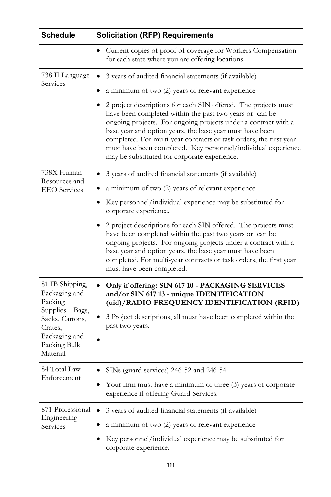| <b>Schedule</b>                                                                           | <b>Solicitation (RFP) Requirements</b>                                                                                                                                                                                                                                                                                                                                                                                                         |  |  |
|-------------------------------------------------------------------------------------------|------------------------------------------------------------------------------------------------------------------------------------------------------------------------------------------------------------------------------------------------------------------------------------------------------------------------------------------------------------------------------------------------------------------------------------------------|--|--|
|                                                                                           | Current copies of proof of coverage for Workers Compensation<br>٠<br>for each state where you are offering locations.                                                                                                                                                                                                                                                                                                                          |  |  |
| 738 II Language                                                                           | 3 years of audited financial statements (if available)<br>a minimum of two (2) years of relevant experience                                                                                                                                                                                                                                                                                                                                    |  |  |
| Services                                                                                  |                                                                                                                                                                                                                                                                                                                                                                                                                                                |  |  |
|                                                                                           | 2 project descriptions for each SIN offered. The projects must<br>have been completed within the past two years or can be<br>ongoing projects. For ongoing projects under a contract with a<br>base year and option years, the base year must have been<br>completed. For multi-year contracts or task orders, the first year<br>must have been completed. Key personnel/individual experience<br>may be substituted for corporate experience. |  |  |
| 738X Human<br>Resources and                                                               | 3 years of audited financial statements (if available)                                                                                                                                                                                                                                                                                                                                                                                         |  |  |
| <b>EEO</b> Services                                                                       | a minimum of two (2) years of relevant experience                                                                                                                                                                                                                                                                                                                                                                                              |  |  |
|                                                                                           | Key personnel/individual experience may be substituted for<br>corporate experience.                                                                                                                                                                                                                                                                                                                                                            |  |  |
|                                                                                           | 2 project descriptions for each SIN offered. The projects must<br>have been completed within the past two years or can be<br>ongoing projects. For ongoing projects under a contract with a<br>base year and option years, the base year must have been<br>completed. For multi-year contracts or task orders, the first year<br>must have been completed.                                                                                     |  |  |
| 81 IB Shipping,<br>Packaging and<br>Packing                                               | Only if offering: SIN 617 10 - PACKAGING SERVICES<br>and/or SIN 617 13 - unique IDENTIFICATION<br>(uid)/RADIO FREQUENCY IDENTIFICATION (RFID)                                                                                                                                                                                                                                                                                                  |  |  |
| Supplies-Bags,<br>Sacks, Cartons,<br>Crates,<br>Packaging and<br>Packing Bulk<br>Material | 3 Project descriptions, all must have been completed within the<br>past two years.                                                                                                                                                                                                                                                                                                                                                             |  |  |
| 84 Total Law                                                                              | SINs (guard services) 246-52 and 246-54                                                                                                                                                                                                                                                                                                                                                                                                        |  |  |
| Enforcement                                                                               | Your firm must have a minimum of three (3) years of corporate<br>experience if offering Guard Services.                                                                                                                                                                                                                                                                                                                                        |  |  |
| 871 Professional                                                                          | 3 years of audited financial statements (if available)                                                                                                                                                                                                                                                                                                                                                                                         |  |  |
| Engineering<br>Services                                                                   | a minimum of two (2) years of relevant experience                                                                                                                                                                                                                                                                                                                                                                                              |  |  |
|                                                                                           | Key personnel/individual experience may be substituted for<br>corporate experience.                                                                                                                                                                                                                                                                                                                                                            |  |  |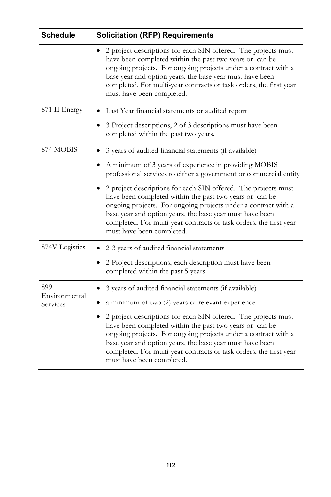| <b>Schedule</b>      | <b>Solicitation (RFP) Requirements</b>                                                                                                                                                                                                                                                                                                                          |  |  |  |
|----------------------|-----------------------------------------------------------------------------------------------------------------------------------------------------------------------------------------------------------------------------------------------------------------------------------------------------------------------------------------------------------------|--|--|--|
|                      | 2 project descriptions for each SIN offered. The projects must<br>٠<br>have been completed within the past two years or can be<br>ongoing projects. For ongoing projects under a contract with a<br>base year and option years, the base year must have been<br>completed. For multi-year contracts or task orders, the first year<br>must have been completed. |  |  |  |
| 871 II Energy        | Last Year financial statements or audited report                                                                                                                                                                                                                                                                                                                |  |  |  |
|                      | 3 Project descriptions, 2 of 3 descriptions must have been<br>completed within the past two years.                                                                                                                                                                                                                                                              |  |  |  |
| 874 MOBIS            | 3 years of audited financial statements (if available)                                                                                                                                                                                                                                                                                                          |  |  |  |
|                      | A minimum of 3 years of experience in providing MOBIS<br>professional services to either a government or commercial entity                                                                                                                                                                                                                                      |  |  |  |
|                      | 2 project descriptions for each SIN offered. The projects must<br>have been completed within the past two years or can be<br>ongoing projects. For ongoing projects under a contract with a<br>base year and option years, the base year must have been<br>completed. For multi-year contracts or task orders, the first year<br>must have been completed.      |  |  |  |
| 874V Logistics       | 2-3 years of audited financial statements                                                                                                                                                                                                                                                                                                                       |  |  |  |
|                      | 2 Project descriptions, each description must have been<br>completed within the past 5 years.                                                                                                                                                                                                                                                                   |  |  |  |
| 899<br>Environmental | 3 years of audited financial statements (if available)                                                                                                                                                                                                                                                                                                          |  |  |  |
| Services             | a minimum of two (2) years of relevant experience                                                                                                                                                                                                                                                                                                               |  |  |  |
|                      | 2 project descriptions for each SIN offered. The projects must<br>have been completed within the past two years or can be<br>ongoing projects. For ongoing projects under a contract with a<br>base year and option years, the base year must have been<br>completed. For multi-year contracts or task orders, the first year<br>must have been completed.      |  |  |  |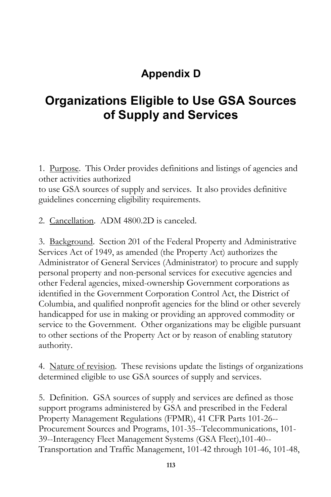## **Appendix D**

# **Organizations Eligible to Use GSA Sources of Supply and Services**

1. Purpose. This Order provides definitions and listings of agencies and other activities authorized

to use GSA sources of supply and services. It also provides definitive guidelines concerning eligibility requirements.

2. Cancellation. ADM 4800.2D is canceled.

3. Background. Section 201 of the Federal Property and Administrative Services Act of 1949, as amended (the Property Act) authorizes the Administrator of General Services (Administrator) to procure and supply personal property and non-personal services for executive agencies and other Federal agencies, mixed-ownership Government corporations as identified in the Government Corporation Control Act, the District of Columbia, and qualified nonprofit agencies for the blind or other severely handicapped for use in making or providing an approved commodity or service to the Government. Other organizations may be eligible pursuant to other sections of the Property Act or by reason of enabling statutory authority.

4. Nature of revision. These revisions update the listings of organizations determined eligible to use GSA sources of supply and services.

5. Definition. GSA sources of supply and services are defined as those support programs administered by GSA and prescribed in the Federal Property Management Regulations (FPMR), 41 CFR Parts 101-26-- Procurement Sources and Programs, 101-35--Telecommunications, 101- 39--Interagency Fleet Management Systems (GSA Fleet),101-40-- Transportation and Traffic Management, 101-42 through 101-46, 101-48,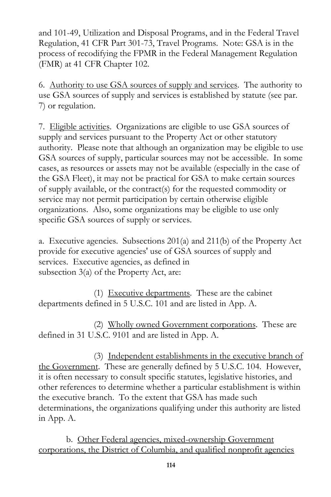and 101-49, Utilization and Disposal Programs, and in the Federal Travel Regulation, 41 CFR Part 301-73, Travel Programs. Note: GSA is in the process of recodifying the FPMR in the Federal Management Regulation (FMR) at 41 CFR Chapter 102.

6. Authority to use GSA sources of supply and services. The authority to use GSA sources of supply and services is established by statute (see par. 7) or regulation.

7. Eligible activities. Organizations are eligible to use GSA sources of supply and services pursuant to the Property Act or other statutory authority. Please note that although an organization may be eligible to use GSA sources of supply, particular sources may not be accessible. In some cases, as resources or assets may not be available (especially in the case of the GSA Fleet), it may not be practical for GSA to make certain sources of supply available, or the contract(s) for the requested commodity or service may not permit participation by certain otherwise eligible organizations. Also, some organizations may be eligible to use only specific GSA sources of supply or services.

a. Executive agencies. Subsections 201(a) and 211(b) of the Property Act provide for executive agencies' use of GSA sources of supply and services. Executive agencies, as defined in subsection 3(a) of the Property Act, are:

 (1) Executive departments. These are the cabinet departments defined in 5 U.S.C. 101 and are listed in App. A.

 (2) Wholly owned Government corporations. These are defined in 31 U.S.C. 9101 and are listed in App. A.

 (3) Independent establishments in the executive branch of the Government. These are generally defined by 5 U.S.C. 104. However, it is often necessary to consult specific statutes, legislative histories, and other references to determine whether a particular establishment is within the executive branch. To the extent that GSA has made such determinations, the organizations qualifying under this authority are listed in App. A.

 b. Other Federal agencies, mixed-ownership Government corporations, the District of Columbia, and qualified nonprofit agencies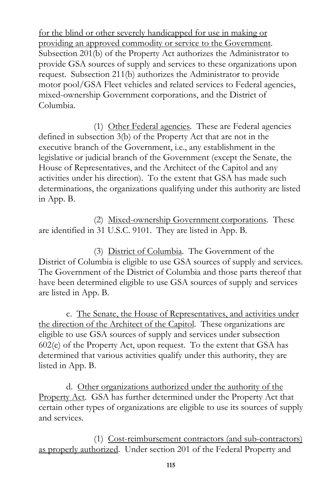for the blind or other severely handicapped for use in making or providing an approved commodity or service to the Government. Subsection 201(b) of the Property Act authorizes the Administrator to provide GSA sources of supply and services to these organizations upon request. Subsection 211(b) authorizes the Administrator to provide motor pool/GSA Fleet vehicles and related services to Federal agencies, mixed-ownership Government corporations, and the District of Columbia.

 (1) Other Federal agencies. These are Federal agencies defined in subsection 3(b) of the Property Act that are not in the executive branch of the Government, i.e., any establishment in the legislative or judicial branch of the Government (except the Senate, the House of Representatives, and the Architect of the Capitol and any activities under his direction). To the extent that GSA has made such determinations, the organizations qualifying under this authority are listed in App. B.

 (2) Mixed-ownership Government corporations. These are identified in 31 U.S.C. 9101. They are listed in App. B.

 (3) District of Columbia. The Government of the District of Columbia is eligible to use GSA sources of supply and services. The Government of the District of Columbia and those parts thereof that have been determined eligible to use GSA sources of supply and services are listed in App. B.

 c. The Senate, the House of Representatives, and activities under the direction of the Architect of the Capitol. These organizations are eligible to use GSA sources of supply and services under subsection 602(e) of the Property Act, upon request. To the extent that GSA has determined that various activities qualify under this authority, they are listed in App. B.

 d. Other organizations authorized under the authority of the Property Act. GSA has further determined under the Property Act that certain other types of organizations are eligible to use its sources of supply and services.

 (1) Cost-reimbursement contractors (and sub-contractors) as properly authorized. Under section 201 of the Federal Property and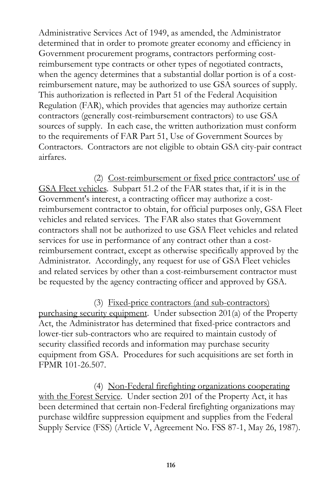Administrative Services Act of 1949, as amended, the Administrator determined that in order to promote greater economy and efficiency in Government procurement programs, contractors performing costreimbursement type contracts or other types of negotiated contracts, when the agency determines that a substantial dollar portion is of a costreimbursement nature, may be authorized to use GSA sources of supply. This authorization is reflected in Part 51 of the Federal Acquisition Regulation (FAR), which provides that agencies may authorize certain contractors (generally cost-reimbursement contractors) to use GSA sources of supply. In each case, the written authorization must conform to the requirements of FAR Part 51, Use of Government Sources by Contractors. Contractors are not eligible to obtain GSA city-pair contract airfares.

 (2) Cost-reimbursement or fixed price contractors' use of GSA Fleet vehicles. Subpart 51.2 of the FAR states that, if it is in the Government's interest, a contracting officer may authorize a costreimbursement contractor to obtain, for official purposes only, GSA Fleet vehicles and related services. The FAR also states that Government contractors shall not be authorized to use GSA Fleet vehicles and related services for use in performance of any contract other than a costreimbursement contract, except as otherwise specifically approved by the Administrator. Accordingly, any request for use of GSA Fleet vehicles and related services by other than a cost-reimbursement contractor must be requested by the agency contracting officer and approved by GSA.

 (3) Fixed-price contractors (and sub-contractors) purchasing security equipment. Under subsection 201(a) of the Property Act, the Administrator has determined that fixed-price contractors and lower-tier sub-contractors who are required to maintain custody of security classified records and information may purchase security equipment from GSA. Procedures for such acquisitions are set forth in FPMR 101-26.507.

 (4) Non-Federal firefighting organizations cooperating with the Forest Service. Under section 201 of the Property Act, it has been determined that certain non-Federal firefighting organizations may purchase wildfire suppression equipment and supplies from the Federal Supply Service (FSS) (Article V, Agreement No. FSS 87-1, May 26, 1987).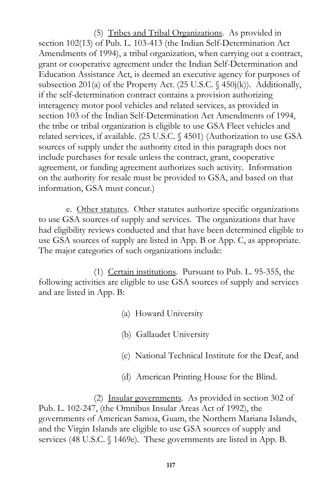(5) Tribes and Tribal Organizations. As provided in section 102(13) of Pub. L. 103-413 (the Indian Self-Determination Act Amendments of 1994), a tribal organization, when carrying out a contract, grant or cooperative agreement under the Indian Self-Determination and Education Assistance Act, is deemed an executive agency for purposes of subsection 201(a) of the Property Act. (25 U.S.C.  $\{\pm 450j(k)\}$ . Additionally, if the self-determination contract contains a provision authorizing interagency motor pool vehicles and related services, as provided in section 103 of the Indian Self-Determination Act Amendments of 1994, the tribe or tribal organization is eligible to use GSA Fleet vehicles and related services, if available. (25 U.S.C. § 4501) (Authorization to use GSA sources of supply under the authority cited in this paragraph does not include purchases for resale unless the contract, grant, cooperative agreement, or funding agreement authorizes such activity. Information on the authority for resale must be provided to GSA, and based on that information, GSA must concur.)

 e. Other statutes. Other statutes authorize specific organizations to use GSA sources of supply and services. The organizations that have had eligibility reviews conducted and that have been determined eligible to use GSA sources of supply are listed in App. B or App. C, as appropriate. The major categories of such organizations include:

 (1) Certain institutions. Pursuant to Pub. L. 95-355, the following activities are eligible to use GSA sources of supply and services and are listed in App. B:

- (a) Howard University
- (b) Gallaudet University
- (c) National Technical Institute for the Deaf, and
- (d) American Printing House for the Blind.

 (2) Insular governments. As provided in section 302 of Pub. L. 102-247, (the Omnibus Insular Areas Act of 1992), the governments of American Samoa, Guam, the Northern Mariana Islands, and the Virgin Islands are eligible to use GSA sources of supply and services (48 U.S.C. § 1469e). These governments are listed in App. B.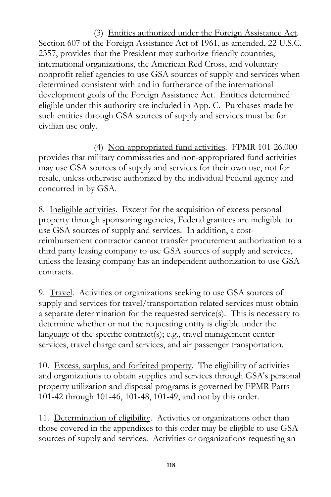(3) Entities authorized under the Foreign Assistance Act. Section 607 of the Foreign Assistance Act of 1961, as amended, 22 U.S.C. 2357, provides that the President may authorize friendly countries, international organizations, the American Red Cross, and voluntary nonprofit relief agencies to use GSA sources of supply and services when determined consistent with and in furtherance of the international development goals of the Foreign Assistance Act. Entities determined eligible under this authority are included in App. C. Purchases made by such entities through GSA sources of supply and services must be for civilian use only.

 (4) Non-appropriated fund activities. FPMR 101-26.000 provides that military commissaries and non-appropriated fund activities may use GSA sources of supply and services for their own use, not for resale, unless otherwise authorized by the individual Federal agency and concurred in by GSA.

8. Ineligible activities. Except for the acquisition of excess personal property through sponsoring agencies, Federal grantees are ineligible to use GSA sources of supply and services. In addition, a costreimbursement contractor cannot transfer procurement authorization to a third party leasing company to use GSA sources of supply and services, unless the leasing company has an independent authorization to use GSA contracts.

9. Travel. Activities or organizations seeking to use GSA sources of supply and services for travel/transportation related services must obtain a separate determination for the requested service(s). This is necessary to determine whether or not the requesting entity is eligible under the language of the specific contract(s); e.g., travel management center services, travel charge card services, and air passenger transportation.

10. Excess, surplus, and forfeited property. The eligibility of activities and organizations to obtain supplies and services through GSA's personal property utilization and disposal programs is governed by FPMR Parts 101-42 through 101-46, 101-48, 101-49, and not by this order.

11. Determination of eligibility. Activities or organizations other than those covered in the appendixes to this order may be eligible to use GSA sources of supply and services. Activities or organizations requesting an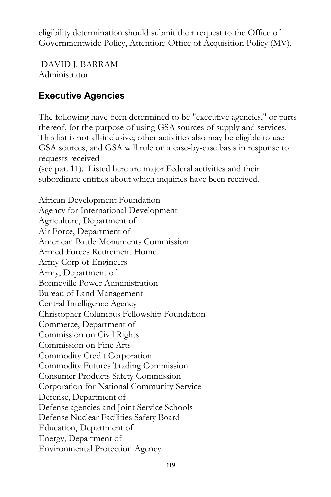eligibility determination should submit their request to the Office of Governmentwide Policy, Attention: Office of Acquisition Policy (MV).

 DAVID J. BARRAM Administrator

### **Executive Agencies**

The following have been determined to be "executive agencies," or parts thereof, for the purpose of using GSA sources of supply and services. This list is not all-inclusive; other activities also may be eligible to use GSA sources, and GSA will rule on a case-by-case basis in response to requests received (see par. 11). Listed here are major Federal activities and their subordinate entities about which inquiries have been received.

African Development Foundation Agency for International Development Agriculture, Department of Air Force, Department of American Battle Monuments Commission Armed Forces Retirement Home Army Corp of Engineers Army, Department of Bonneville Power Administration Bureau of Land Management Central Intelligence Agency Christopher Columbus Fellowship Foundation Commerce, Department of Commission on Civil Rights Commission on Fine Arts Commodity Credit Corporation Commodity Futures Trading Commission Consumer Products Safety Commission Corporation for National Community Service Defense, Department of Defense agencies and Joint Service Schools Defense Nuclear Facilities Safety Board Education, Department of Energy, Department of Environmental Protection Agency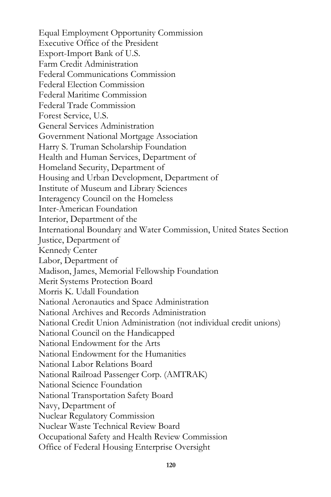Equal Employment Opportunity Commission Executive Office of the President Export-Import Bank of U.S. Farm Credit Administration Federal Communications Commission Federal Election Commission Federal Maritime Commission Federal Trade Commission Forest Service, U.S. General Services Administration Government National Mortgage Association Harry S. Truman Scholarship Foundation Health and Human Services, Department of Homeland Security, Department of Housing and Urban Development, Department of Institute of Museum and Library Sciences Interagency Council on the Homeless Inter-American Foundation Interior, Department of the International Boundary and Water Commission, United States Section Justice, Department of Kennedy Center Labor, Department of Madison, James, Memorial Fellowship Foundation Merit Systems Protection Board Morris K. Udall Foundation National Aeronautics and Space Administration National Archives and Records Administration National Credit Union Administration (not individual credit unions) National Council on the Handicapped National Endowment for the Arts National Endowment for the Humanities National Labor Relations Board National Railroad Passenger Corp. (AMTRAK) National Science Foundation National Transportation Safety Board Navy, Department of Nuclear Regulatory Commission Nuclear Waste Technical Review Board Occupational Safety and Health Review Commission Office of Federal Housing Enterprise Oversight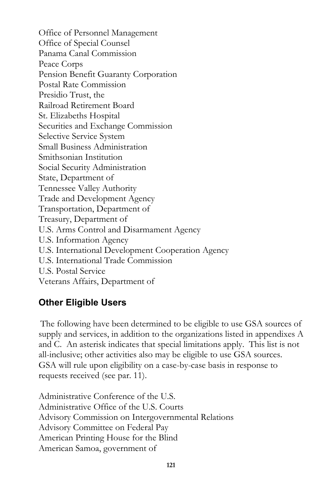Office of Personnel Management Office of Special Counsel Panama Canal Commission Peace Corps Pension Benefit Guaranty Corporation Postal Rate Commission Presidio Trust, the Railroad Retirement Board St. Elizabeths Hospital Securities and Exchange Commission Selective Service System Small Business Administration Smithsonian Institution Social Security Administration State, Department of Tennessee Valley Authority Trade and Development Agency Transportation, Department of Treasury, Department of U.S. Arms Control and Disarmament Agency U.S. Information Agency U.S. International Development Cooperation Agency U.S. International Trade Commission U.S. Postal Service Veterans Affairs, Department of

#### **Other Eligible Users**

The following have been determined to be eligible to use GSA sources of supply and services, in addition to the organizations listed in appendixes A and C. An asterisk indicates that special limitations apply. This list is not all-inclusive; other activities also may be eligible to use GSA sources. GSA will rule upon eligibility on a case-by-case basis in response to requests received (see par. 11).

Administrative Conference of the U.S. Administrative Office of the U.S. Courts Advisory Commission on Intergovernmental Relations Advisory Committee on Federal Pay American Printing House for the Blind American Samoa, government of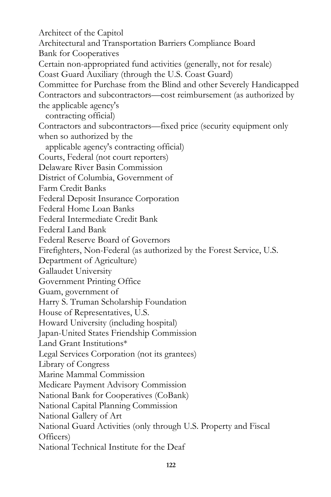Architect of the Capitol Architectural and Transportation Barriers Compliance Board Bank for Cooperatives Certain non-appropriated fund activities (generally, not for resale) Coast Guard Auxiliary (through the U.S. Coast Guard) Committee for Purchase from the Blind and other Severely Handicapped Contractors and subcontractors—cost reimbursement (as authorized by the applicable agency's contracting official) Contractors and subcontractors—fixed price (security equipment only when so authorized by the applicable agency's contracting official) Courts, Federal (not court reporters) Delaware River Basin Commission District of Columbia, Government of Farm Credit Banks Federal Deposit Insurance Corporation Federal Home Loan Banks Federal Intermediate Credit Bank Federal Land Bank Federal Reserve Board of Governors Firefighters, Non-Federal (as authorized by the Forest Service, U.S. Department of Agriculture) Gallaudet University Government Printing Office Guam, government of Harry S. Truman Scholarship Foundation House of Representatives, U.S. Howard University (including hospital) Japan-United States Friendship Commission Land Grant Institutions\* Legal Services Corporation (not its grantees) Library of Congress Marine Mammal Commission Medicare Payment Advisory Commission National Bank for Cooperatives (CoBank) National Capital Planning Commission National Gallery of Art National Guard Activities (only through U.S. Property and Fiscal Officers) National Technical Institute for the Deaf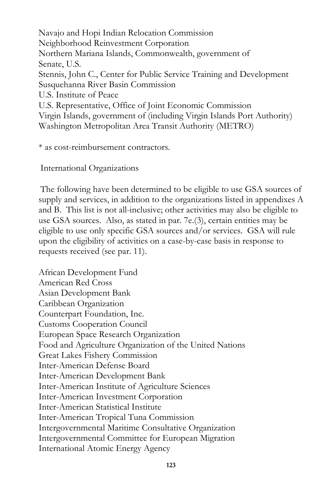Navajo and Hopi Indian Relocation Commission Neighborhood Reinvestment Corporation Northern Mariana Islands, Commonwealth, government of Senate, U.S. Stennis, John C., Center for Public Service Training and Development Susquehanna River Basin Commission U.S. Institute of Peace U.S. Representative, Office of Joint Economic Commission Virgin Islands, government of (including Virgin Islands Port Authority) Washington Metropolitan Area Transit Authority (METRO)

\* as cost-reimbursement contractors.

International Organizations

The following have been determined to be eligible to use GSA sources of supply and services, in addition to the organizations listed in appendixes A and B. This list is not all-inclusive; other activities may also be eligible to use GSA sources. Also, as stated in par. 7e.(3), certain entities may be eligible to use only specific GSA sources and/or services. GSA will rule upon the eligibility of activities on a case-by-case basis in response to requests received (see par. 11).

African Development Fund American Red Cross Asian Development Bank Caribbean Organization Counterpart Foundation, Inc. Customs Cooperation Council European Space Research Organization Food and Agriculture Organization of the United Nations Great Lakes Fishery Commission Inter-American Defense Board Inter-American Development Bank Inter-American Institute of Agriculture Sciences Inter-American Investment Corporation Inter-American Statistical Institute Inter-American Tropical Tuna Commission Intergovernmental Maritime Consultative Organization Intergovernmental Committee for European Migration International Atomic Energy Agency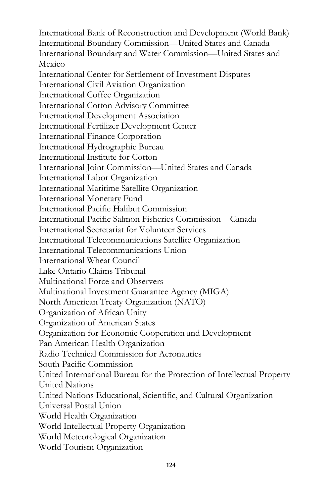International Bank of Reconstruction and Development (World Bank) International Boundary Commission—United States and Canada International Boundary and Water Commission—United States and Mexico International Center for Settlement of Investment Disputes International Civil Aviation Organization International Coffee Organization International Cotton Advisory Committee International Development Association International Fertilizer Development Center International Finance Corporation International Hydrographic Bureau International Institute for Cotton International Joint Commission—United States and Canada International Labor Organization International Maritime Satellite Organization International Monetary Fund International Pacific Halibut Commission International Pacific Salmon Fisheries Commission—Canada International Secretariat for Volunteer Services International Telecommunications Satellite Organization International Telecommunications Union International Wheat Council Lake Ontario Claims Tribunal Multinational Force and Observers Multinational Investment Guarantee Agency (MIGA) North American Treaty Organization (NATO) Organization of African Unity Organization of American States Organization for Economic Cooperation and Development Pan American Health Organization Radio Technical Commission for Aeronautics South Pacific Commission United International Bureau for the Protection of Intellectual Property United Nations United Nations Educational, Scientific, and Cultural Organization Universal Postal Union World Health Organization World Intellectual Property Organization World Meteorological Organization World Tourism Organization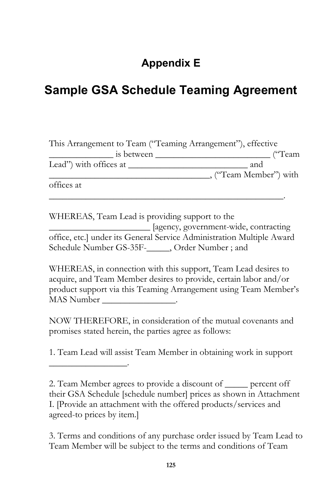### **Appendix E**

# **Sample GSA Schedule Teaming Agreement**

|            | This Arrangement to Team ("Teaming Arrangement"), effective |
|------------|-------------------------------------------------------------|
|            | ("Team                                                      |
|            | and                                                         |
|            | , ("Team Member") with                                      |
| offices at |                                                             |
|            |                                                             |

WHEREAS, Team Lead is providing support to the \_\_\_\_\_\_\_\_\_\_\_\_\_\_\_\_\_\_\_\_\_\_ [agency, government-wide, contracting office, etc.] under its General Service Administration Multiple Award Schedule Number GS-35F-\_\_\_\_\_, Order Number ; and

WHEREAS, in connection with this support, Team Lead desires to acquire, and Team Member desires to provide, certain labor and/or product support via this Teaming Arrangement using Team Member's MAS Number

NOW THEREFORE, in consideration of the mutual covenants and promises stated herein, the parties agree as follows:

1. Team Lead will assist Team Member in obtaining work in support

 $\overline{\phantom{a}}$  . The set of the set of the set of the set of the set of the set of the set of the set of the set of the set of the set of the set of the set of the set of the set of the set of the set of the set of the set o

2. Team Member agrees to provide a discount of percent off their GSA Schedule [schedule number] prices as shown in Attachment I. [Provide an attachment with the offered products/services and agreed-to prices by item.]

3. Terms and conditions of any purchase order issued by Team Lead to Team Member will be subject to the terms and conditions of Team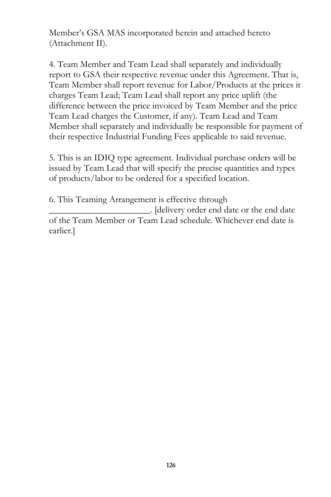Member's GSA MAS incorporated herein and attached hereto (Attachment II).

4. Team Member and Team Lead shall separately and individually report to GSA their respective revenue under this Agreement. That is, Team Member shall report revenue for Labor/Products at the prices it charges Team Lead; Team Lead shall report any price uplift (the difference between the price invoiced by Team Member and the price Team Lead charges the Customer, if any). Team Lead and Team Member shall separately and individually be responsible for payment of their respective Industrial Funding Fees applicable to said revenue.

5. This is an IDIQ type agreement. Individual purchase orders will be issued by Team Lead that will specify the precise quantities and types of products/labor to be ordered for a specified location.

6. This Teaming Arrangement is effective through

\_\_\_\_\_\_\_\_\_\_\_\_\_\_\_\_\_\_\_\_\_\_. [delivery order end date or the end date of the Team Member or Team Lead schedule. Whichever end date is earlier.]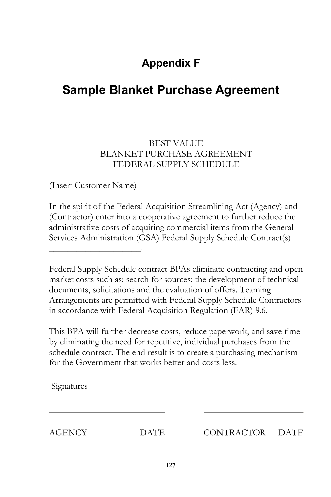### **Appendix F**

## **Sample Blanket Purchase Agreement**

#### BEST VALUE BLANKET PURCHASE AGREEMENT FEDERAL SUPPLY SCHEDULE

(Insert Customer Name)

\_\_\_\_\_\_\_\_\_\_\_\_\_\_\_\_\_\_\_\_.

In the spirit of the Federal Acquisition Streamlining Act (Agency) and (Contractor) enter into a cooperative agreement to further reduce the administrative costs of acquiring commercial items from the General Services Administration (GSA) Federal Supply Schedule Contract(s)

Federal Supply Schedule contract BPAs eliminate contracting and open market costs such as: search for sources; the development of technical documents, solicitations and the evaluation of offers. Teaming Arrangements are permitted with Federal Supply Schedule Contractors in accordance with Federal Acquisition Regulation (FAR) 9.6.

This BPA will further decrease costs, reduce paperwork, and save time by eliminating the need for repetitive, individual purchases from the schedule contract. The end result is to create a purchasing mechanism for the Government that works better and costs less.

Signatures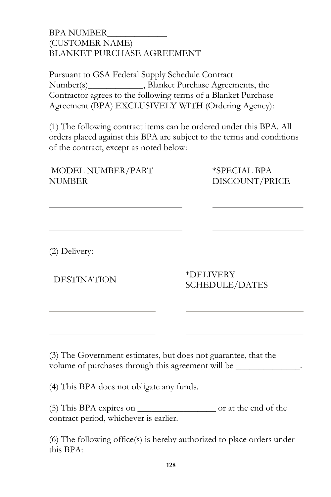BPA NUMBER\_\_\_\_\_\_\_\_\_\_\_\_\_ (CUSTOMER NAME) BLANKET PURCHASE AGREEMENT

Pursuant to GSA Federal Supply Schedule Contract Number(s)\_\_\_\_\_\_\_\_\_\_\_\_, Blanket Purchase Agreements, the Contractor agrees to the following terms of a Blanket Purchase Agreement (BPA) EXCLUSIVELY WITH (Ordering Agency):

(1) The following contract items can be ordered under this BPA. All orders placed against this BPA are subject to the terms and conditions of the contract, except as noted below:

MODEL NUMBER/PART \*SPECIAL BPA<br>NUMBER DISCOUNT/PR

DISCOUNT/PRICE

(2) Delivery:

 DESTINATION \*DELIVERY SCHEDULE/DATES

(3) The Government estimates, but does not guarantee, that the volume of purchases through this agreement will be \_\_\_\_\_\_\_\_\_\_\_\_\_\_.

(4) This BPA does not obligate any funds.

(5) This BPA expires on \_\_\_\_\_\_\_\_\_\_\_\_\_\_\_\_\_ or at the end of the contract period, whichever is earlier.

(6) The following office(s) is hereby authorized to place orders under this  $RPA.$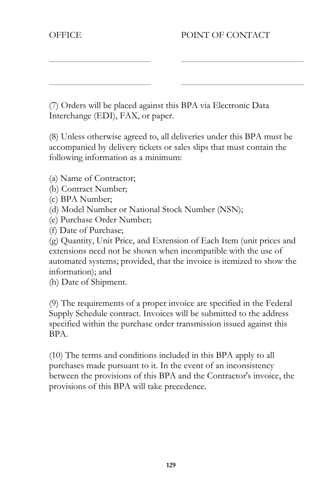(7) Orders will be placed against this BPA via Electronic Data Interchange (EDI), FAX, or paper.

(8) Unless otherwise agreed to, all deliveries under this BPA must be accompanied by delivery tickets or sales slips that must contain the following information as a minimum:

(a) Name of Contractor;

- (b) Contract Number;
- (c) BPA Number;
- (d) Model Number or National Stock Number (NSN);
- (e) Purchase Order Number;
- (f) Date of Purchase;

(g) Quantity, Unit Price, and Extension of Each Item (unit prices and extensions need not be shown when incompatible with the use of automated systems; provided, that the invoice is itemized to show the information); and

(h) Date of Shipment.

(9) The requirements of a proper invoice are specified in the Federal Supply Schedule contract. Invoices will be submitted to the address specified within the purchase order transmission issued against this BPA.

(10) The terms and conditions included in this BPA apply to all purchases made pursuant to it. In the event of an inconsistency between the provisions of this BPA and the Contractor's invoice, the provisions of this BPA will take precedence.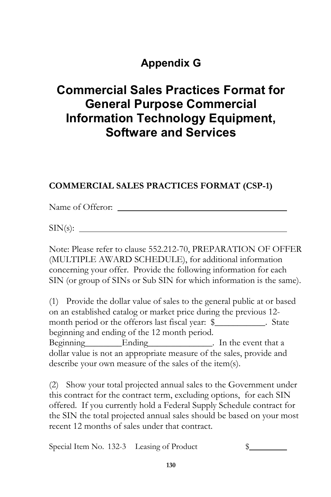### **Appendix G**

# **Commercial Sales Practices Format for General Purpose Commercial Information Technology Equipment, Software and Services**

#### **COMMERCIAL SALES PRACTICES FORMAT (CSP-1)**

Name of Offeror:

 $\text{SIN(s):}$ 

Note: Please refer to clause 552.212-70, PREPARATION OF OFFER (MULTIPLE AWARD SCHEDULE), for additional information concerning your offer. Provide the following information for each SIN (or group of SINs or Sub SIN for which information is the same).

(1) Provide the dollar value of sales to the general public at or based on an established catalog or market price during the previous 12 month period or the offerors last fiscal year: \$\_\_\_\_\_\_\_\_\_\_\_. State beginning and ending of the 12 month period. Beginning Ending Ending Beginning dollar value is not an appropriate measure of the sales, provide and describe your own measure of the sales of the item(s).

(2) Show your total projected annual sales to the Government under this contract for the contract term, excluding options, for each SIN offered. If you currently hold a Federal Supply Schedule contract for the SIN the total projected annual sales should be based on your most recent 12 months of sales under that contract.

Special Item No. 132-3 Leasing of Product \$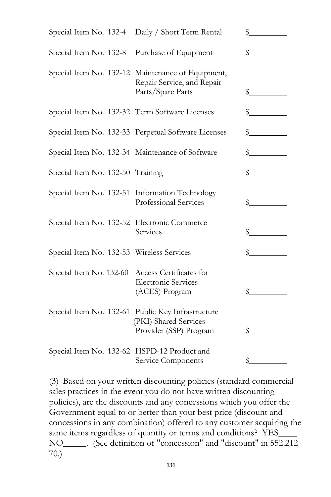|                                           | Special Item No. 132-4 Daily / Short Term Rental                                                     | \$ |
|-------------------------------------------|------------------------------------------------------------------------------------------------------|----|
| Special Item No. 132-8                    | Purchase of Equipment                                                                                | \$ |
|                                           | Special Item No. 132-12 Maintenance of Equipment,<br>Repair Service, and Repair<br>Parts/Spare Parts | \$ |
|                                           | Special Item No. 132-32 Term Software Licenses                                                       | \$ |
|                                           | Special Item No. 132-33 Perpetual Software Licenses                                                  | \$ |
|                                           | Special Item No. 132-34 Maintenance of Software                                                      | \$ |
| Special Item No. 132-50 Training          |                                                                                                      | \$ |
|                                           | Special Item No. 132-51 Information Technology<br>Professional Services                              | \$ |
|                                           | Special Item No. 132-52 Electronic Commerce<br>Services                                              | \$ |
| Special Item No. 132-53 Wireless Services |                                                                                                      | \$ |
| Special Item No. 132-60                   | Access Certificates for<br><b>Electronic Services</b><br>(ACES) Program                              | \$ |
|                                           | Special Item No. 132-61 Public Key Infrastructure<br>(PKI) Shared Services<br>Provider (SSP) Program | \$ |
|                                           | Special Item No. 132-62 HSPD-12 Product and<br>Service Components                                    | \$ |

(3) Based on your written discounting policies (standard commercial sales practices in the event you do not have written discounting policies), are the discounts and any concessions which you offer the Government equal to or better than your best price (discount and concessions in any combination) offered to any customer acquiring the same items regardless of quantity or terms and conditions? YES NO\_\_\_\_\_. (See definition of "concession" and "discount" in 552.212- 70.)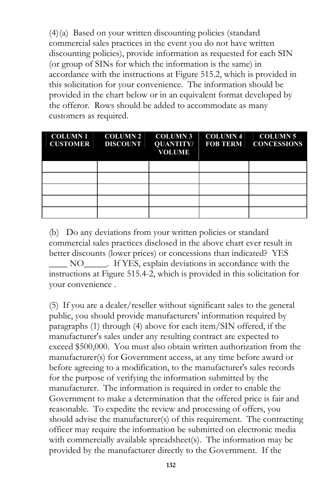(4) (a) Based on your written discounting policies (standard commercial sales practices in the event you do not have written discounting policies), provide information as requested for each SIN (or group of SINs for which the information is the same) in accordance with the instructions at Figure 515.2, which is provided in this solicitation for your convenience. The information should be provided in the chart below or in an equivalent format developed by the offeror. Rows should be added to accommodate as many customers as required.

| <b>COLUMN1</b><br><b>CUSTOMER</b> | <b>COLUMN 2</b><br><b>DISCOUNT</b> | <b>COLUMN 3</b><br><b>QUANTITY/</b><br><b>VOLUME</b> | <b>COLUMN4</b><br><b>FOB TERM</b> | <b>COLUMN 5</b><br><b>CONCESSIONS</b> |
|-----------------------------------|------------------------------------|------------------------------------------------------|-----------------------------------|---------------------------------------|
|                                   |                                    |                                                      |                                   |                                       |
|                                   |                                    |                                                      |                                   |                                       |
|                                   |                                    |                                                      |                                   |                                       |
|                                   |                                    |                                                      |                                   |                                       |
|                                   |                                    |                                                      |                                   |                                       |

(b) Do any deviations from your written policies or standard commercial sales practices disclosed in the above chart ever result in better discounts (lower prices) or concessions than indicated? YES \_\_\_\_ NO\_\_\_\_\_. If YES, explain deviations in accordance with the instructions at Figure 515.4-2, which is provided in this solicitation for your convenience .

(5) If you are a dealer/reseller without significant sales to the general public, you should provide manufacturers' information required by paragraphs (1) through (4) above for each item/SIN offered, if the manufacturer's sales under any resulting contract are expected to exceed \$500,000. You must also obtain written authorization from the manufacturer(s) for Government access, at any time before award or before agreeing to a modification, to the manufacturer's sales records for the purpose of verifying the information submitted by the manufacturer. The information is required in order to enable the Government to make a determination that the offered price is fair and reasonable. To expedite the review and processing of offers, you should advise the manufacturer(s) of this requirement. The contracting officer may require the information be submitted on electronic media with commercially available spreadsheet(s). The information may be provided by the manufacturer directly to the Government. If the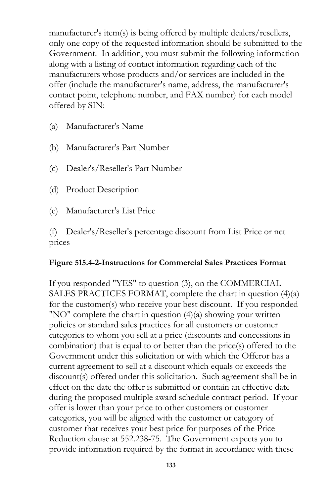manufacturer's item(s) is being offered by multiple dealers/resellers, only one copy of the requested information should be submitted to the Government. In addition, you must submit the following information along with a listing of contact information regarding each of the manufacturers whose products and/or services are included in the offer (include the manufacturer's name, address, the manufacturer's contact point, telephone number, and FAX number) for each model offered by SIN:

- (a) Manufacturer's Name
- (b) Manufacturer's Part Number
- (c) Dealer's/Reseller's Part Number
- (d) Product Description
- (e) Manufacturer's List Price

(f) Dealer's/Reseller's percentage discount from List Price or net prices

#### **Figure 515.4-2-Instructions for Commercial Sales Practices Format**

If you responded "YES" to question (3), on the COMMERCIAL SALES PRACTICES FORMAT, complete the chart in question (4)(a) for the customer(s) who receive your best discount. If you responded "NO" complete the chart in question (4)(a) showing your written policies or standard sales practices for all customers or customer categories to whom you sell at a price (discounts and concessions in combination) that is equal to or better than the price(s) offered to the Government under this solicitation or with which the Offeror has a current agreement to sell at a discount which equals or exceeds the discount(s) offered under this solicitation. Such agreement shall be in effect on the date the offer is submitted or contain an effective date during the proposed multiple award schedule contract period. If your offer is lower than your price to other customers or customer categories, you will be aligned with the customer or category of customer that receives your best price for purposes of the Price Reduction clause at 552.238-75. The Government expects you to provide information required by the format in accordance with these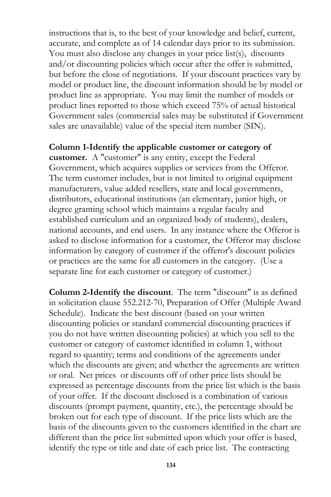instructions that is, to the best of your knowledge and belief, current, accurate, and complete as of 14 calendar days prior to its submission. You must also disclose any changes in your price list(s), discounts and/or discounting policies which occur after the offer is submitted, but before the close of negotiations. If your discount practices vary by model or product line, the discount information should be by model or product line as appropriate. You may limit the number of models or product lines reported to those which exceed 75% of actual historical Government sales (commercial sales may be substituted if Government sales are unavailable) value of the special item number (SIN).

#### **Column 1-Identify the applicable customer or category of**

**customer.** A "customer" is any entity, except the Federal Government, which acquires supplies or services from the Offeror. The term customer includes, but is not limited to original equipment manufacturers, value added resellers, state and local governments, distributors, educational institutions (an elementary, junior high, or degree granting school which maintains a regular faculty and established curriculum and an organized body of students), dealers, national accounts, and end users. In any instance where the Offeror is asked to disclose information for a customer, the Offeror may disclose information by category of customer if the offeror's discount policies or practices are the same for all customers in the category. (Use a separate line for each customer or category of customer.)

**Column 2-Identify the discount**. The term "discount" is as defined in solicitation clause 552.212-70, Preparation of Offer (Multiple Award Schedule). Indicate the best discount (based on your written discounting policies or standard commercial discounting practices if you do not have written discounting policies) at which you sell to the customer or category of customer identified in column 1, without regard to quantity; terms and conditions of the agreements under which the discounts are given; and whether the agreements are written or oral. Net prices or discounts off of other price lists should be expressed as percentage discounts from the price list which is the basis of your offer. If the discount disclosed is a combination of various discounts (prompt payment, quantity, etc.), the percentage should be broken out for each type of discount. If the price lists which are the basis of the discounts given to the customers identified in the chart are different than the price list submitted upon which your offer is based, identify the type or title and date of each price list. The contracting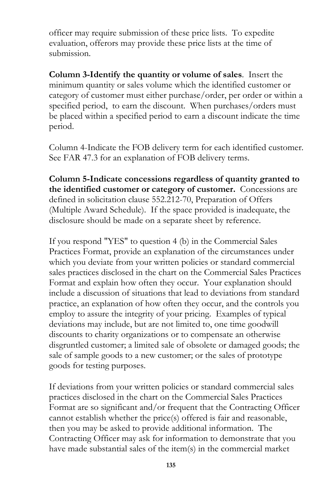officer may require submission of these price lists. To expedite evaluation, offerors may provide these price lists at the time of submission.

**Column 3-Identify the quantity or volume of sales**. Insert the minimum quantity or sales volume which the identified customer or category of customer must either purchase/order, per order or within a specified period, to earn the discount. When purchases/orders must be placed within a specified period to earn a discount indicate the time period.

Column 4-Indicate the FOB delivery term for each identified customer. See FAR 47.3 for an explanation of FOB delivery terms.

**Column 5-Indicate concessions regardless of quantity granted to the identified customer or category of customer.** Concessions are defined in solicitation clause 552.212-70, Preparation of Offers (Multiple Award Schedule). If the space provided is inadequate, the disclosure should be made on a separate sheet by reference.

If you respond "YES" to question 4 (b) in the Commercial Sales Practices Format, provide an explanation of the circumstances under which you deviate from your written policies or standard commercial sales practices disclosed in the chart on the Commercial Sales Practices Format and explain how often they occur. Your explanation should include a discussion of situations that lead to deviations from standard practice, an explanation of how often they occur, and the controls you employ to assure the integrity of your pricing. Examples of typical deviations may include, but are not limited to, one time goodwill discounts to charity organizations or to compensate an otherwise disgruntled customer; a limited sale of obsolete or damaged goods; the sale of sample goods to a new customer; or the sales of prototype goods for testing purposes.

If deviations from your written policies or standard commercial sales practices disclosed in the chart on the Commercial Sales Practices Format are so significant and/or frequent that the Contracting Officer cannot establish whether the price(s) offered is fair and reasonable, then you may be asked to provide additional information. The Contracting Officer may ask for information to demonstrate that you have made substantial sales of the item(s) in the commercial market